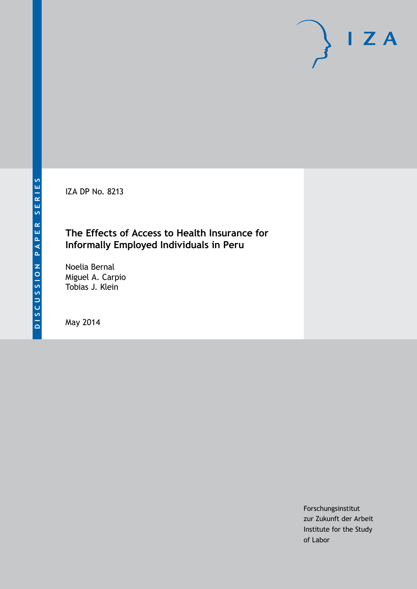IZA DP No. 8213

## **The Effects of Access to Health Insurance for Informally Employed Individuals in Peru**

Noelia Bernal Miguel A. Carpio Tobias J. Klein

May 2014

Forschungsinstitut zur Zukunft der Arbeit Institute for the Study of Labor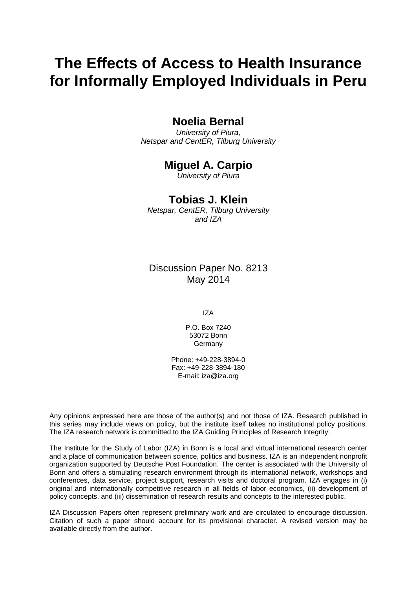# **The Effects of Access to Health Insurance for Informally Employed Individuals in Peru**

## **Noelia Bernal**

*University of Piura, Netspar and CentER, Tilburg University*

## **Miguel A. Carpio**

*University of Piura*

## **Tobias J. Klein**

*Netspar, CentER, Tilburg University and IZA*

Discussion Paper No. 8213 May 2014

IZA

P.O. Box 7240 53072 Bonn **Germany** 

Phone: +49-228-3894-0 Fax: +49-228-3894-180 E-mail: [iza@iza.org](mailto:iza@iza.org)

Any opinions expressed here are those of the author(s) and not those of IZA. Research published in this series may include views on policy, but the institute itself takes no institutional policy positions. The IZA research network is committed to the IZA Guiding Principles of Research Integrity.

The Institute for the Study of Labor (IZA) in Bonn is a local and virtual international research center and a place of communication between science, politics and business. IZA is an independent nonprofit organization supported by Deutsche Post Foundation. The center is associated with the University of Bonn and offers a stimulating research environment through its international network, workshops and conferences, data service, project support, research visits and doctoral program. IZA engages in (i) original and internationally competitive research in all fields of labor economics, (ii) development of policy concepts, and (iii) dissemination of research results and concepts to the interested public.

IZA Discussion Papers often represent preliminary work and are circulated to encourage discussion. Citation of such a paper should account for its provisional character. A revised version may be available directly from the author.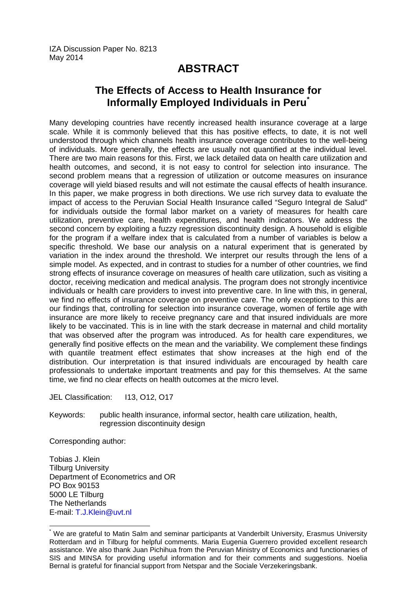## **ABSTRACT**

## **The Effects of Access to Health Insurance for Informally Employed Individuals in Peru[\\*](#page-2-0)**

Many developing countries have recently increased health insurance coverage at a large scale. While it is commonly believed that this has positive effects, to date, it is not well understood through which channels health insurance coverage contributes to the well-being of individuals. More generally, the effects are usually not quantified at the individual level. There are two main reasons for this. First, we lack detailed data on health care utilization and health outcomes, and second, it is not easy to control for selection into insurance. The second problem means that a regression of utilization or outcome measures on insurance coverage will yield biased results and will not estimate the causal effects of health insurance. In this paper, we make progress in both directions. We use rich survey data to evaluate the impact of access to the Peruvian Social Health Insurance called "Seguro Integral de Salud" for individuals outside the formal labor market on a variety of measures for health care utilization, preventive care, health expenditures, and health indicators. We address the second concern by exploiting a fuzzy regression discontinuity design. A household is eligible for the program if a welfare index that is calculated from a number of variables is below a specific threshold. We base our analysis on a natural experiment that is generated by variation in the index around the threshold. We interpret our results through the lens of a simple model. As expected, and in contrast to studies for a number of other countries, we find strong effects of insurance coverage on measures of health care utilization, such as visiting a doctor, receiving medication and medical analysis. The program does not strongly incentivice individuals or health care providers to invest into preventive care. In line with this, in general, we find no effects of insurance coverage on preventive care. The only exceptions to this are our findings that, controlling for selection into insurance coverage, women of fertile age with insurance are more likely to receive pregnancy care and that insured individuals are more likely to be vaccinated. This is in line with the stark decrease in maternal and child mortality that was observed after the program was introduced. As for health care expenditures, we generally find positive effects on the mean and the variability. We complement these findings with quantile treatment effect estimates that show increases at the high end of the distribution. Our interpretation is that insured individuals are encouraged by health care professionals to undertake important treatments and pay for this themselves. At the same time, we find no clear effects on health outcomes at the micro level.

JEL Classification: 113, 012, 017

Keywords: public health insurance, informal sector, health care utilization, health, regression discontinuity design

Corresponding author:

Tobias J. Klein Tilburg University Department of Econometrics and OR PO Box 90153 5000 LE Tilburg The Netherlands E-mail: [T.J.Klein@uvt.nl](mailto:T.J.Klein@uvt.nl)

<span id="page-2-0"></span>We are grateful to Matin Salm and seminar participants at Vanderbilt University, Erasmus University Rotterdam and in Tilburg for helpful comments. Maria Eugenia Guerrero provided excellent research assistance. We also thank Juan Pichihua from the Peruvian Ministry of Economics and functionaries of SIS and MINSA for providing useful information and for their comments and suggestions. Noelia Bernal is grateful for financial support from Netspar and the Sociale Verzekeringsbank.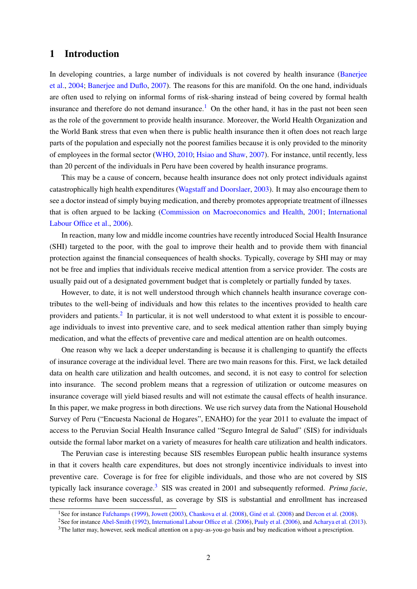## <span id="page-3-3"></span>1 Introduction

In developing countries, a large number of individuals is not covered by health insurance [\(Banerjee](#page-34-0) [et al.,](#page-34-0) [2004;](#page-34-0) [Banerjee and Duflo,](#page-34-1) [2007\)](#page-34-1). The reasons for this are manifold. On the one hand, individuals are often used to relying on informal forms of risk-sharing instead of being covered by formal health insurance and therefore do not demand insurance.<sup>[1](#page-3-0)</sup> On the other hand, it has in the past not been seen as the role of the government to provide health insurance. Moreover, the World Health Organization and the World Bank stress that even when there is public health insurance then it often does not reach large parts of the population and especially not the poorest families because it is only provided to the minority of employees in the formal sector [\(WHO,](#page-38-0) [2010;](#page-38-0) [Hsiao and Shaw,](#page-36-0) [2007\)](#page-36-0). For instance, until recently, less than 20 percent of the individuals in Peru have been covered by health insurance programs.

This may be a cause of concern, because health insurance does not only protect individuals against catastrophically high health expenditures [\(Wagstaff and Doorslaer,](#page-37-0) [2003\)](#page-37-0). It may also encourage them to see a doctor instead of simply buying medication, and thereby promotes appropriate treatment of illnesses that is often argued to be lacking [\(Commission on Macroeconomics and Health,](#page-35-0) [2001;](#page-35-0) [International](#page-36-1) [Labour Office et al.,](#page-36-1) [2006\)](#page-36-1).

In reaction, many low and middle income countries have recently introduced Social Health Insurance (SHI) targeted to the poor, with the goal to improve their health and to provide them with financial protection against the financial consequences of health shocks. Typically, coverage by SHI may or may not be free and implies that individuals receive medical attention from a service provider. The costs are usually paid out of a designated government budget that is completely or partially funded by taxes.

However, to date, it is not well understood through which channels health insurance coverage contributes to the well-being of individuals and how this relates to the incentives provided to health care providers and patients.<sup>[2](#page-3-1)</sup> In particular, it is not well understood to what extent it is possible to encourage individuals to invest into preventive care, and to seek medical attention rather than simply buying medication, and what the effects of preventive care and medical attention are on health outcomes.

One reason why we lack a deeper understanding is because it is challenging to quantify the effects of insurance coverage at the individual level. There are two main reasons for this. First, we lack detailed data on health care utilization and health outcomes, and second, it is not easy to control for selection into insurance. The second problem means that a regression of utilization or outcome measures on insurance coverage will yield biased results and will not estimate the causal effects of health insurance. In this paper, we make progress in both directions. We use rich survey data from the National Household Survey of Peru ("Encuesta Nacional de Hogares", ENAHO) for the year 2011 to evaluate the impact of access to the Peruvian Social Health Insurance called "Seguro Integral de Salud" (SIS) for individuals outside the formal labor market on a variety of measures for health care utilization and health indicators.

The Peruvian case is interesting because SIS resembles European public health insurance systems in that it covers health care expenditures, but does not strongly incentivice individuals to invest into preventive care. Coverage is for free for eligible individuals, and those who are not covered by SIS typically lack insurance coverage.[3](#page-3-2) SIS was created in 2001 and subsequently reformed. *Prima facie*, these reforms have been successful, as coverage by SIS is substantial and enrollment has increased

<span id="page-3-0"></span><sup>&</sup>lt;sup>1</sup>See for instance [Fafchamps](#page-35-1) [\(1999\)](#page-35-1), [Jowett](#page-36-2) [\(2003\)](#page-36-2), [Chankova et al.](#page-35-2) [\(2008\)](#page-35-3), [Giné et al.](#page-36-3) (2008) and [Dercon et al.](#page-35-3) (2008).

<span id="page-3-1"></span><sup>&</sup>lt;sup>2</sup>See for instance [Abel-Smith](#page-34-2) [\(1992\)](#page-34-2), [International Labour Office et al.](#page-36-1) [\(2006\)](#page-37-1), [Pauly et al.](#page-37-1) (2006), and [Acharya et al.](#page-34-3) [\(2013\)](#page-34-3).

<span id="page-3-2"></span><sup>&</sup>lt;sup>3</sup>The latter may, however, seek medical attention on a pay-as-you-go basis and buy medication without a prescription.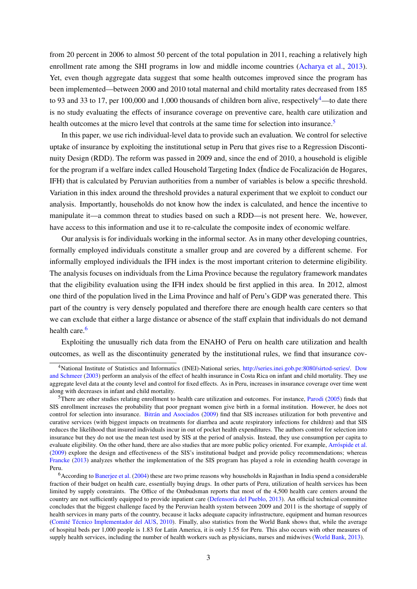from 20 percent in 2006 to almost 50 percent of the total population in 2011, reaching a relatively high enrollment rate among the SHI programs in low and middle income countries [\(Acharya et al.,](#page-34-3) [2013\)](#page-34-3). Yet, even though aggregate data suggest that some health outcomes improved since the program has been implemented—between 2000 and 2010 total maternal and child mortality rates decreased from 185 to 93 and 33 to 17, per 100,000 and 1,000 thousands of children born alive, respectively<sup>[4](#page-4-0)</sup>—to date there is no study evaluating the effects of insurance coverage on preventive care, health care utilization and health outcomes at the micro level that controls at the same time for selection into insurance.<sup>[5](#page-4-1)</sup>

In this paper, we use rich individual-level data to provide such an evaluation. We control for selective uptake of insurance by exploiting the institutional setup in Peru that gives rise to a Regression Discontinuity Design (RDD). The reform was passed in 2009 and, since the end of 2010, a household is eligible for the program if a welfare index called Household Targeting Index (Índice de Focalización de Hogares, IFH) that is calculated by Peruvian authorities from a number of variables is below a specific threshold. Variation in this index around the threshold provides a natural experiment that we exploit to conduct our analysis. Importantly, households do not know how the index is calculated, and hence the incentive to manipulate it—a common threat to studies based on such a RDD—is not present here. We, however, have access to this information and use it to re-calculate the composite index of economic welfare.

Our analysis is for individuals working in the informal sector. As in many other developing countries, formally employed individuals constitute a smaller group and are covered by a different scheme. For informally employed individuals the IFH index is the most important criterion to determine eligibility. The analysis focuses on individuals from the Lima Province because the regulatory framework mandates that the eligibility evaluation using the IFH index should be first applied in this area. In 2012, almost one third of the population lived in the Lima Province and half of Peru's GDP was generated there. This part of the country is very densely populated and therefore there are enough health care centers so that we can exclude that either a large distance or absence of the staff explain that individuals do not demand health care. $6$ 

Exploiting the unusually rich data from the ENAHO of Peru on health care utilization and health outcomes, as well as the discontinuity generated by the institutional rules, we find that insurance cov-

<span id="page-4-0"></span><sup>4</sup>National Institute of Statistics and Informatics (INEI)-National series, [http://series.inei.gob.pe:8080/sirtod-series/.](http://series.inei.gob.pe:8080/sirtod-series/) [Dow](#page-35-4) [and Schmeer](#page-35-4) [\(2003\)](#page-35-4) perform an analysis of the effect of health insurance in Costa Rica on infant and child mortality. They use aggregate level data at the county level and control for fixed effects. As in Peru, increases in insurance coverage over time went along with decreases in infant and child mortality.

<span id="page-4-1"></span><sup>&</sup>lt;sup>5</sup>There are other studies relating enrollment to health care utilization and outcomes. For instance, [Parodi](#page-37-2) [\(2005\)](#page-37-2) finds that SIS enrollment increases the probability that poor pregnant women give birth in a formal institution. However, he does not control for selection into insurance. [Bitrán and Asociados](#page-34-4) [\(2009\)](#page-34-4) find that SIS increases utilization for both preventive and curative services (with biggest impacts on treatments for diarrhea and acute respiratory infections for children) and that SIS reduces the likelihood that insured individuals incur in out of pocket health expenditures. The authors control for selection into insurance but they do not use the mean test used by SIS at the period of analysis. Instead, they use consumption per capita to evaluate eligibility. On the other hand, there are also studies that are more public policy oriented. For example, [Arróspide et al.](#page-34-5) [\(2009\)](#page-34-5) explore the design and effectiveness of the SIS's institutional budget and provide policy recommendations; whereas [Francke](#page-36-4) [\(2013\)](#page-36-4) analyzes whether the implementation of the SIS program has played a role in extending health coverage in Peru.

<span id="page-4-2"></span> $6$ According to [Banerjee et al.](#page-34-0) [\(2004\)](#page-34-0) these are two prime reasons why households in Rajasthan in India spend a considerable fraction of their budget on health care, essentially buying drugs. In other parts of Peru, utilization of health services has been limited by supply constraints. The Office of the Ombudsman reports that most of the 4,500 health care centers around the country are not sufficiently equipped to provide inpatient care [\(Defensoría del Pueblo,](#page-35-5) [2013\)](#page-35-5). An official technical committee concludes that the biggest challenge faced by the Peruvian health system between 2009 and 2011 is the shortage of supply of health services in many parts of the country, because it lacks adequate capacity infrastructure, equipment and human resources [\(Comité Técnico Implementador del AUS,](#page-35-6) [2010\)](#page-35-6). Finally, also statistics from the World Bank shows that, while the average of hospital beds per 1,000 people is 1.83 for Latin America, it is only 1.55 for Peru. This also occurs with other measures of supply health services, including the number of health workers such as physicians, nurses and midwives [\(World Bank,](#page-38-1) [2013\)](#page-38-1).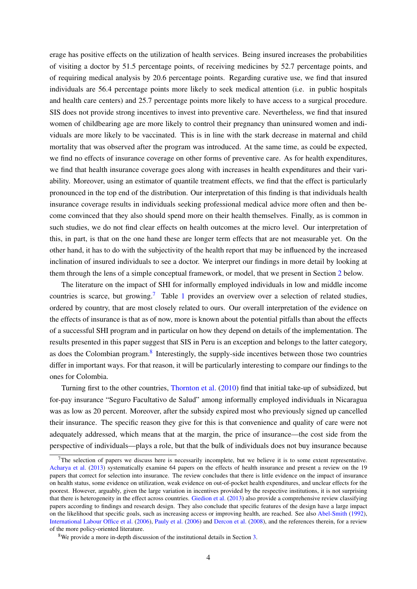erage has positive effects on the utilization of health services. Being insured increases the probabilities of visiting a doctor by 51.5 percentage points, of receiving medicines by 52.7 percentage points, and of requiring medical analysis by 20.6 percentage points. Regarding curative use, we find that insured individuals are 56.4 percentage points more likely to seek medical attention (i.e. in public hospitals and health care centers) and 25.7 percentage points more likely to have access to a surgical procedure. SIS does not provide strong incentives to invest into preventive care. Nevertheless, we find that insured women of childbearing age are more likely to control their pregnancy than uninsured women and individuals are more likely to be vaccinated. This is in line with the stark decrease in maternal and child mortality that was observed after the program was introduced. At the same time, as could be expected, we find no effects of insurance coverage on other forms of preventive care. As for health expenditures, we find that health insurance coverage goes along with increases in health expenditures and their variability. Moreover, using an estimator of quantile treatment effects, we find that the effect is particularly pronounced in the top end of the distribution. Our interpretation of this finding is that individuals health insurance coverage results in individuals seeking professional medical advice more often and then become convinced that they also should spend more on their health themselves. Finally, as is common in such studies, we do not find clear effects on health outcomes at the micro level. Our interpretation of this, in part, is that on the one hand these are longer term effects that are not measurable yet. On the other hand, it has to do with the subjectivity of the health report that may be influenced by the increased inclination of insured individuals to see a doctor. We interpret our findings in more detail by looking at them through the lens of a simple conceptual framework, or model, that we present in Section [2](#page-8-0) below.

The literature on the impact of SHI for informally employed individuals in low and middle income countries is scarce, but growing.<sup>[7](#page-5-0)</sup> Table [1](#page-6-0) provides an overview over a selection of related studies, ordered by country, that are most closely related to ours. Our overall interpretation of the evidence on the effects of insurance is that as of now, more is known about the potential pitfalls than about the effects of a successful SHI program and in particular on how they depend on details of the implementation. The results presented in this paper suggest that SIS in Peru is an exception and belongs to the latter category, as does the Colombian program.<sup>[8](#page-5-1)</sup> Interestingly, the supply-side incentives between those two countries differ in important ways. For that reason, it will be particularly interesting to compare our findings to the ones for Colombia.

Turning first to the other countries, [Thornton et al.](#page-37-3) [\(2010\)](#page-37-3) find that initial take-up of subsidized, but for-pay insurance "Seguro Facultativo de Salud" among informally employed individuals in Nicaragua was as low as 20 percent. Moreover, after the subsidy expired most who previously signed up cancelled their insurance. The specific reason they give for this is that convenience and quality of care were not adequately addressed, which means that at the margin, the price of insurance—the cost side from the perspective of individuals—plays a role, but that the bulk of individuals does not buy insurance because

<span id="page-5-0"></span><sup>&</sup>lt;sup>7</sup>The selection of papers we discuss here is necessarily incomplete, but we believe it is to some extent representative. [Acharya et al.](#page-34-3) [\(2013\)](#page-34-3) systematically examine 64 papers on the effects of health insurance and present a review on the 19 papers that correct for selection into insurance. The review concludes that there is little evidence on the impact of insurance on health status, some evidence on utilization, weak evidence on out-of-pocket health expenditures, and unclear effects for the poorest. However, arguably, given the large variation in incentives provided by the respective institutions, it is not surprising that there is heterogeneity in the effect across countries. [Giedion et al.](#page-36-5) [\(2013\)](#page-36-5) also provide a comprehensive review classifying papers according to findings and research design. They also conclude that specific features of the design have a large impact on the likelihood that specific goals, such as increasing access or improving health, are reached. See also [Abel-Smith](#page-34-2) [\(1992\)](#page-34-2), [International Labour Office et al.](#page-36-1) [\(2006\)](#page-36-1), [Pauly et al.](#page-37-1) [\(2006\)](#page-37-1) and [Dercon et al.](#page-35-3) [\(2008\)](#page-35-3), and the references therein, for a review of the more policy-oriented literature.

<span id="page-5-1"></span><sup>8</sup>We provide a more in-depth discussion of the institutional details in Section [3.](#page-10-0)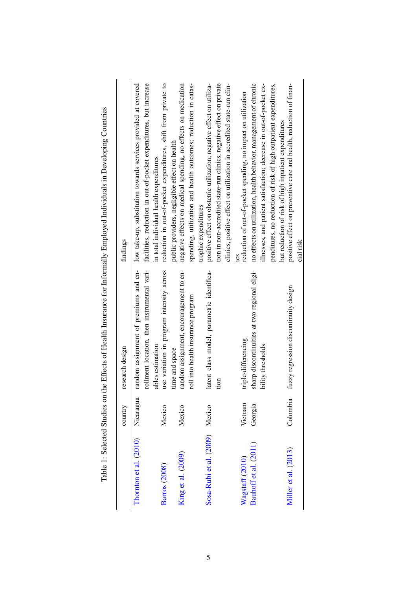<span id="page-6-0"></span>

|                                          | country            | research design                                                                                 | findings                                                                                                                                                                                                                                                                                 |
|------------------------------------------|--------------------|-------------------------------------------------------------------------------------------------|------------------------------------------------------------------------------------------------------------------------------------------------------------------------------------------------------------------------------------------------------------------------------------------|
| Thornton et al. (2010)                   | Nicaragua          | random assignment of premiums and en-<br>rollment location, then instrumental vari-             | facilities, reduction in out-of-pocket expenditures, but increase<br>low take-up, substitution towards services provided at covered                                                                                                                                                      |
| <b>Barros</b> (2008)                     | Mexico             | use variation in program intensity across<br>ables estimation                                   | reduction in out-of-pocket expenditures, shift from private to<br>in total individual health expenditures                                                                                                                                                                                |
| King et al. (2009)                       | Mexico             | random assignment, encouragement to en-<br>roll into health insurance program<br>time and space | negative effects on medical spending, no effects on medication<br>spending, utilization and health outcomes; reduction in catas-<br>public providers, negligible effect on health                                                                                                        |
| Sosa-Rubi et al. (2009) Mexico           |                    | latent class model, parametric identifica-<br>tion                                              | positive effect on obstetric utilization; negative effect on utiliza-<br>tion in non-accredited state-run clinics, negative effect on private<br>trophic expenditures                                                                                                                    |
| Bauhoff et al. (2011)<br>Wagstaff (2010) | Vietnam<br>Georgia | sharp discontinuities at two regional eligi-<br>triple-differencing<br>bility thresholds        | illnesses, and patient satisfaction; decrease in out-of-pocket ex-<br>clinics, positive effect on utilization in accredited state-run clin-<br>no effects on utilization, health behavior, management of chronic<br>reduction of out-of-pocket spending, no impact on utilization<br>LCS |
| Miller et al. (2013)                     | Colombia           | fuzzy regression discontinuity design                                                           | penditures, no reduction of risk of high outpatient expenditures,<br>positive effect on preventive care and health, reduction of finan-<br>but reduction of risk of high inpatient expenditures<br>cial risk                                                                             |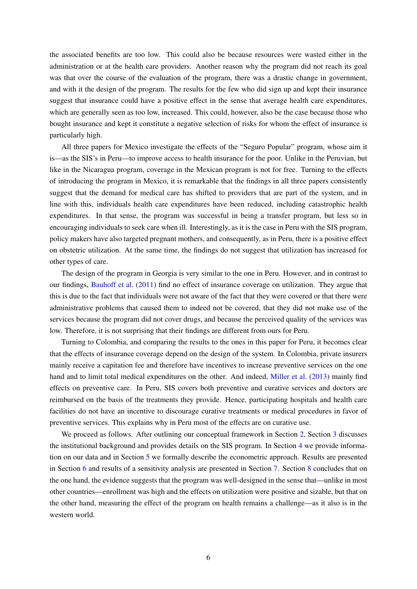the associated benefits are too low. This could also be because resources were wasted either in the administration or at the health care providers. Another reason why the program did not reach its goal was that over the course of the evaluation of the program, there was a drastic change in government, and with it the design of the program. The results for the few who did sign up and kept their insurance suggest that insurance could have a positive effect in the sense that average health care expenditures, which are generally seen as too low, increased. This could, however, also be the case because those who bought insurance and kept it constitute a negative selection of risks for whom the effect of insurance is particularly high.

All three papers for Mexico investigate the effects of the "Seguro Popular" program, whose aim it is—as the SIS's in Peru—to improve access to health insurance for the poor. Unlike in the Peruvian, but like in the Nicaragua program, coverage in the Mexican program is not for free. Turning to the effects of introducing the program in Mexico, it is remarkable that the findings in all three papers consistently suggest that the demand for medical care has shifted to providers that are part of the system, and in line with this, individuals health care expenditures have been reduced, including catastrophic health expenditures. In that sense, the program was successful in being a transfer program, but less so in encouraging individuals to seek care when ill. Interestingly, as it is the case in Peru with the SIS program, policy makers have also targeted pregnant mothers, and consequently, as in Peru, there is a positive effect on obstetric utilization. At the same time, the findings do not suggest that utilization has increased for other types of care.

The design of the program in Georgia is very similar to the one in Peru. However, and in contrast to our findings, [Bauhoff et al.](#page-34-7) [\(2011\)](#page-34-7) find no effect of insurance coverage on utilization. They argue that this is due to the fact that individuals were not aware of the fact that they were covered or that there were administrative problems that caused them to indeed not be covered, that they did not make use of the services because the program did not cover drugs, and because the perceived quality of the services was low. Therefore, it is not surprising that their findings are different from ours for Peru.

Turning to Colombia, and comparing the results to the ones in this paper for Peru, it becomes clear that the effects of insurance coverage depend on the design of the system. In Colombia, private insurers mainly receive a capitation fee and therefore have incentives to increase preventive services on the one hand and to limit total medical expenditures on the other. And indeed, [Miller et al.](#page-37-6) [\(2013\)](#page-37-6) mainly find effects on preventive care. In Peru, SIS covers both preventive and curative services and doctors are reimbursed on the basis of the treatments they provide. Hence, participating hospitals and health care facilities do not have an incentive to discourage curative treatments or medical procedures in favor of preventive services. This explains why in Peru most of the effects are on curative use.

We proceed as follows. After outlining our conceptual framework in Section [2,](#page-8-0) Section [3](#page-10-0) discusses the institutional background and provides details on the SIS program. In Section [4](#page-13-0) we provide information on our data and in Section [5](#page-14-0) we formally describe the econometric approach. Results are presented in Section [6](#page-18-0) and results of a sensitivity analysis are presented in Section [7.](#page-27-0) Section [8](#page-33-0) concludes that on the one hand, the evidence suggests that the program was well-designed in the sense that—unlike in most other countries—enrollment was high and the effects on utilization were positive and sizable, but that on the other hand, measuring the effect of the program on health remains a challenge—as it also is in the western world.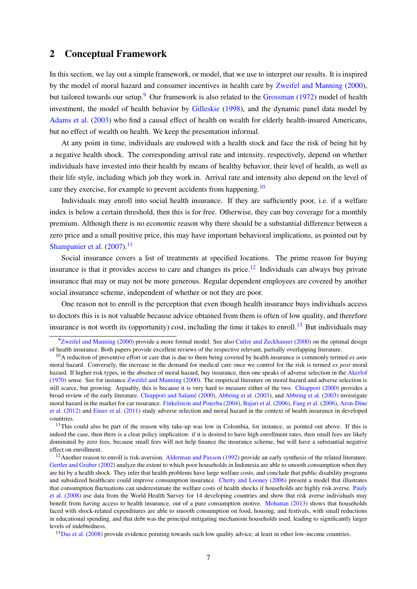## <span id="page-8-0"></span>2 Conceptual Framework

In this section, we lay out a simple framework, or model, that we use to interpret our results. It is inspired by the model of moral hazard and consumer incentives in health care by [Zweifel and Manning](#page-38-2) [\(2000\)](#page-38-2), but tailored towards our setup.<sup>[9](#page-8-1)</sup> Our framework is also related to the [Grossman](#page-36-7) [\(1972\)](#page-36-7) model of health investment, the model of health behavior by [Gilleskie](#page-36-8) [\(1998\)](#page-36-8), and the dynamic panel data model by [Adams et al.](#page-34-8) [\(2003\)](#page-34-8) who find a causal effect of health on wealth for elderly health-insured Americans, but no effect of wealth on health. We keep the presentation informal.

At any point in time, individuals are endowed with a health stock and face the risk of being hit by a negative health shock. The corresponding arrival rate and intensity, respectively, depend on whether individuals have invested into their health by means of healthy behavior, their level of health, as well as their life style, including which job they work in. Arrival rate and intensity also depend on the level of care they exercise, for example to prevent accidents from happening.<sup>[10](#page-8-2)</sup>

Individuals may enroll into social health insurance. If they are sufficiently poor, i.e. if a welfare index is below a certain threshold, then this is for free. Otherwise, they can buy coverage for a monthly premium. Although there is no economic reason why there should be a substantial difference between a zero price and a small positive price, this may have important behavioral implications, as pointed out by [Shampanier et al.](#page-37-7)  $(2007).$  $(2007).$ <sup>[11](#page-8-3)</sup>

Social insurance covers a list of treatments at specified locations. The prime reason for buying insurance is that it provides access to care and changes its price.<sup>[12](#page-8-4)</sup> Individuals can always buy private insurance that may or may not be more generous. Regular dependent employees are covered by another social insurance scheme, independent of whether or not they are poor.

One reason not to enroll is the perception that even though health insurance buys individuals access to doctors this is is not valuable because advice obtained from them is often of low quality, and therefore insurance is not worth its (opportunity) cost, including the time it takes to enroll.<sup>[13](#page-8-5)</sup> But individuals may

<span id="page-8-5"></span><sup>13</sup>[Das et al.](#page-35-13) [\(2008\)](#page-35-13) provide evidence pointing towards such low quality advice, at least in other low-income countries.

<span id="page-8-1"></span> $9Z$ weifel and Manning [\(2000\)](#page-35-7) provide a more formal model. See also [Cutler and Zeckhauser](#page-35-7) (2000) on the optimal design of health insurance. Both papers provide excellent reviews of the respective relevant, partially overlapping literature.

<span id="page-8-2"></span><sup>10</sup>A reduction of preventive effort or care that is due to them being covered by health insurance is commonly termed *ex ante* moral hazard. Conversely, the increase in the demand for medical care once we control for the risk is termed *ex post* moral hazard. If higher risk types, in the absence of moral hazard, buy insurance, then one speaks of adverse selection in the [Akerlof](#page-34-9) [\(1970\)](#page-34-9) sense. See for instance [Zweifel and Manning](#page-38-2) [\(2000\)](#page-38-2). The empirical literature on moral hazard and adverse selection is still scarce, but growing. Arguably, this is because it is very hard to measure either of the two. [Chiappori](#page-35-8) [\(2000\)](#page-35-8) provides a broad review of the early literature. [Chiappori and Salanié](#page-35-9) [\(2000\)](#page-35-9), [Abbring et al.](#page-33-1) [\(2003\)](#page-33-1), and [Abbring et al.](#page-33-2) [\(2003\)](#page-33-2) investigate moral hazard in the market for car insurance. [Finkelstein and Poterba](#page-36-9) [\(2004\)](#page-36-9), [Bajari et al.](#page-34-10) [\(2006\)](#page-34-10), [Fang et al.](#page-35-10) [\(2006\)](#page-35-10), [Aron-Dine](#page-34-11) [et al.](#page-34-11) [\(2012\)](#page-34-11) and [Einav et al.](#page-35-11) [\(2011\)](#page-35-11) study adverse selection and moral hazard in the context of health insurance in developed countries.

<span id="page-8-3"></span> $11$ This could also be part of the reason why take-up was low in Colombia, for instance, as pointed out above. If this is indeed the case, then there is a clear policy implication: if it is desired to have high enrollment rates, then small fees are likely dominated by zero fees, because small fees will not help finance the insurance scheme, but will have a substantial negative effect on enrollment.

<span id="page-8-4"></span><sup>&</sup>lt;sup>12</sup>Another reason to enroll is risk-aversion. [Alderman and Paxson](#page-34-12) [\(1992\)](#page-34-12) provide an early synthesis of the related literature. [Gertler and Gruber](#page-36-10) [\(2002\)](#page-36-10) analyze the extent to which poor households in Indonesia are able to smooth consumption when they are hit by a health shock. They infer that health problems have large welfare costs, and conclude that public disability programs and subsidized healthcare could improve consumption insurance. [Chetty and Looney](#page-35-12) [\(2006\)](#page-35-12) present a model that illustrates that consumption fluctuations can underestimate the welfare costs of health shocks if households are highly risk averse. [Pauly](#page-37-8) [et al.](#page-37-8) [\(2008\)](#page-37-8) use data from the World Health Survey for 14 developing countries and show that risk averse individuals may benefit from having access to health insurance, out of a pure consumption motive. [Mohanan](#page-37-9) [\(2013\)](#page-37-9) shows that households faced with shock-related expenditures are able to smooth consumption on food, housing, and festivals, with small reductions in educational spending, and that debt was the principal mitigating mechanism households used, leading to significantly larger levels of indebtedness.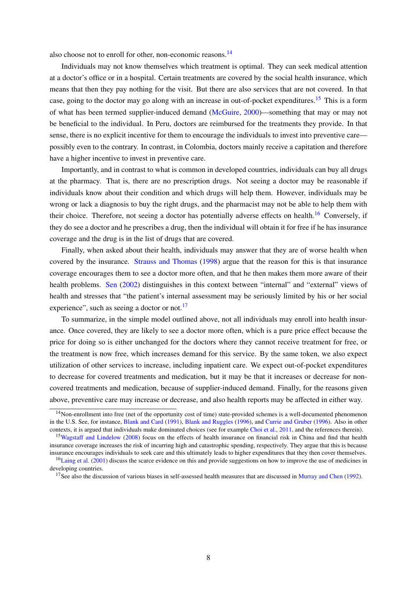also choose not to enroll for other, non-economic reasons.[14](#page-9-0)

Individuals may not know themselves which treatment is optimal. They can seek medical attention at a doctor's office or in a hospital. Certain treatments are covered by the social health insurance, which means that then they pay nothing for the visit. But there are also services that are not covered. In that case, going to the doctor may go along with an increase in out-of-pocket expenditures.<sup>[15](#page-9-1)</sup> This is a form of what has been termed supplier-induced demand [\(McGuire,](#page-37-10) [2000\)](#page-37-10)—something that may or may not be beneficial to the individual. In Peru, doctors are reimbursed for the treatments they provide. In that sense, there is no explicit incentive for them to encourage the individuals to invest into preventive care possibly even to the contrary. In contrast, in Colombia, doctors mainly receive a capitation and therefore have a higher incentive to invest in preventive care.

Importantly, and in contrast to what is common in developed countries, individuals can buy all drugs at the pharmacy. That is, there are no prescription drugs. Not seeing a doctor may be reasonable if individuals know about their condition and which drugs will help them. However, individuals may be wrong or lack a diagnosis to buy the right drugs, and the pharmacist may not be able to help them with their choice. Therefore, not seeing a doctor has potentially adverse effects on health.<sup>[16](#page-9-2)</sup> Conversely, if they do see a doctor and he prescribes a drug, then the individual will obtain it for free if he has insurance coverage and the drug is in the list of drugs that are covered.

Finally, when asked about their health, individuals may answer that they are of worse health when covered by the insurance. [Strauss and Thomas](#page-37-11) [\(1998\)](#page-37-11) argue that the reason for this is that insurance coverage encourages them to see a doctor more often, and that he then makes them more aware of their health problems. [Sen](#page-37-12) [\(2002\)](#page-37-12) distinguishes in this context between "internal" and "external" views of health and stresses that "the patient's internal assessment may be seriously limited by his or her social experience", such as seeing a doctor or not.<sup>[17](#page-9-3)</sup>

To summarize, in the simple model outlined above, not all individuals may enroll into health insurance. Once covered, they are likely to see a doctor more often, which is a pure price effect because the price for doing so is either unchanged for the doctors where they cannot receive treatment for free, or the treatment is now free, which increases demand for this service. By the same token, we also expect utilization of other services to increase, including inpatient care. We expect out-of-pocket expenditures to decrease for covered treatments and medication, but it may be that it increases or decrease for noncovered treatments and medication, because of supplier-induced demand. Finally, for the reasons given above, preventive care may increase or decrease, and also health reports may be affected in either way.

<span id="page-9-0"></span> $14$ Non-enrollment into free (net of the opportunity cost of time) state-provided schemes is a well-documented phenomenon in the U.S. See, for instance, [Blank and Card](#page-34-13) [\(1991\)](#page-34-13), [Blank and Ruggles](#page-34-14) [\(1996\)](#page-34-14), and [Currie and Gruber](#page-35-14) [\(1996\)](#page-35-14). Also in other contexts, it is argued that individuals make dominated choices (see for example [Choi et al.,](#page-35-15) [2011,](#page-35-15) and the references therein).

<span id="page-9-1"></span><sup>15</sup>[Wagstaff and Lindelow](#page-38-3) [\(2008\)](#page-38-3) focus on the effects of health insurance on financial risk in China and find that health insurance coverage increases the risk of incurring high and catastrophic spending, respectively. They argue that this is because insurance encourages individuals to seek care and this ultimately leads to higher expenditures that they then cover themselves.

<span id="page-9-2"></span><sup>&</sup>lt;sup>16</sup>[Laing et al.](#page-37-13) [\(2001\)](#page-37-13) discuss the scarce evidence on this and provide suggestions on how to improve the use of medicines in developing countries.

<span id="page-9-3"></span><sup>&</sup>lt;sup>17</sup>See also the discussion of various biases in self-assessed health measures that are discussed in [Murray and Chen](#page-37-14) [\(1992\)](#page-37-14).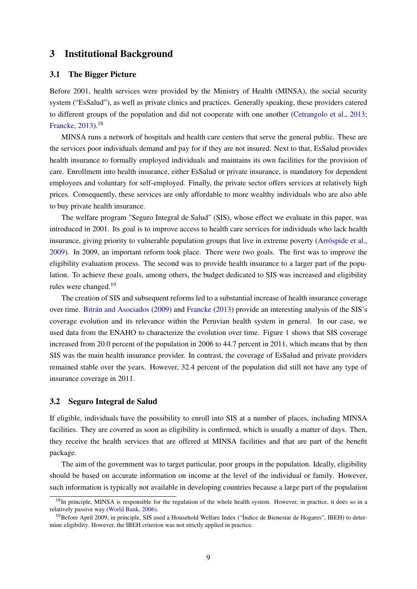## <span id="page-10-0"></span>3 Institutional Background

### <span id="page-10-4"></span>3.1 The Bigger Picture

Before 2001, health services were provided by the Ministry of Health (MINSA), the social security system ("EsSalud"), as well as private clinics and practices. Generally speaking, these providers catered to different groups of the population and did not cooperate with one another [\(Cetrangolo et al.,](#page-35-16) [2013;](#page-35-16) [Francke,](#page-36-4) [2013\)](#page-36-4).[18](#page-10-1)

MINSA runs a network of hospitals and health care centers that serve the general public. These are the services poor individuals demand and pay for if they are not insured. Next to that, EsSalud provides health insurance to formally employed individuals and maintains its own facilities for the provision of care. Enrollment into health insurance, either EsSalud or private insurance, is mandatory for dependent employees and voluntary for self-employed. Finally, the private sector offers services at relatively high prices. Consequently, these services are only affordable to more wealthy individuals who are also able to buy private health insurance.

The welfare program "Seguro Integral de Salud" (SIS), whose effect we evaluate in this paper, was introduced in 2001. Its goal is to improve access to health care services for individuals who lack health insurance, giving priority to vulnerable population groups that live in extreme poverty [\(Arróspide et al.,](#page-34-5) [2009\)](#page-34-5). In 2009, an important reform took place. There were two goals. The first was to improve the eligibility evaluation process. The second was to provide health insurance to a larger part of the population. To achieve these goals, among others, the budget dedicated to SIS was increased and eligibility rules were changed.[19](#page-10-2)

The creation of SIS and subsequent reforms led to a substantial increase of health insurance coverage over time. [Bitrán and Asociados](#page-34-4) [\(2009\)](#page-34-4) and [Francke](#page-36-4) [\(2013\)](#page-36-4) provide an interesting analysis of the SIS's coverage evolution and its relevance within the Peruvian health system in general. In our case, we used data from the ENAHO to characterize the evolution over time. Figure [1](#page-11-0) shows that SIS coverage increased from 20.0 percent of the population in 2006 to 44.7 percent in 2011, which means that by then SIS was the main health insurance provider. In contrast, the coverage of EsSalud and private providers remained stable over the years. However, 32.4 percent of the population did still not have any type of insurance coverage in 2011.

### <span id="page-10-3"></span>3.2 Seguro Integral de Salud

If eligible, individuals have the possibility to enroll into SIS at a number of places, including MINSA facilities. They are covered as soon as eligibility is confirmed, which is usually a matter of days. Then, they receive the health services that are offered at MINSA facilities and that are part of the benefit package.

The aim of the government was to target particular, poor groups in the population. Ideally, eligibility should be based on accurate information on income at the level of the individual or family. However, such information is typically not available in developing countries because a large part of the population

<span id="page-10-1"></span> $18$ In principle, MINSA is responsible for the regulation of the whole health system. However, in practice, it does so in a relatively passive way [\(World Bank,](#page-38-4) [2006\)](#page-38-4).

<span id="page-10-2"></span> $19$ Before April 2009, in principle, SIS used a Household Welfare Index ("Índice de Bienestar de Hogares", IBEH) to determine eligibility. However, the IBEH criterion was not strictly applied in practice.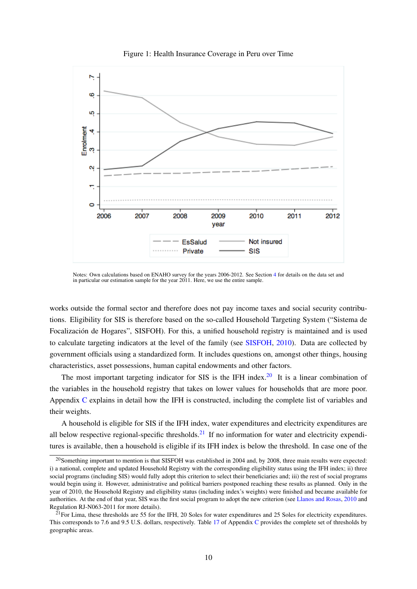<span id="page-11-0"></span>

Figure 1: Health Insurance Coverage in Peru over Time

Notes: Own calculations based on ENAHO survey for the years 2006-2012. See Section [4](#page-13-0) for details on the data set and in particular our estimation sample for the year 2011. Here, we use the entire sample.

works outside the formal sector and therefore does not pay income taxes and social security contributions. Eligibility for SIS is therefore based on the so-called Household Targeting System ("Sistema de Focalización de Hogares", SISFOH). For this, a unified household registry is maintained and is used to calculate targeting indicators at the level of the family (see [SISFOH,](#page-37-15) [2010\)](#page-37-15). Data are collected by government officials using a standardized form. It includes questions on, amongst other things, housing characteristics, asset possessions, human capital endowments and other factors.

The most important targeting indicator for SIS is the IFH index.<sup>[20](#page-11-1)</sup> It is a linear combination of the variables in the household registry that takes on lower values for households that are more poor. Appendix [C](#page-43-0) explains in detail how the IFH is constructed, including the complete list of variables and their weights.

A household is eligible for SIS if the IFH index, water expenditures and electricity expenditures are all below respective regional-specific thresholds.<sup>[21](#page-11-2)</sup> If no information for water and electricity expenditures is available, then a household is eligible if its IFH index is below the threshold. In case one of the

<span id="page-11-1"></span> $20$ Something important to mention is that SISFOH was established in 2004 and, by 2008, three main results were expected: i) a national, complete and updated Household Registry with the corresponding eligibility status using the IFH index; ii) three social programs (including SIS) would fully adopt this criterion to select their beneficiaries and; iii) the rest of social programs would begin using it. However, administrative and political barriers postponed reaching these results as planned. Only in the year of 2010, the Household Registry and eligibility status (including index's weights) were finished and became available for authorities. At the end of that year, SIS was the first social program to adopt the new criterion (see [Llanos and Rosas,](#page-37-16) [2010](#page-37-16) and Regulation RJ-N063-2011 for more details).

<span id="page-11-2"></span> $^{21}$ For Lima, these thresholds are 55 for the IFH, 20 Soles for water expenditures and 25 Soles for electricity expenditures. This corresponds to 7.6 and 9.5 U.S. dollars, respectively. Table [17](#page-46-0) of Appendix [C](#page-43-0) provides the complete set of thresholds by geographic areas.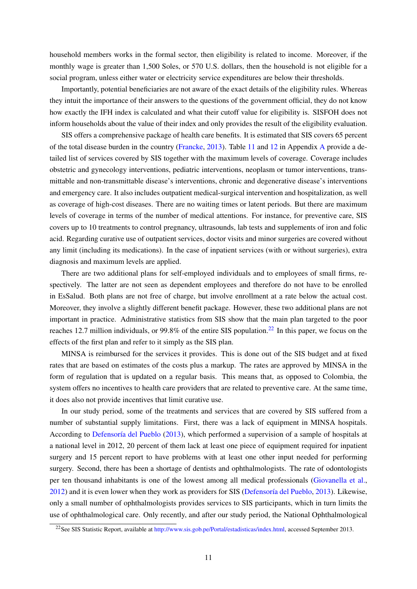household members works in the formal sector, then eligibility is related to income. Moreover, if the monthly wage is greater than 1,500 Soles, or 570 U.S. dollars, then the household is not eligible for a social program, unless either water or electricity service expenditures are below their thresholds.

Importantly, potential beneficiaries are not aware of the exact details of the eligibility rules. Whereas they intuit the importance of their answers to the questions of the government official, they do not know how exactly the IFH index is calculated and what their cutoff value for eligibility is. SISFOH does not inform households about the value of their index and only provides the result of the eligibility evaluation.

SIS offers a comprehensive package of health care benefits. It is estimated that SIS covers 65 percent of the total disease burden in the country [\(Francke,](#page-36-4) [2013\)](#page-36-4). Table [11](#page-39-0) and [12](#page-40-0) in Appendix [A](#page-39-1) provide a detailed list of services covered by SIS together with the maximum levels of coverage. Coverage includes obstetric and gynecology interventions, pediatric interventions, neoplasm or tumor interventions, transmittable and non-transmittable disease's interventions, chronic and degenerative disease's interventions and emergency care. It also includes outpatient medical-surgical intervention and hospitalization, as well as coverage of high-cost diseases. There are no waiting times or latent periods. But there are maximum levels of coverage in terms of the number of medical attentions. For instance, for preventive care, SIS covers up to 10 treatments to control pregnancy, ultrasounds, lab tests and supplements of iron and folic acid. Regarding curative use of outpatient services, doctor visits and minor surgeries are covered without any limit (including its medications). In the case of inpatient services (with or without surgeries), extra diagnosis and maximum levels are applied.

There are two additional plans for self-employed individuals and to employees of small firms, respectively. The latter are not seen as dependent employees and therefore do not have to be enrolled in EsSalud. Both plans are not free of charge, but involve enrollment at a rate below the actual cost. Moreover, they involve a slightly different benefit package. However, these two additional plans are not important in practice. Administrative statistics from SIS show that the main plan targeted to the poor reaches 12.7 million individuals, or 99.8% of the entire SIS population.<sup>[22](#page-12-0)</sup> In this paper, we focus on the effects of the first plan and refer to it simply as the SIS plan.

MINSA is reimbursed for the services it provides. This is done out of the SIS budget and at fixed rates that are based on estimates of the costs plus a markup. The rates are approved by MINSA in the form of regulation that is updated on a regular basis. This means that, as opposed to Colombia, the system offers no incentives to health care providers that are related to preventive care. At the same time, it does also not provide incentives that limit curative use.

In our study period, some of the treatments and services that are covered by SIS suffered from a number of substantial supply limitations. First, there was a lack of equipment in MINSA hospitals. According to [Defensoría del Pueblo](#page-35-5) [\(2013\)](#page-35-5), which performed a supervision of a sample of hospitals at a national level in 2012, 20 percent of them lack at least one piece of equipment required for inpatient surgery and 15 percent report to have problems with at least one other input needed for performing surgery. Second, there has been a shortage of dentists and ophthalmologists. The rate of odontologists per ten thousand inhabitants is one of the lowest among all medical professionals [\(Giovanella et al.,](#page-36-11) [2012\)](#page-36-11) and it is even lower when they work as providers for SIS [\(Defensoría del Pueblo,](#page-35-5) [2013\)](#page-35-5). Likewise, only a small number of ophthalmologists provides services to SIS participants, which in turn limits the use of ophthalmological care. Only recently, and after our study period, the National Ophthalmological

<span id="page-12-0"></span><sup>&</sup>lt;sup>22</sup>See SIS Statistic Report, available at [http://www.sis.gob.pe/Portal/estadisticas/index.html,](http://www.sis.gob.pe/Portal/estadisticas/index.html) accessed September 2013.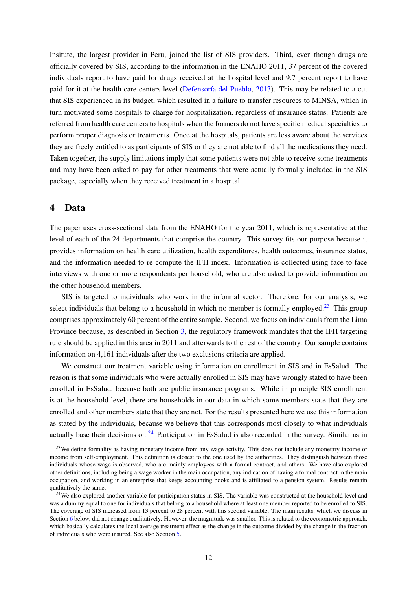Insitute, the largest provider in Peru, joined the list of SIS providers. Third, even though drugs are officially covered by SIS, according to the information in the ENAHO 2011, 37 percent of the covered individuals report to have paid for drugs received at the hospital level and 9.7 percent report to have paid for it at the health care centers level [\(Defensoría del Pueblo,](#page-35-5) [2013\)](#page-35-5). This may be related to a cut that SIS experienced in its budget, which resulted in a failure to transfer resources to MINSA, which in turn motivated some hospitals to charge for hospitalization, regardless of insurance status. Patients are referred from health care centers to hospitals when the formers do not have specific medical specialties to perform proper diagnosis or treatments. Once at the hospitals, patients are less aware about the services they are freely entitled to as participants of SIS or they are not able to find all the medications they need. Taken together, the supply limitations imply that some patients were not able to receive some treatments and may have been asked to pay for other treatments that were actually formally included in the SIS package, especially when they received treatment in a hospital.

## <span id="page-13-0"></span>4 Data

The paper uses cross-sectional data from the ENAHO for the year 2011, which is representative at the level of each of the 24 departments that comprise the country. This survey fits our purpose because it provides information on health care utilization, health expenditures, health outcomes, insurance status, and the information needed to re-compute the IFH index. Information is collected using face-to-face interviews with one or more respondents per household, who are also asked to provide information on the other household members.

SIS is targeted to individuals who work in the informal sector. Therefore, for our analysis, we select individuals that belong to a household in which no member is formally employed.<sup>[23](#page-13-1)</sup> This group comprises approximately 60 percent of the entire sample. Second, we focus on individuals from the Lima Province because, as described in Section [3,](#page-10-0) the regulatory framework mandates that the IFH targeting rule should be applied in this area in 2011 and afterwards to the rest of the country. Our sample contains information on 4,161 individuals after the two exclusions criteria are applied.

We construct our treatment variable using information on enrollment in SIS and in EsSalud. The reason is that some individuals who were actually enrolled in SIS may have wrongly stated to have been enrolled in EsSalud, because both are public insurance programs. While in principle SIS enrollment is at the household level, there are households in our data in which some members state that they are enrolled and other members state that they are not. For the results presented here we use this information as stated by the individuals, because we believe that this corresponds most closely to what individuals actually base their decisions on.<sup>[24](#page-13-2)</sup> Participation in EsSalud is also recorded in the survey. Similar as in

<span id="page-13-1"></span><sup>&</sup>lt;sup>23</sup>We define formality as having monetary income from any wage activity. This does not include any monetary income or income from self-employment. This definition is closest to the one used by the authorities. They distinguish between those individuals whose wage is observed, who are mainly employees with a formal contract, and others. We have also explored other definitions, including being a wage worker in the main occupation, any indication of having a formal contract in the main occupation, and working in an enterprise that keeps accounting books and is affiliated to a pension system. Results remain qualitatively the same.

<span id="page-13-2"></span><sup>&</sup>lt;sup>24</sup>We also explored another variable for participation status in SIS. The variable was constructed at the household level and was a dummy equal to one for individuals that belong to a household where at least one member reported to be enrolled to SIS. The coverage of SIS increased from 13 percent to 28 percent with this second variable. The main results, which we discuss in Section [6](#page-18-0) below, did not change qualitatively. However, the magnitude was smaller. This is related to the econometric approach, which basically calculates the local average treatment effect as the change in the outcome divided by the change in the fraction of individuals who were insured. See also Section [5.](#page-14-0)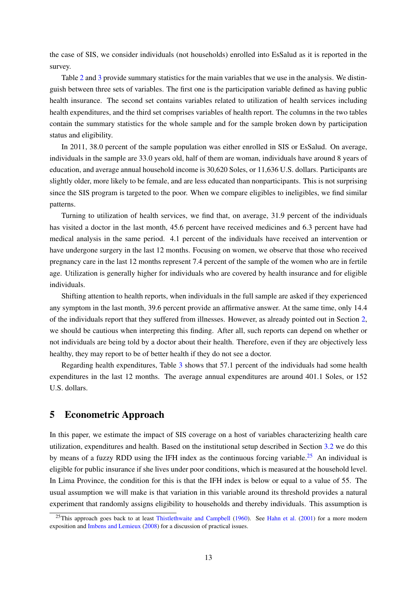the case of SIS, we consider individuals (not households) enrolled into EsSalud as it is reported in the survey.

Table [2](#page-15-0) and [3](#page-16-0) provide summary statistics for the main variables that we use in the analysis. We distinguish between three sets of variables. The first one is the participation variable defined as having public health insurance. The second set contains variables related to utilization of health services including health expenditures, and the third set comprises variables of health report. The columns in the two tables contain the summary statistics for the whole sample and for the sample broken down by participation status and eligibility.

In 2011, 38.0 percent of the sample population was either enrolled in SIS or EsSalud. On average, individuals in the sample are 33.0 years old, half of them are woman, individuals have around 8 years of education, and average annual household income is 30,620 Soles, or 11,636 U.S. dollars. Participants are slightly older, more likely to be female, and are less educated than nonparticipants. This is not surprising since the SIS program is targeted to the poor. When we compare eligibles to ineligibles, we find similar patterns.

Turning to utilization of health services, we find that, on average, 31.9 percent of the individuals has visited a doctor in the last month, 45.6 percent have received medicines and 6.3 percent have had medical analysis in the same period. 4.1 percent of the individuals have received an intervention or have undergone surgery in the last 12 months. Focusing on women, we observe that those who received pregnancy care in the last 12 months represent 7.4 percent of the sample of the women who are in fertile age. Utilization is generally higher for individuals who are covered by health insurance and for eligible individuals.

Shifting attention to health reports, when individuals in the full sample are asked if they experienced any symptom in the last month, 39.6 percent provide an affirmative answer. At the same time, only 14.4 of the individuals report that they suffered from illnesses. However, as already pointed out in Section [2,](#page-8-0) we should be cautious when interpreting this finding. After all, such reports can depend on whether or not individuals are being told by a doctor about their health. Therefore, even if they are objectively less healthy, they may report to be of better health if they do not see a doctor.

Regarding health expenditures, Table [3](#page-16-0) shows that 57.1 percent of the individuals had some health expenditures in the last 12 months. The average annual expenditures are around 401.1 Soles, or 152 U.S. dollars.

## <span id="page-14-0"></span>5 Econometric Approach

In this paper, we estimate the impact of SIS coverage on a host of variables characterizing health care utilization, expenditures and health. Based on the institutional setup described in Section [3.2](#page-10-3) we do this by means of a fuzzy RDD using the IFH index as the continuous forcing variable.<sup>[25](#page-14-1)</sup> An individual is eligible for public insurance if she lives under poor conditions, which is measured at the household level. In Lima Province, the condition for this is that the IFH index is below or equal to a value of 55. The usual assumption we will make is that variation in this variable around its threshold provides a natural experiment that randomly assigns eligibility to households and thereby individuals. This assumption is

<span id="page-14-1"></span><sup>&</sup>lt;sup>25</sup>This approach goes back to at least [Thistlethwaite and Campbell](#page-37-17) [\(1960\)](#page-37-17). See [Hahn et al.](#page-36-12) [\(2001\)](#page-36-12) for a more modern exposition and [Imbens and Lemieux](#page-36-13) [\(2008\)](#page-36-13) for a discussion of practical issues.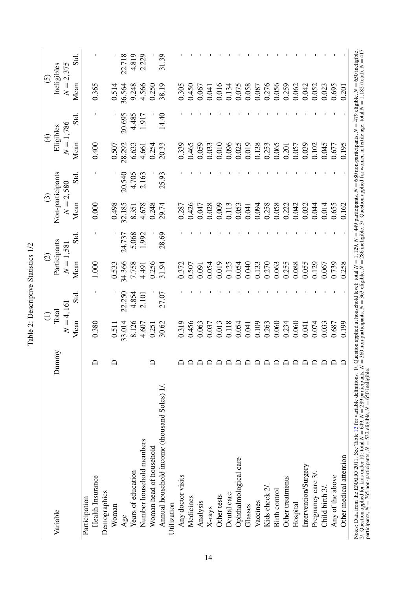<span id="page-15-0"></span>

|                                                                                                                                                                                                                                            |        | $\ominus$                                                                                                                                                                                                                                |                | $\widehat{\varrho}$ |                | ල                |                | $\widehat{\mathfrak{t}}$ |              | $\odot$     |        |
|--------------------------------------------------------------------------------------------------------------------------------------------------------------------------------------------------------------------------------------------|--------|------------------------------------------------------------------------------------------------------------------------------------------------------------------------------------------------------------------------------------------|----------------|---------------------|----------------|------------------|----------------|--------------------------|--------------|-------------|--------|
| Variable                                                                                                                                                                                                                                   | Dunnny | Total                                                                                                                                                                                                                                    |                | Participants        |                | Non-participants |                | Eligibles                |              | Ineligibles |        |
|                                                                                                                                                                                                                                            |        | $N = 4,161$                                                                                                                                                                                                                              |                | $N = 1,581$         |                | $N = 2,580$      |                | $N = 1,786$              |              | $N = 2,375$ |        |
|                                                                                                                                                                                                                                            |        | Mean                                                                                                                                                                                                                                     | Std.           | Mean                | Std            | Mean             | Std.           | Mean                     | Std          | Mean        | Std.   |
| Participation                                                                                                                                                                                                                              |        |                                                                                                                                                                                                                                          |                |                     |                |                  |                |                          |              |             |        |
| Health Insurance                                                                                                                                                                                                                           | $\Box$ | 0.380                                                                                                                                                                                                                                    | $\blacksquare$ | 1.000               | $\blacksquare$ | 0.000            | $\blacksquare$ | 0.400                    | $\mathbf{I}$ | 0.365       |        |
| Demographics                                                                                                                                                                                                                               |        |                                                                                                                                                                                                                                          |                |                     |                |                  |                |                          |              |             |        |
| Woman                                                                                                                                                                                                                                      | $\Box$ | 0.511                                                                                                                                                                                                                                    |                | 0.533               |                | 0.498            |                | 0.507                    |              | 0.514       |        |
| Age                                                                                                                                                                                                                                        |        | 33.014                                                                                                                                                                                                                                   | 22.250         | 34.366              | 24.737         | 32.185           | 20.540         | 28.292                   | 20.695       | 36.564      | 22.718 |
| Years of education                                                                                                                                                                                                                         |        | 8.126                                                                                                                                                                                                                                    | 4.854          | 7.758               | 5.068          | 8.351            | 4.705          | 6.633                    | 4.485        | 9.248       | 4.819  |
| Number household members                                                                                                                                                                                                                   |        | 4.607                                                                                                                                                                                                                                    | 2.101          | 4.491               | 1.992          | 4.678            | 2.163          | 4.661                    | 1.917        | 4.566       | 2.229  |
| Woman head of household                                                                                                                                                                                                                    | $\Box$ | 0.251                                                                                                                                                                                                                                    |                | 0.256               |                | 0.248            |                | 0.254                    |              | 0.250       |        |
| Annual household income (thousand Soles) 1/.                                                                                                                                                                                               |        | 30.62                                                                                                                                                                                                                                    | 27.07          | 31.94               | 28.69          | 29.74            | 25.93          | 20.33                    | 14.40        | 38.19       | 31.39  |
| Utilization                                                                                                                                                                                                                                |        |                                                                                                                                                                                                                                          |                |                     |                |                  |                |                          |              |             |        |
| Any doctor visits                                                                                                                                                                                                                          | ≏      | 0.319                                                                                                                                                                                                                                    |                | 0.372               |                | 0.287            |                | 0.339                    |              | 0.305       |        |
| Medicines                                                                                                                                                                                                                                  | ≏      | 0.456                                                                                                                                                                                                                                    |                | 0.507               |                | 0.426            |                | 0.465                    |              | 0.450       |        |
| Analysis                                                                                                                                                                                                                                   | ≏      | 0.063                                                                                                                                                                                                                                    |                | 0.091               |                | 0.047            |                | 0.059                    |              | 0.067       |        |
| X-rays                                                                                                                                                                                                                                     |        | 0.037                                                                                                                                                                                                                                    |                | 0.054               |                | 0.028            |                | 0.033                    |              | 0.041       |        |
| Other tests                                                                                                                                                                                                                                |        | 0.013                                                                                                                                                                                                                                    |                | 0.019               |                | 0.009            |                | 0.010                    |              | 0.016       |        |
| Dental care                                                                                                                                                                                                                                | ≏      | 0.118                                                                                                                                                                                                                                    |                | 0.125               |                | 0.113            |                | 0.096                    |              | 0.134       |        |
| Ophthalmological care                                                                                                                                                                                                                      | ≏      | 0.054                                                                                                                                                                                                                                    |                | 0.054               |                | 0.053            |                | 0.025                    |              | 0.075       |        |
| Glasses                                                                                                                                                                                                                                    | ≏      | 0.041                                                                                                                                                                                                                                    |                | 0.040               |                | 0.041            |                | 0.019                    |              | 0.058       |        |
| Vaccines                                                                                                                                                                                                                                   | ≏      | 0.109                                                                                                                                                                                                                                    |                | 0.133               |                | 0.094            |                | 0.138                    |              | 0.087       |        |
| Kids check 2/                                                                                                                                                                                                                              | ≏      | 0.263                                                                                                                                                                                                                                    |                | 0.270               |                | 0.258            |                | 0.253                    |              | 0.276       |        |
| <b>Birth control</b>                                                                                                                                                                                                                       | ≏      | 0.060                                                                                                                                                                                                                                    |                | 0.063               |                | 0.058            |                | 0.065                    |              | 0.056       |        |
| Other treatments                                                                                                                                                                                                                           | ≏      | 0.234                                                                                                                                                                                                                                    |                | 0.255               |                | 0.222            |                | 0.201                    |              | 0.259       |        |
| Hospital                                                                                                                                                                                                                                   | ≏      | 0.060                                                                                                                                                                                                                                    |                | 0.088               |                | 0.042            |                | 0.057                    |              | 0.062       |        |
| Intervention/Surgery                                                                                                                                                                                                                       | ≏      | 0.041                                                                                                                                                                                                                                    |                | 0.055               |                | 0.032            |                | 0.039                    |              | 0.042       |        |
| Pregnancy care 3/.                                                                                                                                                                                                                         | ≏      | 0.074                                                                                                                                                                                                                                    |                | 0.129               |                | 0.044            |                | 0.102                    |              | 0.052       |        |
| Child birth 3/.                                                                                                                                                                                                                            | ≏      | 0.033                                                                                                                                                                                                                                    |                | 0.067               |                | 0.014            |                | 0.045                    |              | 0.023       |        |
| Any of the above                                                                                                                                                                                                                           | ◠      | 0.687                                                                                                                                                                                                                                    |                | 0.739               |                | 0.655            |                | 0.677                    |              | 0.695       |        |
| Other medical attention                                                                                                                                                                                                                    | $\Box$ | 0.199                                                                                                                                                                                                                                    |                | 0.258               |                | 0.162            |                | 0.195                    |              | 0.201       |        |
| Notes: Data from the ENAHO 2011. See Table 13 for variable definitions. 1/. Qu<br>2/. Question applied for kids under 10: total $N = 649$ , $N = 289$ participants, $N = ?$<br>participants, $N = 765$ non-participants, $N = 532$ eligibl |        | uestion applied at household level: total $N = 1, 129$ , $N = 449$ participants, $N = 680$ non-participants, $N = 479$ eligible, $N = 650$ ineligible.<br>360 non-participants, $N = 363$ eligible, $N = 286$ ineligible. 3/. Question a |                |                     |                |                  |                |                          |              |             |        |

Table 2: Descriptive Statistics 1/2 Table 2: Descriptive Statistics 1/2

participants, *N* = 765 non-participants, *N* = 532 eligible, *N* = 650 ineligible.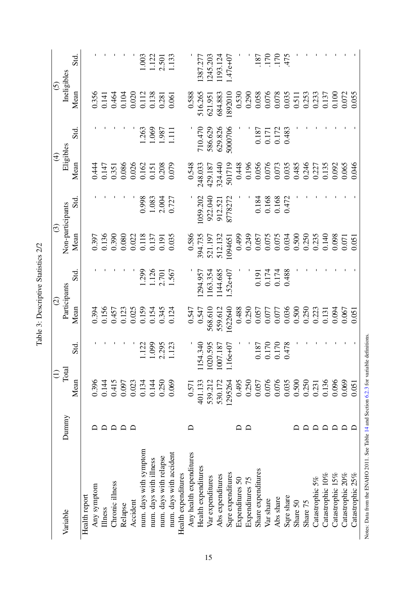| l<br>؛<br>ہ |
|-------------|
|             |
| i           |
|             |
|             |
|             |
|             |
|             |
|             |
|             |
|             |
|             |
|             |
|             |
| ¢           |
|             |
|             |
|             |
|             |
|             |

<span id="page-16-0"></span>

|                                                                                           |        |         | $\bigoplus$                      | $\widehat{G}$                             |                         | $\odot$            |                  | $\widehat{\mathcal{A}}$          |                                                        | $\odot$                                                |           |
|-------------------------------------------------------------------------------------------|--------|---------|----------------------------------|-------------------------------------------|-------------------------|--------------------|------------------|----------------------------------|--------------------------------------------------------|--------------------------------------------------------|-----------|
| Variable                                                                                  | Dunnny |         | Total                            |                                           | Participants            |                    | Non-participants | Eligibles                        |                                                        | Ineligibles                                            |           |
|                                                                                           |        | Mean    | Std.                             | Mean                                      | Std.                    | Mean               | Std.             | Mean                             | Std.                                                   | Mean                                                   | Std.      |
| Health report                                                                             |        |         |                                  |                                           |                         |                    |                  |                                  |                                                        |                                                        |           |
| Any symptom                                                                               |        | 0.396   |                                  |                                           |                         |                    |                  |                                  |                                                        |                                                        |           |
| <b>Illness</b>                                                                            | ≏      | 0.144   |                                  |                                           |                         | 0.397<br>0.136     |                  |                                  |                                                        | 0.356<br>0.141                                         |           |
| Chronic illness                                                                           | ≏      | 0.415   |                                  | 0.394<br>0.156<br>0.457<br>0.123<br>0.025 |                         | 0.390              |                  | 0.444<br>0.147<br>0.351<br>0.086 |                                                        |                                                        |           |
| Relapse                                                                                   | ≏      | 0.097   |                                  |                                           |                         | 0.080              |                  |                                  |                                                        | 0.464<br>0.104<br>0.020                                |           |
| Accident                                                                                  | ≏      | 0.023   |                                  |                                           |                         |                    |                  |                                  |                                                        |                                                        |           |
| num. days with symptom                                                                    |        | 0.134   |                                  | 0.159                                     | 1.299<br>1.126<br>2.701 | $0.022$<br>$0.118$ | 0.998            | 0.162                            | 1.263                                                  | 0.112                                                  | 1.003     |
| num. days with illness                                                                    |        | 0.144   | 1.122<br>1.099                   | 0.154                                     |                         | 0.137              | 1.083            | 0.151                            | 1.069                                                  | 0.138                                                  | 1.122     |
| num. days with relapse                                                                    |        | 0.250   | 2.295                            | 0.345                                     |                         | 0.191              | 2.004            | 0.208                            | 1.987                                                  | 0.281                                                  | 2.501     |
| num. days with accident                                                                   |        | 0.069   | 1.123                            | 0.124                                     | 1.567                   | 0.035              | 0.727            | 0.079                            | $\Xi$                                                  | 1.061                                                  | 1.133     |
| Health expenditures                                                                       |        |         |                                  |                                           |                         |                    |                  |                                  |                                                        |                                                        |           |
| Any health expenditures                                                                   |        | 0.571   |                                  | 0.547                                     |                         | 0.586              |                  | 0.548                            |                                                        | 0.588                                                  |           |
| Health expenditures                                                                       |        | 401.133 | 1154.340                         | 0.547                                     | 294.957                 | 394.735            | 1059.202         | 248.033                          | 710.470                                                | 516.265                                                | 1387.277  |
| Var expenditures                                                                          |        | 539.212 | 1020.595                         | 568.610                                   | 163.354                 | 521.197            | 922.040          | 429.187                          | 586.629                                                | 621.951                                                | 1245.203  |
| Abs expenditures                                                                          |        | 530.172 | 1007.187                         | 559.612                                   | 144.685                 | 512.132            | 912.521          | 324.440                          | 629.826                                                | 684.883                                                | 193.124   |
| Sqre expenditures                                                                         |        | 1295264 | 1.16e+07                         | 1622640                                   | $.52e + 07$             | 1094651            | 8778272          | 501719                           | 5000706                                                | 1892010                                                | $.47e+07$ |
| Expenditures 50                                                                           | ≏      | 0.495   |                                  | 0.488                                     |                         | 0.499              |                  | 0.448                            |                                                        | 0.530                                                  |           |
| Expenditures 75                                                                           | $\Box$ | 0.250   |                                  | 0.250                                     |                         | 0.249              |                  | 0.196                            |                                                        | 0.290                                                  |           |
| Share expenditures                                                                        |        | 0.057   |                                  | 0.057                                     | 0.191<br>0.174          | 0.057              | 0.184            | 0.056                            |                                                        | 0.058                                                  | 187       |
| Var share                                                                                 |        | 0.076   | 0.187<br>0.170<br>0.170<br>0.478 | 0.077                                     |                         | 0.075              | 0.168            | 0.076                            | $\begin{array}{c} 0.187 \\ 0.171 \\ 0.172 \end{array}$ | $0.076$<br>$0.078$                                     | .170      |
| Abs share                                                                                 |        | 0.076   |                                  | 0.077                                     | 0.174                   | 0.075              | 0.168            | 0.073                            |                                                        |                                                        | .170      |
| Sqre share                                                                                |        | 0.035   |                                  | 0.036                                     | 0.488                   | 0.034              | 0.472            | 0.035                            | 0.483                                                  | $\begin{array}{c} 0.035 \\ 0.511 \\ 0.253 \end{array}$ | .475      |
| Share 50                                                                                  |        | 0.500   |                                  | 0.500                                     |                         | 0.500              |                  | 0.485                            |                                                        |                                                        |           |
| Share 75                                                                                  |        | 0.250   |                                  | 0.250                                     |                         | 0.250              |                  | 0.246                            |                                                        |                                                        |           |
| Catastrophic 5%                                                                           |        | 0.231   |                                  | 0.223                                     |                         | 0.235              |                  | 0.227                            |                                                        | 0.233                                                  |           |
| Catastrophic 10%                                                                          | ≏      | 0.136   |                                  | 0.131                                     |                         | 0.140              |                  | 0.135                            |                                                        | 0.137                                                  |           |
| Catastrophic 15%                                                                          | ≏      | 0.096   |                                  | 0.094                                     |                         | 0.098              |                  | 0.092                            |                                                        | 0.100                                                  |           |
| Catastrophic 20%                                                                          | ≏      | 0.069   |                                  | 0.067                                     |                         | 0.071              |                  | 0.065                            |                                                        | 0.072                                                  |           |
| Catastrophic 25%                                                                          |        | 0.051   |                                  | 0.051                                     |                         | 0.051              |                  | 0.046                            |                                                        | 0.055                                                  |           |
| Notes: Data from the ENAHO 2011. See Table 14 and Section 6.2.3 for variable definitions. |        |         |                                  |                                           |                         |                    |                  |                                  |                                                        |                                                        |           |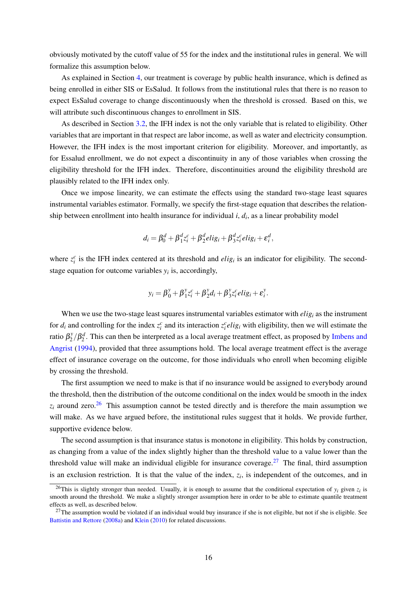obviously motivated by the cutoff value of 55 for the index and the institutional rules in general. We will formalize this assumption below.

As explained in Section [4,](#page-13-0) our treatment is coverage by public health insurance, which is defined as being enrolled in either SIS or EsSalud. It follows from the institutional rules that there is no reason to expect EsSalud coverage to change discontinuously when the threshold is crossed. Based on this, we will attribute such discontinuous changes to enrollment in SIS.

As described in Section [3.2,](#page-10-3) the IFH index is not the only variable that is related to eligibility. Other variables that are important in that respect are labor income, as well as water and electricity consumption. However, the IFH index is the most important criterion for eligibility. Moreover, and importantly, as for Essalud enrollment, we do not expect a discontinuity in any of those variables when crossing the eligibility threshold for the IFH index. Therefore, discontinuities around the eligibility threshold are plausibly related to the IFH index only.

Once we impose linearity, we can estimate the effects using the standard two-stage least squares instrumental variables estimator. Formally, we specify the first-stage equation that describes the relationship between enrollment into health insurance for individual *i*, *d<sup>i</sup>* , as a linear probability model

$$
d_i = \beta_0^d + \beta_1^d z_i^c + \beta_2^d e l i g_i + \beta_3^d z_i^c e l i g_i + \varepsilon_i^d,
$$

where  $z_i^c$  is the IFH index centered at its threshold and *elig<sub>i</sub>* is an indicator for eligibility. The secondstage equation for outcome variables  $y_i$  is, accordingly,

$$
y_i = \beta_0^y + \beta_1^y z_i^c + \beta_2^y d_i + \beta_3^y z_i^c elig_i + \varepsilon_i^y.
$$

When we use the two-stage least squares instrumental variables estimator with *elig<sup>i</sup>* as the instrument for  $d_i$  and controlling for the index  $z_i^c$  and its interaction  $z_i^c$ *elig<sub>i</sub>* with eligibility, then we will estimate the ratio  $\beta_2^y$  $\frac{dy}{2}/\beta_2^d$ . This can then be interpreted as a local average treatment effect, as proposed by [Imbens and](#page-36-14) [Angrist](#page-36-14) [\(1994\)](#page-36-14), provided that three assumptions hold. The local average treatment effect is the average effect of insurance coverage on the outcome, for those individuals who enroll when becoming eligible by crossing the threshold.

The first assumption we need to make is that if no insurance would be assigned to everybody around the threshold, then the distribution of the outcome conditional on the index would be smooth in the index  $z_i$  around zero.<sup>[26](#page-17-0)</sup> This assumption cannot be tested directly and is therefore the main assumption we will make. As we have argued before, the institutional rules suggest that it holds. We provide further, supportive evidence below.

The second assumption is that insurance status is monotone in eligibility. This holds by construction, as changing from a value of the index slightly higher than the threshold value to a value lower than the threshold value will make an individual eligible for insurance coverage.<sup>[27](#page-17-1)</sup> The final, third assumption is an exclusion restriction. It is that the value of the index,  $z_i$ , is independent of the outcomes, and in

<span id="page-17-0"></span><sup>&</sup>lt;sup>26</sup>This is slightly stronger than needed. Usually, it is enough to assume that the conditional expectation of  $y_i$  given  $z_i$  is smooth around the threshold. We make a slightly stronger assumption here in order to be able to estimate quantile treatment effects as well, as described below.

<span id="page-17-1"></span> $^{27}$ The assumption would be violated if an individual would buy insurance if she is not eligible, but not if she is eligible. See [Battistin and Rettore](#page-34-15) [\(2008a\)](#page-34-15) and [Klein](#page-36-15) [\(2010\)](#page-36-15) for related discussions.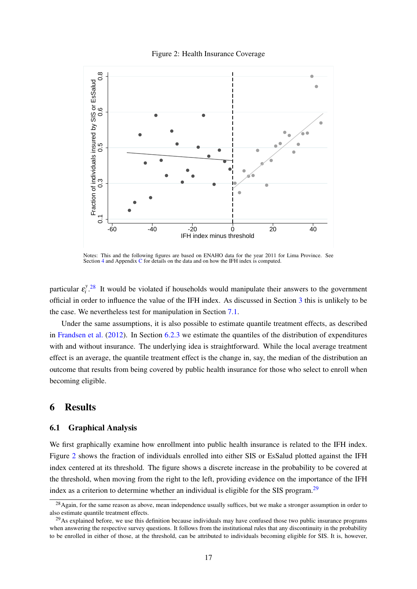

<span id="page-18-2"></span>

Notes: This and the following figures are based on ENAHO data for the year 2011 for Lima Province. See Section [4](#page-13-0) and Appendix [C](#page-43-0) for details on the data and on how the IFH index is computed.

particular  $\varepsilon_i^y$  $\frac{y}{i}$ .<sup>[28](#page-18-1)</sup> It would be violated if households would manipulate their answers to the government official in order to influence the value of the IFH index. As discussed in Section [3](#page-10-0) this is unlikely to be the case. We nevertheless test for manipulation in Section [7.1.](#page-27-1)

Under the same assumptions, it is also possible to estimate quantile treatment effects, as described in [Frandsen et al.](#page-36-16) [\(2012\)](#page-36-16). In Section [6.2.3](#page-24-0) we estimate the quantiles of the distribution of expenditures with and without insurance. The underlying idea is straightforward. While the local average treatment effect is an average, the quantile treatment effect is the change in, say, the median of the distribution an outcome that results from being covered by public health insurance for those who select to enroll when becoming eligible.

## <span id="page-18-0"></span>6 Results

#### 6.1 Graphical Analysis

We first graphically examine how enrollment into public health insurance is related to the IFH index. Figure [2](#page-18-2) shows the fraction of individuals enrolled into either SIS or EsSalud plotted against the IFH index centered at its threshold. The figure shows a discrete increase in the probability to be covered at the threshold, when moving from the right to the left, providing evidence on the importance of the IFH index as a criterion to determine whether an individual is eligible for the SIS program.<sup>[29](#page-18-3)</sup>

<span id="page-18-1"></span> $^{28}$ Again, for the same reason as above, mean independence usually suffices, but we make a stronger assumption in order to also estimate quantile treatment effects.

<span id="page-18-3"></span><sup>&</sup>lt;sup>29</sup>As explained before, we use this definition because individuals may have confused those two public insurance programs when answering the respective survey questions. It follows from the institutional rules that any discontinuity in the probability to be enrolled in either of those, at the threshold, can be attributed to individuals becoming eligible for SIS. It is, however,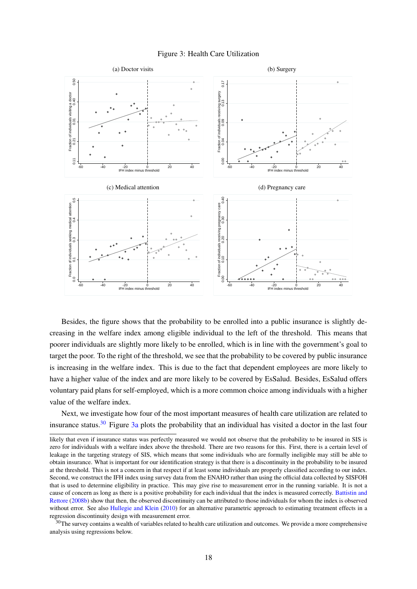<span id="page-19-4"></span><span id="page-19-2"></span>

<span id="page-19-5"></span><span id="page-19-1"></span>

<span id="page-19-3"></span>Besides, the figure shows that the probability to be enrolled into a public insurance is slightly decreasing in the welfare index among eligible individual to the left of the threshold. This means that poorer individuals are slightly more likely to be enrolled, which is in line with the government's goal to target the poor. To the right of the threshold, we see that the probability to be covered by public insurance is increasing in the welfare index. This is due to the fact that dependent employees are more likely to have a higher value of the index and are more likely to be covered by EsSalud. Besides, EsSalud offers voluntary paid plans for self-employed, which is a more common choice among individuals with a higher value of the welfare index.

Next, we investigate how four of the most important measures of health care utilization are related to insurance status.<sup>[30](#page-19-0)</sup> Figure [3a](#page-19-1) plots the probability that an individual has visited a doctor in the last four

likely that even if insurance status was perfectly measured we would not observe that the probability to be insured in SIS is zero for individuals with a welfare index above the threshold. There are two reasons for this. First, there is a certain level of leakage in the targeting strategy of SIS, which means that some individuals who are formally ineligible may still be able to obtain insurance. What is important for our identification strategy is that there is a discontinuity in the probability to be insured at the threshold. This is not a concern in that respect if at least some individuals are properly classified according to our index. Second, we construct the IFH index using survey data from the ENAHO rather than using the official data collected by SISFOH that is used to determine eligibility in practice. This may give rise to measurement error in the running variable. It is not a cause of concern as long as there is a positive probability for each individual that the index is measured correctly. [Battistin and](#page-34-16) [Rettore](#page-34-16) [\(2008b\)](#page-34-16) show that then, the observed discontinuity can be attributed to those individuals for whom the index is observed without error. See also [Hullegie and Klein](#page-36-17) [\(2010\)](#page-36-17) for an alternative parametric approach to estimating treatment effects in a regression discontinuity design with measurement error.

<span id="page-19-0"></span> $30$ The survey contains a wealth of variables related to health care utilization and outcomes. We provide a more comprehensive analysis using regressions below.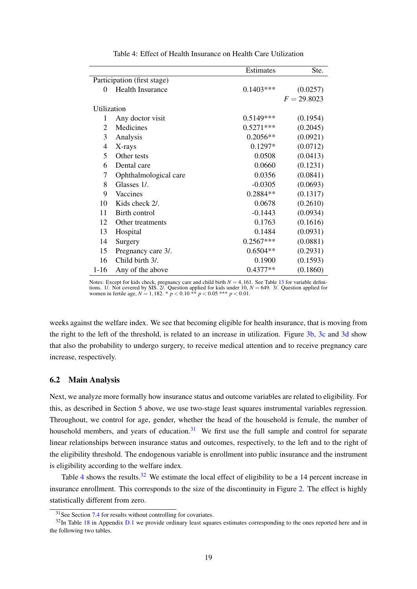<span id="page-20-1"></span>

|                  |                             | Estimates   | Ste.          |
|------------------|-----------------------------|-------------|---------------|
|                  | Participation (first stage) |             |               |
| $\boldsymbol{0}$ | <b>Health Insurance</b>     | $0.1403***$ | (0.0257)      |
|                  |                             |             | $F = 29.8023$ |
| Utilization      |                             |             |               |
| 1                | Any doctor visit            | $0.5149***$ | (0.1954)      |
| 2                | Medicines                   | $0.5271***$ | (0.2045)      |
| 3                | Analysis                    | $0.2056**$  | (0.0921)      |
| 4                | X-rays                      | $0.1297*$   | (0.0712)      |
| 5                | Other tests                 | 0.0508      | (0.0413)      |
| 6                | Dental care                 | 0.0660      | (0.1231)      |
| 7                | Ophthalmological care       | 0.0356      | (0.0841)      |
| 8                | Glasses 1/.                 | $-0.0305$   | (0.0693)      |
| 9                | Vaccines                    | 0.2884**    | (0.1317)      |
| 10               | Kids check 2/.              | 0.0678      | (0.2610)      |
| 11               | Birth control               | $-0.1443$   | (0.0934)      |
| 12               | Other treatments            | 0.1763      | (0.1616)      |
| 13               | Hospital                    | 0.1484      | (0.0931)      |
| 14               | Surgery                     | $0.2567***$ | (0.0881)      |
| 15               | Pregnancy care 3/.          | $0.6504**$  | (0.2931)      |
| 16               | Child birth 3/.             | 0.1900      | (0.1593)      |
| $1 - 16$         | Any of the above            | 0.4377**    | (0.1860)      |

Table 4: Effect of Health Insurance on Health Care Utilization

weeks against the welfare index. We see that becoming eligible for health insurance, that is moving from the right to the left of the threshold, is related to an increase in utilization. Figure [3b,](#page-19-2) [3c](#page-19-3) and [3d](#page-19-4) show that also the probability to undergo surgery, to receive medical attention and to receive pregnancy care increase, respectively.

#### <span id="page-20-3"></span>6.2 Main Analysis

Next, we analyze more formally how insurance status and outcome variables are related to eligibility. For this, as described in Section [5](#page-14-0) above, we use two-stage least squares instrumental variables regression. Throughout, we control for age, gender, whether the head of the household is female, the number of household members, and years of education. $31$  We first use the full sample and control for separate linear relationships between insurance status and outcomes, respectively, to the left and to the right of the eligibility threshold. The endogenous variable is enrollment into public insurance and the instrument is eligibility according to the welfare index.

Table [4](#page-20-1) shows the results.<sup>[32](#page-20-2)</sup> We estimate the local effect of eligibility to be a 14 percent increase in insurance enrollment. This corresponds to the size of the discontinuity in Figure [2.](#page-18-2) The effect is highly statistically different from zero.

Notes: Except for kids check, pregnancy care and child birth *N* = 4,161. See Table [13](#page-41-0) for variable definitions. 1/. Not covered by SIS. 2/. Question applied for kids under 10, *N* = 649. 3/. Question applied for women in fertile age, *N* = 1,182. \* *p* < 0.10 \*\* *p* < 0.05 \*\*\* *p* < 0.01.

<span id="page-20-2"></span><span id="page-20-0"></span><sup>&</sup>lt;sup>31</sup>See Section [7.4](#page-29-0) for results without controlling for covariates.

 $32$ In Table [18](#page-48-0) in Appendix [D.1](#page-48-1) we provide ordinary least squares estimates corresponding to the ones reported here and in the following two tables.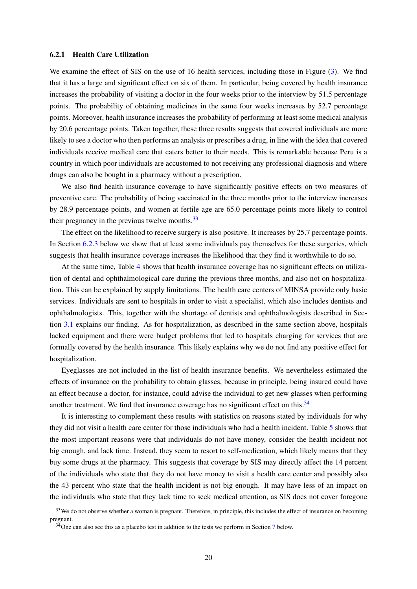#### 6.2.1 Health Care Utilization

We examine the effect of SIS on the use of 16 health services, including those in Figure  $(3)$ . We find that it has a large and significant effect on six of them. In particular, being covered by health insurance increases the probability of visiting a doctor in the four weeks prior to the interview by 51.5 percentage points. The probability of obtaining medicines in the same four weeks increases by 52.7 percentage points. Moreover, health insurance increases the probability of performing at least some medical analysis by 20.6 percentage points. Taken together, these three results suggests that covered individuals are more likely to see a doctor who then performs an analysis or prescribes a drug, in line with the idea that covered individuals receive medical care that caters better to their needs. This is remarkable because Peru is a country in which poor individuals are accustomed to not receiving any professional diagnosis and where drugs can also be bought in a pharmacy without a prescription.

We also find health insurance coverage to have significantly positive effects on two measures of preventive care. The probability of being vaccinated in the three months prior to the interview increases by 28.9 percentage points, and women at fertile age are 65.0 percentage points more likely to control their pregnancy in the previous twelve months. $33$ 

The effect on the likelihood to receive surgery is also positive. It increases by 25.7 percentage points. In Section [6.2.3](#page-24-0) below we show that at least some individuals pay themselves for these surgeries, which suggests that health insurance coverage increases the likelihood that they find it worthwhile to do so.

At the same time, Table [4](#page-20-1) shows that health insurance coverage has no significant effects on utilization of dental and ophthalmological care during the previous three months, and also not on hospitalization. This can be explained by supply limitations. The health care centers of MINSA provide only basic services. Individuals are sent to hospitals in order to visit a specialist, which also includes dentists and ophthalmologists. This, together with the shortage of dentists and ophthalmologists described in Section [3.1](#page-10-4) explains our finding. As for hospitalization, as described in the same section above, hospitals lacked equipment and there were budget problems that led to hospitals charging for services that are formally covered by the health insurance. This likely explains why we do not find any positive effect for hospitalization.

Eyeglasses are not included in the list of health insurance benefits. We nevertheless estimated the effects of insurance on the probability to obtain glasses, because in principle, being insured could have an effect because a doctor, for instance, could advise the individual to get new glasses when performing another treatment. We find that insurance coverage has no significant effect on this.<sup>[34](#page-21-1)</sup>

It is interesting to complement these results with statistics on reasons stated by individuals for why they did not visit a health care center for those individuals who had a health incident. Table [5](#page-22-0) shows that the most important reasons were that individuals do not have money, consider the health incident not big enough, and lack time. Instead, they seem to resort to self-medication, which likely means that they buy some drugs at the pharmacy. This suggests that coverage by SIS may directly affect the 14 percent of the individuals who state that they do not have money to visit a health care center and possibly also the 43 percent who state that the health incident is not big enough. It may have less of an impact on the individuals who state that they lack time to seek medical attention, as SIS does not cover foregone

<span id="page-21-0"></span> $33$ We do not observe whether a woman is pregnant. Therefore, in principle, this includes the effect of insurance on becoming pregnant.

<span id="page-21-1"></span> $34$ One can also see this as a placebo test in addition to the tests we perform in Section [7](#page-27-0) below.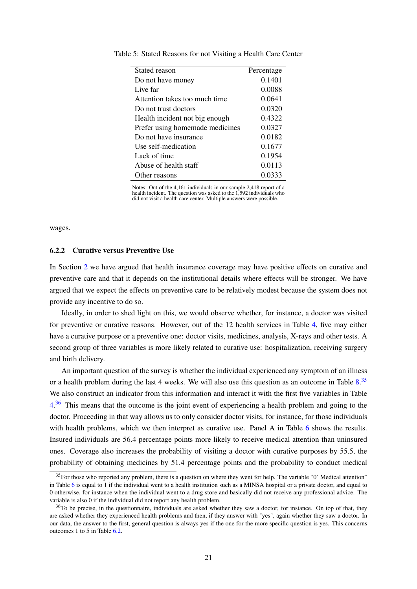| Stated reason                   | Percentage |
|---------------------------------|------------|
| Do not have money               | 0.1401     |
| Live far                        | 0.0088     |
| Attention takes too much time   | 0.0641     |
| Do not trust doctors            | 0.0320     |
| Health incident not big enough. | 0.4322     |
| Prefer using homemade medicines | 0.0327     |
| Do not have insurance           | 0.0182     |
| Use self-medication             | 0.1677     |
| Lack of time                    | 0.1954     |
| Abuse of health staff           | 0.0113     |
| Other reasons                   | 0.0333     |

<span id="page-22-0"></span>Table 5: Stated Reasons for not Visiting a Health Care Center

Notes: Out of the 4,161 individuals in our sample 2,418 report of a health incident. The question was asked to the 1,592 individuals who did not visit a health care center. Multiple answers were possible.

wages.

### 6.2.2 Curative versus Preventive Use

In Section [2](#page-8-0) we have argued that health insurance coverage may have positive effects on curative and preventive care and that it depends on the institutional details where effects will be stronger. We have argued that we expect the effects on preventive care to be relatively modest because the system does not provide any incentive to do so.

Ideally, in order to shed light on this, we would observe whether, for instance, a doctor was visited for preventive or curative reasons. However, out of the 12 health services in Table [4,](#page-20-1) five may either have a curative purpose or a preventive one: doctor visits, medicines, analysis, X-rays and other tests. A second group of three variables is more likely related to curative use: hospitalization, receiving surgery and birth delivery.

An important question of the survey is whether the individual experienced any symptom of an illness or a health problem during the last 4 weeks. We will also use this question as an outcome in Table [8.](#page-27-2)<sup>[35](#page-22-1)</sup> We also construct an indicator from this information and interact it with the first five variables in Table [4.](#page-20-1)<sup>[36](#page-22-2)</sup> This means that the outcome is the joint event of experiencing a health problem and going to the doctor. Proceeding in that way allows us to only consider doctor visits, for instance, for those individuals with health problems, which we then interpret as curative use. Panel A in Table [6](#page-23-0) shows the results. Insured individuals are 56.4 percentage points more likely to receive medical attention than uninsured ones. Coverage also increases the probability of visiting a doctor with curative purposes by 55.5, the probability of obtaining medicines by 51.4 percentage points and the probability to conduct medical

<span id="page-22-1"></span> $35$  For those who reported any problem, there is a question on where they went for help. The variable " $0$ " Medical attention" in Table [6](#page-23-0) is equal to 1 if the individual went to a health institution such as a MINSA hospital or a private doctor, and equal to 0 otherwise, for instance when the individual went to a drug store and basically did not receive any professional advice. The variable is also 0 if the individual did not report any health problem.

<span id="page-22-2"></span> $36T<sub>O</sub>$  be precise, in the questionnaire, individuals are asked whether they saw a doctor, for instance. On top of that, they are asked whether they experienced health problems and then, if they answer with "yes", again whether they saw a doctor. In our data, the answer to the first, general question is always yes if the one for the more specific question is yes. This concerns outcomes 1 to 5 in Table [6.2.](#page-20-3)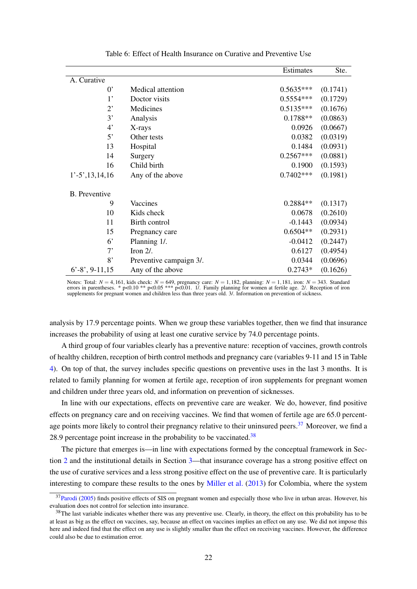<span id="page-23-0"></span>

|                        |                         | Estimates   | Ste.     |
|------------------------|-------------------------|-------------|----------|
| A. Curative            |                         |             |          |
| $0^{\prime}$           | Medical attention       | $0.5635***$ | (0.1741) |
| $1^{\prime}$           | Doctor visits           | $0.5554***$ | (0.1729) |
| $2^{\circ}$            | Medicines               | $0.5135***$ | (0.1676) |
| 3'                     | Analysis                | $0.1788**$  | (0.0863) |
| $4^{\circ}$            | X-rays                  | 0.0926      | (0.0667) |
| 5'                     | Other tests             | 0.0382      | (0.0319) |
| 13                     | Hospital                | 0.1484      | (0.0931) |
| 14                     | Surgery                 | $0.2567***$ | (0.0881) |
| 16                     | Child birth             | 0.1900      | (0.1593) |
| $1' - 5'$ , 13, 14, 16 | Any of the above        | $0.7402***$ | (0.1981) |
| <b>B.</b> Preventive   |                         |             |          |
| 9                      | Vaccines                | $0.2884**$  | (0.1317) |
| 10                     | Kids check              | 0.0678      | (0.2610) |
| 11                     | Birth control           | $-0.1443$   | (0.0934) |
| 15                     | Pregnancy care          | $0.6504**$  | (0.2931) |
| 6 <sup>o</sup>         | Planning 1/.            | $-0.0412$   | (0.2447) |
| $7^{\circ}$            | Iron $2/$ .             | 0.6127      | (0.4954) |
| 8'                     | Preventive campaign 3/. | 0.0344      | (0.0696) |
| $6'$ -8', 9-11,15      | Any of the above        | $0.2743*$   | (0.1626) |

Table 6: Effect of Health Insurance on Curative and Preventive Use

analysis by 17.9 percentage points. When we group these variables together, then we find that insurance increases the probability of using at least one curative service by 74.0 percentage points.

A third group of four variables clearly has a preventive nature: reception of vaccines, growth controls of healthy children, reception of birth control methods and pregnancy care (variables 9-11 and 15 in Table [4\)](#page-20-1). On top of that, the survey includes specific questions on preventive uses in the last 3 months. It is related to family planning for women at fertile age, reception of iron supplements for pregnant women and children under three years old, and information on prevention of sicknesses.

In line with our expectations, effects on preventive care are weaker. We do, however, find positive effects on pregnancy care and on receiving vaccines. We find that women of fertile age are 65.0 percent-age points more likely to control their pregnancy relative to their uninsured peers.<sup>[37](#page-23-1)</sup> Moreover, we find a 28.9 percentage point increase in the probability to be vaccinated.<sup>[38](#page-23-2)</sup>

The picture that emerges is—in line with expectations formed by the conceptual framework in Sec-tion [2](#page-8-0) and the institutional details in Section [3—](#page-10-0)that insurance coverage has a strong positive effect on the use of curative services and a less strong positive effect on the use of preventive care. It is particularly interesting to compare these results to the ones by [Miller et al.](#page-37-6) [\(2013\)](#page-37-6) for Colombia, where the system

Notes: Total: *N* = 4,161, kids check: *N* = 649, pregnancy care: *N* = 1,182, planning: *N* = 1,181, iron: *N* = 343. Standard errors in parentheses. \* p<0.10 \*\* p<0.05 \*\*\* p<0.01. 1/. Family planning for women at fertile age. 2/. Reception of iron supplements for pregnant women and children less than three years old. 3/. Information on prevention of sickness.

<span id="page-23-1"></span> $37$ [Parodi](#page-37-2) [\(2005\)](#page-37-2) finds positive effects of SIS on pregnant women and especially those who live in urban areas. However, his evaluation does not control for selection into insurance.

<span id="page-23-2"></span> $38$ The last variable indicates whether there was any preventive use. Clearly, in theory, the effect on this probability has to be at least as big as the effect on vaccines, say, because an effect on vaccines implies an effect on any use. We did not impose this here and indeed find that the effect on any use is slightly smaller than the effect on receiving vaccines. However, the difference could also be due to estimation error.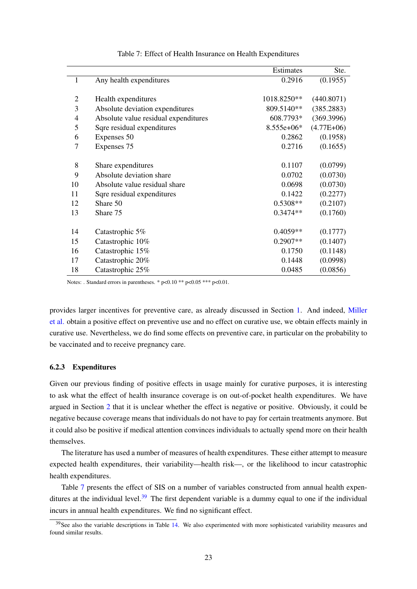<span id="page-24-1"></span>

|                |                                      | Estimates   | Ste.         |
|----------------|--------------------------------------|-------------|--------------|
| 1              | Any health expenditures              | 0.2916      | (0.1955)     |
|                |                                      |             |              |
| $\overline{2}$ | Health expenditures                  | 1018.8250** | (440.8071)   |
| 3              | Absolute deviation expenditures      | 809.5140**  | (385.2883)   |
| 4              | Absolute value residual expenditures | 608.7793*   | (369.3996)   |
| 5              | Sqre residual expenditures           | 8.555e+06*  | $(4.77E+06)$ |
| 6              | Expenses 50                          | 0.2862      | (0.1958)     |
| 7              | Expenses 75                          | 0.2716      | (0.1655)     |
|                |                                      |             |              |
| 8              | Share expenditures                   | 0.1107      | (0.0799)     |
| 9              | Absolute deviation share             | 0.0702      | (0.0730)     |
| 10             | Absolute value residual share        | 0.0698      | (0.0730)     |
| 11             | Sqre residual expenditures           | 0.1422      | (0.2277)     |
| 12             | Share 50                             | $0.5308**$  | (0.2107)     |
| 13             | Share 75                             | $0.3474**$  | (0.1760)     |
|                |                                      |             |              |
| 14             | Catastrophic 5%                      | $0.4059**$  | (0.1777)     |
| 15             | Catastrophic 10%                     | $0.2907**$  | (0.1407)     |
| 16             | Catastrophic 15%                     | 0.1750      | (0.1148)     |
| 17             | Catastrophic 20%                     | 0.1448      | (0.0998)     |
| 18             | Catastrophic 25%                     | 0.0485      | (0.0856)     |

#### Table 7: Effect of Health Insurance on Health Expenditures

Notes: . Standard errors in parentheses. \* p<0.10 \*\* p<0.05 \*\*\* p<0.01.

provides larger incentives for preventive care, as already discussed in Section [1.](#page-3-3) And indeed, [Miller](#page-37-6) [et al.](#page-37-6) obtain a positive effect on preventive use and no effect on curative use, we obtain effects mainly in curative use. Nevertheless, we do find some effects on preventive care, in particular on the probability to be vaccinated and to receive pregnancy care.

#### <span id="page-24-0"></span>6.2.3 Expenditures

Given our previous finding of positive effects in usage mainly for curative purposes, it is interesting to ask what the effect of health insurance coverage is on out-of-pocket health expenditures. We have argued in Section [2](#page-8-0) that it is unclear whether the effect is negative or positive. Obviously, it could be negative because coverage means that individuals do not have to pay for certain treatments anymore. But it could also be positive if medical attention convinces individuals to actually spend more on their health themselves.

The literature has used a number of measures of health expenditures. These either attempt to measure expected health expenditures, their variability—health risk—, or the likelihood to incur catastrophic health expenditures.

Table [7](#page-24-1) presents the effect of SIS on a number of variables constructed from annual health expen-ditures at the individual level.<sup>[39](#page-24-2)</sup> The first dependent variable is a dummy equal to one if the individual incurs in annual health expenditures. We find no significant effect.

<span id="page-24-2"></span> $39$ See also the variable descriptions in Table [14.](#page-42-0) We also experimented with more sophisticated variability measures and found similar results.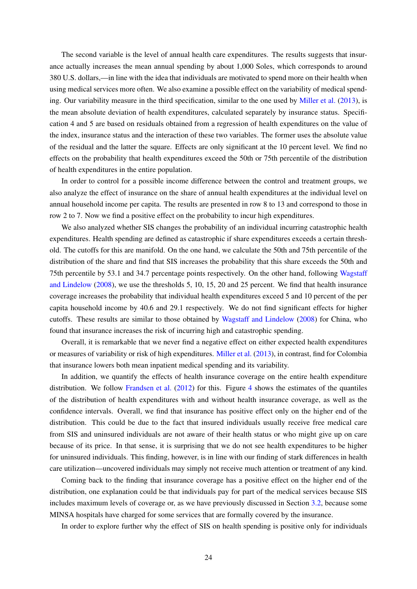The second variable is the level of annual health care expenditures. The results suggests that insurance actually increases the mean annual spending by about 1,000 Soles, which corresponds to around 380 U.S. dollars,—in line with the idea that individuals are motivated to spend more on their health when using medical services more often. We also examine a possible effect on the variability of medical spending. Our variability measure in the third specification, similar to the one used by [Miller et al.](#page-37-6) [\(2013\)](#page-37-6), is the mean absolute deviation of health expenditures, calculated separately by insurance status. Specification 4 and 5 are based on residuals obtained from a regression of health expenditures on the value of the index, insurance status and the interaction of these two variables. The former uses the absolute value of the residual and the latter the square. Effects are only significant at the 10 percent level. We find no effects on the probability that health expenditures exceed the 50th or 75th percentile of the distribution of health expenditures in the entire population.

In order to control for a possible income difference between the control and treatment groups, we also analyze the effect of insurance on the share of annual health expenditures at the individual level on annual household income per capita. The results are presented in row 8 to 13 and correspond to those in row 2 to 7. Now we find a positive effect on the probability to incur high expenditures.

We also analyzed whether SIS changes the probability of an individual incurring catastrophic health expenditures. Health spending are defined as catastrophic if share expenditures exceeds a certain threshold. The cutoffs for this are manifold. On the one hand, we calculate the 50th and 75th percentile of the distribution of the share and find that SIS increases the probability that this share exceeds the 50th and 75th percentile by 53.1 and 34.7 percentage points respectively. On the other hand, following [Wagstaff](#page-38-3) [and Lindelow](#page-38-3) [\(2008\)](#page-38-3), we use the thresholds 5, 10, 15, 20 and 25 percent. We find that health insurance coverage increases the probability that individual health expenditures exceed 5 and 10 percent of the per capita household income by 40.6 and 29.1 respectively. We do not find significant effects for higher cutoffs. These results are similar to those obtained by [Wagstaff and Lindelow](#page-38-3) [\(2008\)](#page-38-3) for China, who found that insurance increases the risk of incurring high and catastrophic spending.

Overall, it is remarkable that we never find a negative effect on either expected health expenditures or measures of variability or risk of high expenditures. [Miller et al.](#page-37-6) [\(2013\)](#page-37-6), in contrast, find for Colombia that insurance lowers both mean inpatient medical spending and its variability.

In addition, we quantify the effects of health insurance coverage on the entire health expenditure distribution. We follow [Frandsen et al.](#page-36-16) [\(2012\)](#page-36-16) for this. Figure [4](#page-26-0) shows the estimates of the quantiles of the distribution of health expenditures with and without health insurance coverage, as well as the confidence intervals. Overall, we find that insurance has positive effect only on the higher end of the distribution. This could be due to the fact that insured individuals usually receive free medical care from SIS and uninsured individuals are not aware of their health status or who might give up on care because of its price. In that sense, it is surprising that we do not see health expenditures to be higher for uninsured individuals. This finding, however, is in line with our finding of stark differences in health care utilization—uncovered individuals may simply not receive much attention or treatment of any kind.

Coming back to the finding that insurance coverage has a positive effect on the higher end of the distribution, one explanation could be that individuals pay for part of the medical services because SIS includes maximum levels of coverage or, as we have previously discussed in Section [3.2,](#page-10-3) because some MINSA hospitals have charged for some services that are formally covered by the insurance.

In order to explore further why the effect of SIS on health spending is positive only for individuals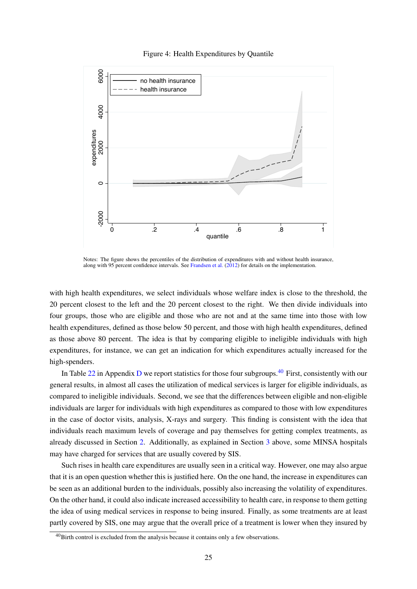#### Figure 4: Health Expenditures by Quantile

<span id="page-26-0"></span>

Notes: The figure shows the percentiles of the distribution of expenditures with and without health insurance, along with 95 percent confidence intervals. See [Frandsen et al.](#page-36-16) [\(2012\)](#page-36-16) for details on the implementation.

with high health expenditures, we select individuals whose welfare index is close to the threshold, the 20 percent closest to the left and the 20 percent closest to the right. We then divide individuals into four groups, those who are eligible and those who are not and at the same time into those with low health expenditures, defined as those below 50 percent, and those with high health expenditures, defined as those above 80 percent. The idea is that by comparing eligible to ineligible individuals with high expenditures, for instance, we can get an indication for which expenditures actually increased for the high-spenders.

In Table [22](#page-51-0) in Appendix [D](#page-48-2) we report statistics for those four subgroups.<sup>[40](#page-26-1)</sup> First, consistently with our general results, in almost all cases the utilization of medical services is larger for eligible individuals, as compared to ineligible individuals. Second, we see that the differences between eligible and non-eligible individuals are larger for individuals with high expenditures as compared to those with low expenditures in the case of doctor visits, analysis, X-rays and surgery. This finding is consistent with the idea that individuals reach maximum levels of coverage and pay themselves for getting complex treatments, as already discussed in Section [2.](#page-8-0) Additionally, as explained in Section [3](#page-10-0) above, some MINSA hospitals may have charged for services that are usually covered by SIS.

Such rises in health care expenditures are usually seen in a critical way. However, one may also argue that it is an open question whether this is justified here. On the one hand, the increase in expenditures can be seen as an additional burden to the individuals, possibly also increasing the volatility of expenditures. On the other hand, it could also indicate increased accessibility to health care, in response to them getting the idea of using medical services in response to being insured. Finally, as some treatments are at least partly covered by SIS, one may argue that the overall price of a treatment is lower when they insured by

<span id="page-26-1"></span> $^{40}$ Birth control is excluded from the analysis because it contains only a few observations.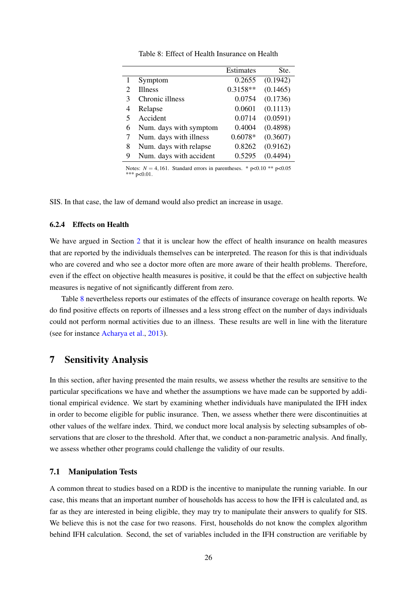<span id="page-27-2"></span>

|   |                         | Estimates  | Ste.     |
|---|-------------------------|------------|----------|
|   | Symptom                 | 0.2655     | (0.1942) |
| 2 | <b>Illness</b>          | $0.3158**$ | (0.1465) |
| 3 | Chronic illness         | 0.0754     | (0.1736) |
| 4 | Relapse                 | 0.0601     | (0.1113) |
| 5 | Accident                | 0.0714     | (0.0591) |
| 6 | Num. days with symptom  | 0.4004     | (0.4898) |
| 7 | Num. days with illness  | $0.6078*$  | (0.3607) |
| 8 | Num. days with relapse  | 0.8262     | (0.9162) |
| 9 | Num. days with accident | 0.5295     | (0.4494) |

Table 8: Effect of Health Insurance on Health

Notes:  $N = 4,161$ . Standard errors in parentheses. \*  $p < 0.10$  \*\*  $p < 0.05$ \*\*\* p<0.01.

SIS. In that case, the law of demand would also predict an increase in usage.

#### 6.2.4 Effects on Health

We have argued in Section [2](#page-8-0) that it is unclear how the effect of health insurance on health measures that are reported by the individuals themselves can be interpreted. The reason for this is that individuals who are covered and who see a doctor more often are more aware of their health problems. Therefore, even if the effect on objective health measures is positive, it could be that the effect on subjective health measures is negative of not significantly different from zero.

Table [8](#page-27-2) nevertheless reports our estimates of the effects of insurance coverage on health reports. We do find positive effects on reports of illnesses and a less strong effect on the number of days individuals could not perform normal activities due to an illness. These results are well in line with the literature (see for instance [Acharya et al.,](#page-34-3) [2013\)](#page-34-3).

### <span id="page-27-0"></span>7 Sensitivity Analysis

In this section, after having presented the main results, we assess whether the results are sensitive to the particular specifications we have and whether the assumptions we have made can be supported by additional empirical evidence. We start by examining whether individuals have manipulated the IFH index in order to become eligible for public insurance. Then, we assess whether there were discontinuities at other values of the welfare index. Third, we conduct more local analysis by selecting subsamples of observations that are closer to the threshold. After that, we conduct a non-parametric analysis. And finally, we assess whether other programs could challenge the validity of our results.

### <span id="page-27-1"></span>7.1 Manipulation Tests

A common threat to studies based on a RDD is the incentive to manipulate the running variable. In our case, this means that an important number of households has access to how the IFH is calculated and, as far as they are interested in being eligible, they may try to manipulate their answers to qualify for SIS. We believe this is not the case for two reasons. First, households do not know the complex algorithm behind IFH calculation. Second, the set of variables included in the IFH construction are verifiable by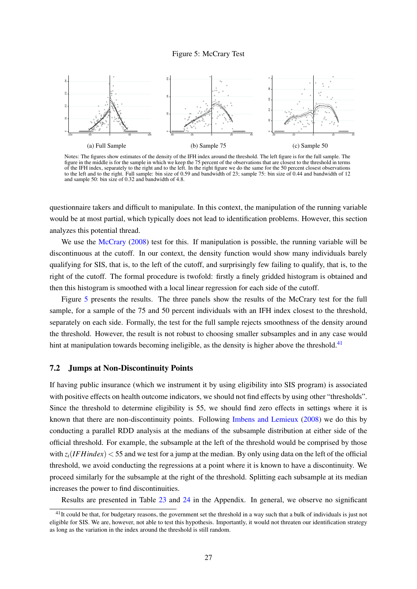#### Figure 5: McCrary Test

<span id="page-28-0"></span>

Notes: The figures show estimates of the density of the IFH index around the threshold. The left figure is for the full sample. The figure in the middle is for the sample in which we keep the 75 percent of the observations that are closest to the threshold in terms of the IFH index, separately to the right and to the left. In the right figure we do the same for the 50 percent closest observations to the left and to the right. Full sample: bin size of 0.59 and bandwidth of 23; sample 75: bin size of 0.44 and bandwidth of 12 and sample 50: bin size of 0.32 and bandwidth of 4.8.

questionnaire takers and difficult to manipulate. In this context, the manipulation of the running variable would be at most partial, which typically does not lead to identification problems. However, this section analyzes this potential thread.

We use the [McCrary](#page-37-18) [\(2008\)](#page-37-18) test for this. If manipulation is possible, the running variable will be discontinuous at the cutoff. In our context, the density function would show many individuals barely qualifying for SIS, that is, to the left of the cutoff, and surprisingly few failing to qualify, that is, to the right of the cutoff. The formal procedure is twofold: firstly a finely gridded histogram is obtained and then this histogram is smoothed with a local linear regression for each side of the cutoff.

Figure [5](#page-28-0) presents the results. The three panels show the results of the McCrary test for the full sample, for a sample of the 75 and 50 percent individuals with an IFH index closest to the threshold, separately on each side. Formally, the test for the full sample rejects smoothness of the density around the threshold. However, the result is not robust to choosing smaller subsamples and in any case would hint at manipulation towards becoming ineligible, as the density is higher above the threshold.<sup>[41](#page-28-1)</sup>

### 7.2 Jumps at Non-Discontinuity Points

If having public insurance (which we instrument it by using eligibility into SIS program) is associated with positive effects on health outcome indicators, we should not find effects by using other "thresholds". Since the threshold to determine eligibility is 55, we should find zero effects in settings where it is known that there are non-discontinuity points. Following [Imbens and Lemieux](#page-36-13) [\(2008\)](#page-36-13) we do this by conducting a parallel RDD analysis at the medians of the subsample distribution at either side of the official threshold. For example, the subsample at the left of the threshold would be comprised by those with  $z_i(IFHindex)$  < 55 and we test for a jump at the median. By only using data on the left of the official threshold, we avoid conducting the regressions at a point where it is known to have a discontinuity. We proceed similarly for the subsample at the right of the threshold. Splitting each subsample at its median increases the power to find discontinuities.

Results are presented in Table [23](#page-52-0) and [24](#page-53-0) in the Appendix. In general, we observe no significant

<span id="page-28-1"></span> $41$ It could be that, for budgetary reasons, the government set the threshold in a way such that a bulk of individuals is just not eligible for SIS. We are, however, not able to test this hypothesis. Importantly, it would not threaten our identification strategy as long as the variation in the index around the threshold is still random.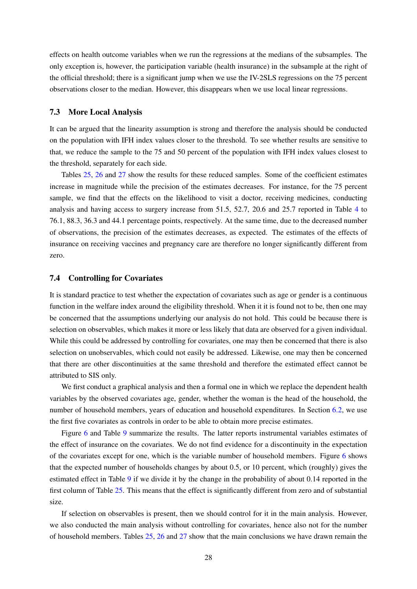effects on health outcome variables when we run the regressions at the medians of the subsamples. The only exception is, however, the participation variable (health insurance) in the subsample at the right of the official threshold; there is a significant jump when we use the IV-2SLS regressions on the 75 percent observations closer to the median. However, this disappears when we use local linear regressions.

### 7.3 More Local Analysis

It can be argued that the linearity assumption is strong and therefore the analysis should be conducted on the population with IFH index values closer to the threshold. To see whether results are sensitive to that, we reduce the sample to the 75 and 50 percent of the population with IFH index values closest to the threshold, separately for each side.

Tables [25,](#page-54-0) [26](#page-54-1) and [27](#page-55-0) show the results for these reduced samples. Some of the coefficient estimates increase in magnitude while the precision of the estimates decreases. For instance, for the 75 percent sample, we find that the effects on the likelihood to visit a doctor, receiving medicines, conducting analysis and having access to surgery increase from 51.5, 52.7, 20.6 and 25.7 reported in Table [4](#page-20-1) to 76.1, 88.3, 36.3 and 44.1 percentage points, respectively. At the same time, due to the decreased number of observations, the precision of the estimates decreases, as expected. The estimates of the effects of insurance on receiving vaccines and pregnancy care are therefore no longer significantly different from zero.

#### <span id="page-29-0"></span>7.4 Controlling for Covariates

It is standard practice to test whether the expectation of covariates such as age or gender is a continuous function in the welfare index around the eligibility threshold. When it it is found not to be, then one may be concerned that the assumptions underlying our analysis do not hold. This could be because there is selection on observables, which makes it more or less likely that data are observed for a given individual. While this could be addressed by controlling for covariates, one may then be concerned that there is also selection on unobservables, which could not easily be addressed. Likewise, one may then be concerned that there are other discontinuities at the same threshold and therefore the estimated effect cannot be attributed to SIS only.

We first conduct a graphical analysis and then a formal one in which we replace the dependent health variables by the observed covariates age, gender, whether the woman is the head of the household, the number of household members, years of education and household expenditures. In Section [6.2,](#page-20-3) we use the first five covariates as controls in order to be able to obtain more precise estimates.

Figure [6](#page-30-0) and Table [9](#page-30-1) summarize the results. The latter reports instrumental variables estimates of the effect of insurance on the covariates. We do not find evidence for a discontinuity in the expectation of the covariates except for one, which is the variable number of household members. Figure [6](#page-30-0) shows that the expected number of households changes by about 0.5, or 10 percent, which (roughly) gives the estimated effect in Table [9](#page-30-1) if we divide it by the change in the probability of about 0.14 reported in the first column of Table [25.](#page-54-0) This means that the effect is significantly different from zero and of substantial size.

If selection on observables is present, then we should control for it in the main analysis. However, we also conducted the main analysis without controlling for covariates, hence also not for the number of household members. Tables [25,](#page-54-0) [26](#page-54-1) and [27](#page-55-0) show that the main conclusions we have drawn remain the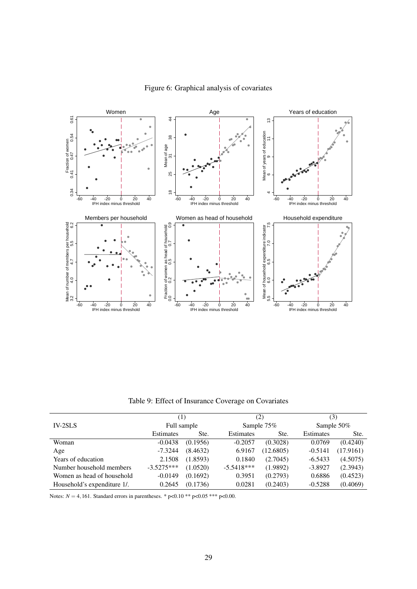<span id="page-30-0"></span>

Figure 6: Graphical analysis of covariates

Table 9: Effect of Insurance Coverage on Covariates

<span id="page-30-1"></span>

|                             |                  | (1)         |                  | (2)        |                  | (3)        |
|-----------------------------|------------------|-------------|------------------|------------|------------------|------------|
| <b>IV-2SLS</b>              |                  | Full sample |                  | Sample 75% |                  | Sample 50% |
|                             | <b>Estimates</b> | Ste.        | <b>Estimates</b> | Ste.       | <b>Estimates</b> | Ste.       |
| Woman                       | $-0.0438$        | (0.1956)    | $-0.2057$        | (0.3028)   | 0.0769           | (0.4240)   |
| Age                         | $-7.3244$        | (8.4632)    | 6.9167           | (12.6805)  | $-0.5141$        | (17.9161)  |
| Years of education          | 2.1508           | (1.8593)    | 0.1840           | (2.7045)   | $-6.5433$        | (4.5075)   |
| Number household members    | $-3.5275***$     | (1.0520)    | $-5.5418***$     | (1.9892)   | $-3.8927$        | (2.3943)   |
| Women as head of household  | $-0.0149$        | (0.1692)    | 0.3951           | (0.2793)   | 0.6886           | (0.4523)   |
| Household's expenditure 1/. | 0.2645           | (0.1736)    | 0.0281           | (0.2403)   | $-0.5288$        | (0.4069)   |

Notes:  $N = 4,161$ . Standard errors in parentheses. \* p<0.10 \*\* p<0.05 \*\*\* p<0.00.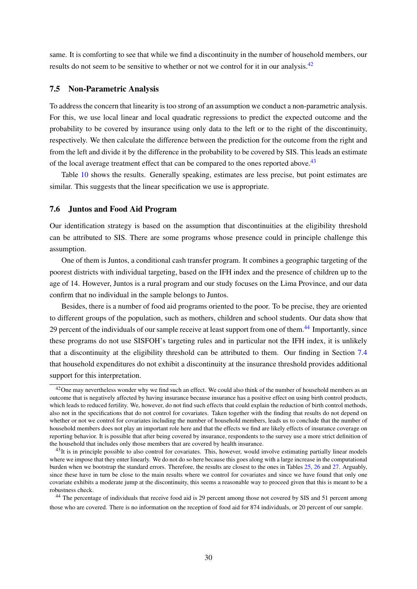same. It is comforting to see that while we find a discontinuity in the number of household members, our results do not seem to be sensitive to whether or not we control for it in our analysis.<sup>[42](#page-31-0)</sup>

### 7.5 Non-Parametric Analysis

To address the concern that linearity is too strong of an assumption we conduct a non-parametric analysis. For this, we use local linear and local quadratic regressions to predict the expected outcome and the probability to be covered by insurance using only data to the left or to the right of the discontinuity, respectively. We then calculate the difference between the prediction for the outcome from the right and from the left and divide it by the difference in the probability to be covered by SIS. This leads an estimate of the local average treatment effect that can be compared to the ones reported above.<sup>[43](#page-31-1)</sup>

Table [10](#page-32-0) shows the results. Generally speaking, estimates are less precise, but point estimates are similar. This suggests that the linear specification we use is appropriate.

#### 7.6 Juntos and Food Aid Program

Our identification strategy is based on the assumption that discontinuities at the eligibility threshold can be attributed to SIS. There are some programs whose presence could in principle challenge this assumption.

One of them is Juntos, a conditional cash transfer program. It combines a geographic targeting of the poorest districts with individual targeting, based on the IFH index and the presence of children up to the age of 14. However, Juntos is a rural program and our study focuses on the Lima Province, and our data confirm that no individual in the sample belongs to Juntos.

Besides, there is a number of food aid programs oriented to the poor. To be precise, they are oriented to different groups of the population, such as mothers, children and school students. Our data show that 29 percent of the individuals of our sample receive at least support from one of them.<sup>[44](#page-31-2)</sup> Importantly, since these programs do not use SISFOH's targeting rules and in particular not the IFH index, it is unlikely that a discontinuity at the eligibility threshold can be attributed to them. Our finding in Section [7.4](#page-29-0) that household expenditures do not exhibit a discontinuity at the insurance threshold provides additional support for this interpretation.

<span id="page-31-0"></span> $42$ One may nevertheless wonder why we find such an effect. We could also think of the number of household members as an outcome that is negatively affected by having insurance because insurance has a positive effect on using birth control products, which leads to reduced fertility. We, however, do not find such effects that could explain the reduction of birth control methods, also not in the specifications that do not control for covariates. Taken together with the finding that results do not depend on whether or not we control for covariates including the number of household members, leads us to conclude that the number of household members does not play an important role here and that the effects we find are likely effects of insurance coverage on reporting behavior. It is possible that after being covered by insurance, respondents to the survey use a more strict definition of the household that includes only those members that are covered by health insurance.

<span id="page-31-1"></span> $^{43}$ It is in principle possible to also control for covariates. This, however, would involve estimating partially linear models where we impose that they enter linearly. We do not do so here because this goes along with a large increase in the computational burden when we bootstrap the standard errors. Therefore, the results are closest to the ones in Tables [25,](#page-54-0) [26](#page-54-1) and [27.](#page-55-0) Arguably, since these have in turn be close to the main results where we control for covariates and since we have found that only one covariate exhibits a moderate jump at the discontinuity, this seems a reasonable way to proceed given that this is meant to be a robustness check.

<span id="page-31-2"></span><sup>&</sup>lt;sup>44</sup> The percentage of individuals that receive food aid is 29 percent among those not covered by SIS and 51 percent among those who are covered. There is no information on the reception of food aid for 874 individuals, or 20 percent of our sample.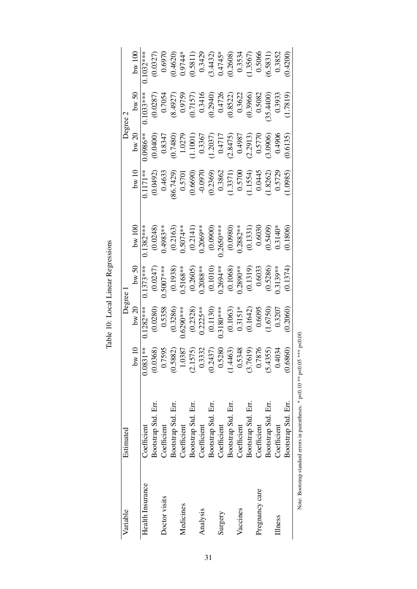<span id="page-32-0"></span>

| Variable         | Estimated                                                                     |                             | Degree                                                                                                                                |                                                                                                                                                                        |                                                                                                     |                                                                                                                                                                           |                                                                                                                                                                    | Degree 2                                                                                                                                          |                                                                                                          |
|------------------|-------------------------------------------------------------------------------|-----------------------------|---------------------------------------------------------------------------------------------------------------------------------------|------------------------------------------------------------------------------------------------------------------------------------------------------------------------|-----------------------------------------------------------------------------------------------------|---------------------------------------------------------------------------------------------------------------------------------------------------------------------------|--------------------------------------------------------------------------------------------------------------------------------------------------------------------|---------------------------------------------------------------------------------------------------------------------------------------------------|----------------------------------------------------------------------------------------------------------|
|                  |                                                                               | 10 <sub>w</sub>             | $bw$ 20                                                                                                                               | $bw$ 50                                                                                                                                                                | $bw$ 100                                                                                            | bw <sub>10</sub>                                                                                                                                                          | $bw$ 20                                                                                                                                                            | $bw$ 50                                                                                                                                           | $bw$ 100                                                                                                 |
| Health Insurance | Coefficient                                                                   | $0.0831**$                  | $1282***$                                                                                                                             | $0.1373***$                                                                                                                                                            | $0.1382***$                                                                                         | $0.1171**$                                                                                                                                                                | $0.0986**$                                                                                                                                                         | $0.1033***$                                                                                                                                       | $0.1032***$                                                                                              |
|                  | Bootstrap Std. Err.                                                           |                             |                                                                                                                                       |                                                                                                                                                                        |                                                                                                     |                                                                                                                                                                           |                                                                                                                                                                    |                                                                                                                                                   |                                                                                                          |
| Doctor visits    | Coefficient                                                                   | $(0.0368)$<br>0.7595        | $(0.0280)$<br>0.5358<br>0.3286)<br>0.6290***                                                                                          | $(0.0247)$<br>0.5007***                                                                                                                                                | $(0.0248)$<br>0.4983**                                                                              |                                                                                                                                                                           | $(0.0400)$<br>0.8347                                                                                                                                               | $(0.0287)$<br>0.7054                                                                                                                              | $(0.0327)$<br>$0.6970$                                                                                   |
|                  | Bootstrap Std. Err.                                                           | (0.5882)                    |                                                                                                                                       | (0.1938)                                                                                                                                                               | (0.2163)                                                                                            |                                                                                                                                                                           |                                                                                                                                                                    | (8.4927)                                                                                                                                          |                                                                                                          |
| Medicines        | Coefficient                                                                   | 1.0387                      |                                                                                                                                       |                                                                                                                                                                        |                                                                                                     |                                                                                                                                                                           |                                                                                                                                                                    | 0.9759                                                                                                                                            | $(0.4620)$<br>$0.9744*$                                                                                  |
|                  | Bootstrap Std. Err.                                                           | (2.1575)                    | $\begin{array}{c} (0.2328) \\ 0.2225^{**} \\ (0.1130) \\ 0.3180^{***} \\ (0.1063) \\ (0.1063) \\ (0.1642) \\ (0.1642) \\ \end{array}$ | $\begin{array}{l} 0.5168^{**} \\ 0.2605) \\ 0.2088^{**} \\ 0.1010) \\ 0.2694^{**} \\ 0.1068) \\ 0.2890^{**} \\ 0.1068) \\ 0.0390^{**} \\ 0.0333 \\ 0.6033 \end{array}$ | $\begin{array}{c} 0.5074** \\ (0.2141) \\ 0.2069** \\ (0.0960) \\ (0.0900) \\ 0.2650** \end{array}$ | $\begin{array}{c} (0.0492) \\ 0.4633 \\ (86.7429) \\ 0.5701 \\ (0.6690) \\ (0.0369) \\ (0.2369) \\ (0.3862) \\ (1.371) \\ (1.574) \\ (1.1554) \\ (1.1554) \\ \end{array}$ | $\begin{array}{c} (0.7480) \\ (1.1001) \\ (1.1001) \\ (0.3367) \\ (1.2037) \\ (0.4717) \\ (2.8475) \\ (2.8475) \\ (2.2913) \\ (2.2913) \\ (3.5770) \\ \end{array}$ |                                                                                                                                                   | $(0.5811)$<br>$0.3429$                                                                                   |
| Analysis         | Coefficient                                                                   | 0.3332                      |                                                                                                                                       |                                                                                                                                                                        |                                                                                                     |                                                                                                                                                                           |                                                                                                                                                                    |                                                                                                                                                   |                                                                                                          |
|                  | Bootstrap Std. Err.                                                           | $(0.2437)$<br>0.5280        |                                                                                                                                       |                                                                                                                                                                        |                                                                                                     |                                                                                                                                                                           |                                                                                                                                                                    | $\begin{array}{l} (0.7157) \\ 0.3416 \\ (0.2940) \\ 0.4726 \\ (0.8522) \\ (0.8522) \\ (0.360) \\ (0.3966) \\ (0.3966) \\ (0.3966) \\ \end{array}$ | $\begin{array}{c} (3.4432) \\ 0.4745^{*} \\ (0.2608) \\ (0.3534) \\ (1.3567) \\ (1.3567) \\ \end{array}$ |
| Surgery          | Coefficient                                                                   |                             |                                                                                                                                       |                                                                                                                                                                        |                                                                                                     |                                                                                                                                                                           |                                                                                                                                                                    |                                                                                                                                                   |                                                                                                          |
|                  | Bootstrap Std. Err.                                                           | (1.4463)                    |                                                                                                                                       |                                                                                                                                                                        |                                                                                                     |                                                                                                                                                                           |                                                                                                                                                                    |                                                                                                                                                   |                                                                                                          |
| Vaccines         | Coefficient                                                                   | 0.5348                      |                                                                                                                                       |                                                                                                                                                                        |                                                                                                     |                                                                                                                                                                           |                                                                                                                                                                    |                                                                                                                                                   |                                                                                                          |
|                  | Bootstrap Std. Err.                                                           | (3.7619)                    |                                                                                                                                       |                                                                                                                                                                        | $\begin{array}{c} (0.0980) \\ 0.2882^{**} \\ (0.1331) \\ (0.6030 \end{array}$                       |                                                                                                                                                                           |                                                                                                                                                                    |                                                                                                                                                   |                                                                                                          |
| Pregnancy care   | Coefficient                                                                   | 0.7876                      |                                                                                                                                       |                                                                                                                                                                        |                                                                                                     |                                                                                                                                                                           |                                                                                                                                                                    |                                                                                                                                                   |                                                                                                          |
|                  | Bootstrap Std. Err.                                                           | (5.4355)                    | (1.6750)                                                                                                                              |                                                                                                                                                                        | (0.5409)                                                                                            | $(1.8262)$<br>0.5729                                                                                                                                                      | $(3.0906)$<br>0.4906                                                                                                                                               | (35.4400)                                                                                                                                         | (6.5831)                                                                                                 |
| <b>Illness</b>   | Coefficient                                                                   | 0.4034                      | 0.3207                                                                                                                                | 1.3139**                                                                                                                                                               | $0.3140*$                                                                                           |                                                                                                                                                                           |                                                                                                                                                                    | 0.3933                                                                                                                                            | 0.3852                                                                                                   |
|                  | Bootstrap Std. Err.                                                           | 860)<br>$\widetilde{\odot}$ | 0.2060                                                                                                                                | (0.1374)                                                                                                                                                               | (0.1806)                                                                                            | 1.0985)                                                                                                                                                                   | (0.6135)                                                                                                                                                           | (1.7819)                                                                                                                                          | (0.4200)                                                                                                 |
|                  | Note: Bootstrap standard errors in parentheses. * p<0.10 ** p<0.05 *** p<0.00 |                             |                                                                                                                                       |                                                                                                                                                                        |                                                                                                     |                                                                                                                                                                           |                                                                                                                                                                    |                                                                                                                                                   |                                                                                                          |

Table 10: Local Linear Regressions Table 10: Local Linear Regressions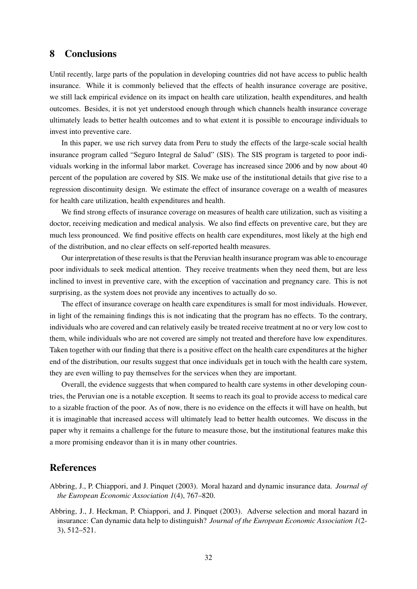## <span id="page-33-0"></span>8 Conclusions

Until recently, large parts of the population in developing countries did not have access to public health insurance. While it is commonly believed that the effects of health insurance coverage are positive, we still lack empirical evidence on its impact on health care utilization, health expenditures, and health outcomes. Besides, it is not yet understood enough through which channels health insurance coverage ultimately leads to better health outcomes and to what extent it is possible to encourage individuals to invest into preventive care.

In this paper, we use rich survey data from Peru to study the effects of the large-scale social health insurance program called "Seguro Integral de Salud" (SIS). The SIS program is targeted to poor individuals working in the informal labor market. Coverage has increased since 2006 and by now about 40 percent of the population are covered by SIS. We make use of the institutional details that give rise to a regression discontinuity design. We estimate the effect of insurance coverage on a wealth of measures for health care utilization, health expenditures and health.

We find strong effects of insurance coverage on measures of health care utilization, such as visiting a doctor, receiving medication and medical analysis. We also find effects on preventive care, but they are much less pronounced. We find positive effects on health care expenditures, most likely at the high end of the distribution, and no clear effects on self-reported health measures.

Our interpretation of these results is that the Peruvian health insurance program was able to encourage poor individuals to seek medical attention. They receive treatments when they need them, but are less inclined to invest in preventive care, with the exception of vaccination and pregnancy care. This is not surprising, as the system does not provide any incentives to actually do so.

The effect of insurance coverage on health care expenditures is small for most individuals. However, in light of the remaining findings this is not indicating that the program has no effects. To the contrary, individuals who are covered and can relatively easily be treated receive treatment at no or very low cost to them, while individuals who are not covered are simply not treated and therefore have low expenditures. Taken together with our finding that there is a positive effect on the health care expenditures at the higher end of the distribution, our results suggest that once individuals get in touch with the health care system, they are even willing to pay themselves for the services when they are important.

Overall, the evidence suggests that when compared to health care systems in other developing countries, the Peruvian one is a notable exception. It seems to reach its goal to provide access to medical care to a sizable fraction of the poor. As of now, there is no evidence on the effects it will have on health, but it is imaginable that increased access will ultimately lead to better health outcomes. We discuss in the paper why it remains a challenge for the future to measure those, but the institutional features make this a more promising endeavor than it is in many other countries.

## References

<span id="page-33-2"></span>Abbring, J., P. Chiappori, and J. Pinquet (2003). Moral hazard and dynamic insurance data. *Journal of the European Economic Association 1*(4), 767–820.

<span id="page-33-1"></span>Abbring, J., J. Heckman, P. Chiappori, and J. Pinquet (2003). Adverse selection and moral hazard in insurance: Can dynamic data help to distinguish? *Journal of the European Economic Association 1*(2- 3), 512–521.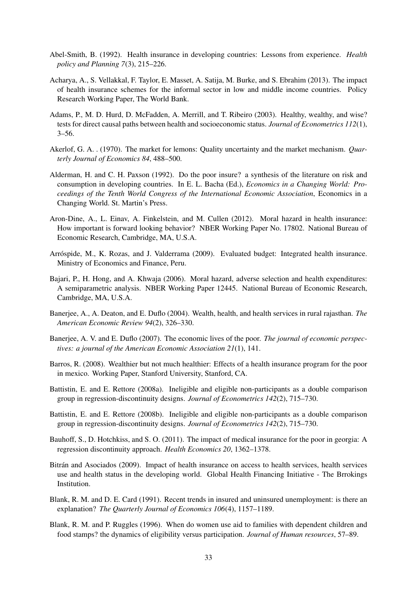- <span id="page-34-2"></span>Abel-Smith, B. (1992). Health insurance in developing countries: Lessons from experience. *Health policy and Planning 7*(3), 215–226.
- <span id="page-34-3"></span>Acharya, A., S. Vellakkal, F. Taylor, E. Masset, A. Satija, M. Burke, and S. Ebrahim (2013). The impact of health insurance schemes for the informal sector in low and middle income countries. Policy Research Working Paper, The World Bank.
- <span id="page-34-8"></span>Adams, P., M. D. Hurd, D. McFadden, A. Merrill, and T. Ribeiro (2003). Healthy, wealthy, and wise? tests for direct causal paths between health and socioeconomic status. *Journal of Econometrics 112*(1), 3–56.
- <span id="page-34-9"></span>Akerlof, G. A. . (1970). The market for lemons: Quality uncertainty and the market mechanism. *Quarterly Journal of Economics 84*, 488–500.
- <span id="page-34-12"></span>Alderman, H. and C. H. Paxson (1992). Do the poor insure? a synthesis of the literature on risk and consumption in developing countries. In E. L. Bacha (Ed.), *Economics in a Changing World: Proceedings of the Tenth World Congress of the International Economic Association*, Economics in a Changing World. St. Martin's Press.
- <span id="page-34-11"></span>Aron-Dine, A., L. Einav, A. Finkelstein, and M. Cullen (2012). Moral hazard in health insurance: How important is forward looking behavior? NBER Working Paper No. 17802. National Bureau of Economic Research, Cambridge, MA, U.S.A.
- <span id="page-34-5"></span>Arróspide, M., K. Rozas, and J. Valderrama (2009). Evaluated budget: Integrated health insurance. Ministry of Economics and Finance, Peru.
- <span id="page-34-10"></span>Bajari, P., H. Hong, and A. Khwaja (2006). Moral hazard, adverse selection and health expenditures: A semiparametric analysis. NBER Working Paper 12445. National Bureau of Economic Research, Cambridge, MA, U.S.A.
- <span id="page-34-0"></span>Banerjee, A., A. Deaton, and E. Duflo (2004). Wealth, health, and health services in rural rajasthan. *The American Economic Review 94*(2), 326–330.
- <span id="page-34-1"></span>Banerjee, A. V. and E. Duflo (2007). The economic lives of the poor. *The journal of economic perspectives: a journal of the American Economic Association 21*(1), 141.
- <span id="page-34-6"></span>Barros, R. (2008). Wealthier but not much healthier: Effects of a health insurance program for the poor in mexico. Working Paper, Stanford University, Stanford, CA.
- <span id="page-34-15"></span>Battistin, E. and E. Rettore (2008a). Ineligible and eligible non-participants as a double comparison group in regression-discontinuity designs. *Journal of Econometrics 142*(2), 715–730.
- <span id="page-34-16"></span>Battistin, E. and E. Rettore (2008b). Ineligible and eligible non-participants as a double comparison group in regression-discontinuity designs. *Journal of Econometrics 142*(2), 715–730.
- <span id="page-34-7"></span>Bauhoff, S., D. Hotchkiss, and S. O. (2011). The impact of medical insurance for the poor in georgia: A regression discontinuity approach. *Health Economics 20*, 1362–1378.
- <span id="page-34-4"></span>Bitrán and Asociados (2009). Impact of health insurance on access to health services, health services use and health status in the developing world. Global Health Financing Initiative - The Brrokings Institution.
- <span id="page-34-13"></span>Blank, R. M. and D. E. Card (1991). Recent trends in insured and uninsured unemployment: is there an explanation? *The Quarterly Journal of Economics 106*(4), 1157–1189.
- <span id="page-34-14"></span>Blank, R. M. and P. Ruggles (1996). When do women use aid to families with dependent children and food stamps? the dynamics of eligibility versus participation. *Journal of Human resources*, 57–89.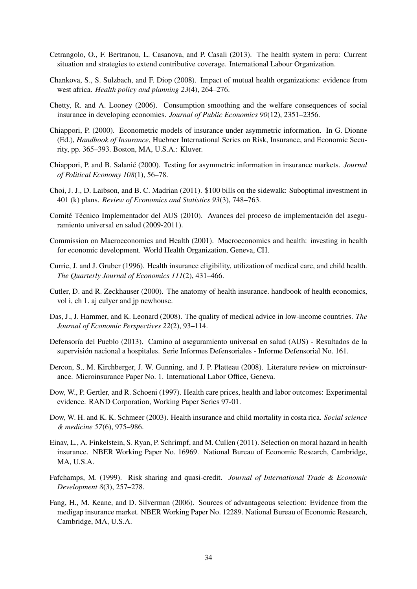- <span id="page-35-16"></span>Cetrangolo, O., F. Bertranou, L. Casanova, and P. Casali (2013). The health system in peru: Current situation and strategies to extend contributive coverage. International Labour Organization.
- <span id="page-35-2"></span>Chankova, S., S. Sulzbach, and F. Diop (2008). Impact of mutual health organizations: evidence from west africa. *Health policy and planning 23*(4), 264–276.
- <span id="page-35-12"></span>Chetty, R. and A. Looney (2006). Consumption smoothing and the welfare consequences of social insurance in developing economies. *Journal of Public Economics 90*(12), 2351–2356.
- <span id="page-35-8"></span>Chiappori, P. (2000). Econometric models of insurance under asymmetric information. In G. Dionne (Ed.), *Handbook of Insurance*, Huebner International Series on Risk, Insurance, and Economic Security, pp. 365–393. Boston, MA, U.S.A.: Kluver.
- <span id="page-35-9"></span>Chiappori, P. and B. Salanié (2000). Testing for asymmetric information in insurance markets. *Journal of Political Economy 108*(1), 56–78.
- <span id="page-35-15"></span>Choi, J. J., D. Laibson, and B. C. Madrian (2011). \$100 bills on the sidewalk: Suboptimal investment in 401 (k) plans. *Review of Economics and Statistics 93*(3), 748–763.
- <span id="page-35-6"></span>Comité Técnico Implementador del AUS (2010). Avances del proceso de implementación del aseguramiento universal en salud (2009-2011).
- <span id="page-35-0"></span>Commission on Macroeconomics and Health (2001). Macroeconomics and health: investing in health for economic development. World Health Organization, Geneva, CH.
- <span id="page-35-14"></span>Currie, J. and J. Gruber (1996). Health insurance eligibility, utilization of medical care, and child health. *The Quarterly Journal of Economics 111*(2), 431–466.
- <span id="page-35-7"></span>Cutler, D. and R. Zeckhauser (2000). The anatomy of health insurance. handbook of health economics, vol i, ch 1. aj culyer and jp newhouse.
- <span id="page-35-13"></span>Das, J., J. Hammer, and K. Leonard (2008). The quality of medical advice in low-income countries. *The Journal of Economic Perspectives 22*(2), 93–114.
- <span id="page-35-5"></span>Defensoría del Pueblo (2013). Camino al aseguramiento universal en salud (AUS) - Resultados de la supervisión nacional a hospitales. Serie Informes Defensoriales - Informe Defensorial No. 161.
- <span id="page-35-3"></span>Dercon, S., M. Kirchberger, J. W. Gunning, and J. P. Platteau (2008). Literature review on microinsurance. Microinsurance Paper No. 1. International Labor Office, Geneva.
- <span id="page-35-17"></span>Dow, W., P. Gertler, and R. Schoeni (1997). Health care prices, health and labor outcomes: Experimental evidence. RAND Corporation, Working Paper Series 97-01.
- <span id="page-35-4"></span>Dow, W. H. and K. K. Schmeer (2003). Health insurance and child mortality in costa rica. *Social science & medicine 57*(6), 975–986.
- <span id="page-35-11"></span>Einav, L., A. Finkelstein, S. Ryan, P. Schrimpf, and M. Cullen (2011). Selection on moral hazard in health insurance. NBER Working Paper No. 16969. National Bureau of Economic Research, Cambridge, MA, U.S.A.
- <span id="page-35-1"></span>Fafchamps, M. (1999). Risk sharing and quasi-credit. *Journal of International Trade & Economic Development 8*(3), 257–278.
- <span id="page-35-10"></span>Fang, H., M. Keane, and D. Silverman (2006). Sources of advantageous selection: Evidence from the medigap insurance market. NBER Working Paper No. 12289. National Bureau of Economic Research, Cambridge, MA, U.S.A.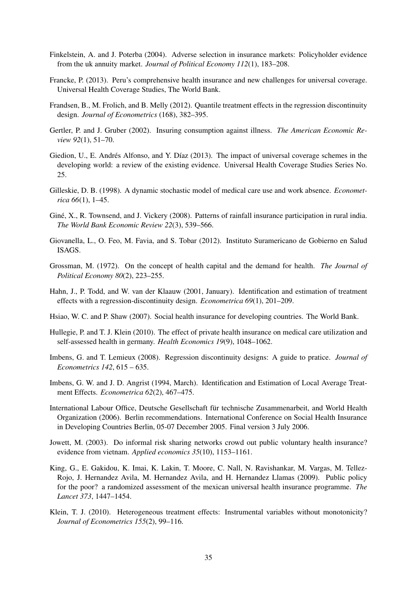- <span id="page-36-9"></span>Finkelstein, A. and J. Poterba (2004). Adverse selection in insurance markets: Policyholder evidence from the uk annuity market. *Journal of Political Economy 112*(1), 183–208.
- <span id="page-36-4"></span>Francke, P. (2013). Peru's comprehensive health insurance and new challenges for universal coverage. Universal Health Coverage Studies, The World Bank.
- <span id="page-36-16"></span>Frandsen, B., M. Frolich, and B. Melly (2012). Quantile treatment effects in the regression discontinuity design. *Journal of Econometrics* (168), 382–395.
- <span id="page-36-10"></span>Gertler, P. and J. Gruber (2002). Insuring consumption against illness. *The American Economic Review 92*(1), 51–70.
- <span id="page-36-5"></span>Giedion, U., E. Andrés Alfonso, and Y. Díaz (2013). The impact of universal coverage schemes in the developing world: a review of the existing evidence. Universal Health Coverage Studies Series No. 25.
- <span id="page-36-8"></span>Gilleskie, D. B. (1998). A dynamic stochastic model of medical care use and work absence. *Econometrica 66*(1), 1–45.
- <span id="page-36-3"></span>Giné, X., R. Townsend, and J. Vickery (2008). Patterns of rainfall insurance participation in rural india. *The World Bank Economic Review 22*(3), 539–566.
- <span id="page-36-11"></span>Giovanella, L., O. Feo, M. Favia, and S. Tobar (2012). Instituto Suramericano de Gobierno en Salud ISAGS.
- <span id="page-36-7"></span>Grossman, M. (1972). On the concept of health capital and the demand for health. *The Journal of Political Economy 80*(2), 223–255.
- <span id="page-36-12"></span>Hahn, J., P. Todd, and W. van der Klaauw (2001, January). Identification and estimation of treatment effects with a regression-discontinuity design. *Econometrica 69*(1), 201–209.
- <span id="page-36-0"></span>Hsiao, W. C. and P. Shaw (2007). Social health insurance for developing countries. The World Bank.
- <span id="page-36-17"></span>Hullegie, P. and T. J. Klein (2010). The effect of private health insurance on medical care utilization and self-assessed health in germany. *Health Economics 19*(9), 1048–1062.
- <span id="page-36-13"></span>Imbens, G. and T. Lemieux (2008). Regression discontinuity designs: A guide to pratice. *Journal of Econometrics 142*, 615 – 635.
- <span id="page-36-14"></span>Imbens, G. W. and J. D. Angrist (1994, March). Identification and Estimation of Local Average Treatment Effects. *Econometrica 62*(2), 467–475.
- <span id="page-36-1"></span>International Labour Office, Deutsche Gesellschaft für technische Zusammenarbeit, and World Health Organization (2006). Berlin recommendations. International Conference on Social Health Insurance in Developing Countries Berlin, 05-07 December 2005. Final version 3 July 2006.
- <span id="page-36-2"></span>Jowett, M. (2003). Do informal risk sharing networks crowd out public voluntary health insurance? evidence from vietnam. *Applied economics 35*(10), 1153–1161.
- <span id="page-36-6"></span>King, G., E. Gakidou, K. Imai, K. Lakin, T. Moore, C. Nall, N. Ravishankar, M. Vargas, M. Tellez-Rojo, J. Hernandez Avila, M. Hernandez Avila, and H. Hernandez Llamas (2009). Public policy for the poor? a randomized assessment of the mexican universal health insurance programme. *The Lancet 373*, 1447–1454.
- <span id="page-36-15"></span>Klein, T. J. (2010). Heterogeneous treatment effects: Instrumental variables without monotonicity? *Journal of Econometrics 155*(2), 99–116.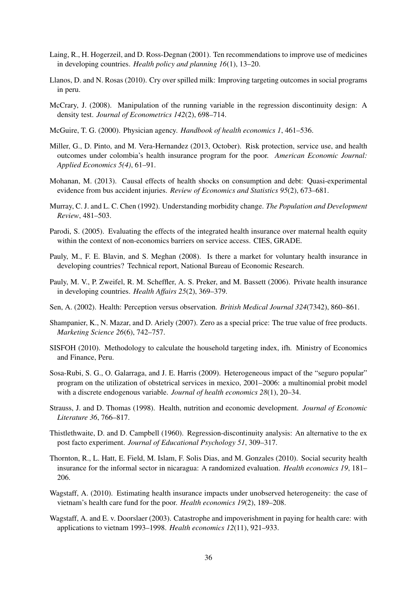- <span id="page-37-13"></span>Laing, R., H. Hogerzeil, and D. Ross-Degnan (2001). Ten recommendations to improve use of medicines in developing countries. *Health policy and planning 16*(1), 13–20.
- <span id="page-37-16"></span>Llanos, D. and N. Rosas (2010). Cry over spilled milk: Improving targeting outcomes in social programs in peru.
- <span id="page-37-18"></span>McCrary, J. (2008). Manipulation of the running variable in the regression discontinuity design: A density test. *Journal of Econometrics 142*(2), 698–714.
- <span id="page-37-10"></span>McGuire, T. G. (2000). Physician agency. *Handbook of health economics 1*, 461–536.
- <span id="page-37-6"></span>Miller, G., D. Pinto, and M. Vera-Hernandez (2013, October). Risk protection, service use, and health outcomes under colombia's health insurance program for the poor. *American Economic Journal: Applied Economics 5(4)*, 61–91.
- <span id="page-37-9"></span>Mohanan, M. (2013). Causal effects of health shocks on consumption and debt: Quasi-experimental evidence from bus accident injuries. *Review of Economics and Statistics 95*(2), 673–681.
- <span id="page-37-14"></span>Murray, C. J. and L. C. Chen (1992). Understanding morbidity change. *The Population and Development Review*, 481–503.
- <span id="page-37-2"></span>Parodi, S. (2005). Evaluating the effects of the integrated health insurance over maternal health equity within the context of non-economics barriers on service access. CIES, GRADE.
- <span id="page-37-8"></span>Pauly, M., F. E. Blavin, and S. Meghan (2008). Is there a market for voluntary health insurance in developing countries? Technical report, National Bureau of Economic Research.
- <span id="page-37-1"></span>Pauly, M. V., P. Zweifel, R. M. Scheffler, A. S. Preker, and M. Bassett (2006). Private health insurance in developing countries. *Health Affairs 25*(2), 369–379.
- <span id="page-37-12"></span>Sen, A. (2002). Health: Perception versus observation. *British Medical Journal 324*(7342), 860–861.
- <span id="page-37-7"></span>Shampanier, K., N. Mazar, and D. Ariely (2007). Zero as a special price: The true value of free products. *Marketing Science 26*(6), 742–757.
- <span id="page-37-15"></span>SISFOH (2010). Methodology to calculate the household targeting index, ifh. Ministry of Economics and Finance, Peru.
- <span id="page-37-4"></span>Sosa-Rubi, S. G., O. Galarraga, and J. E. Harris (2009). Heterogeneous impact of the "seguro popular" program on the utilization of obstetrical services in mexico, 2001–2006: a multinomial probit model with a discrete endogenous variable. *Journal of health economics 28*(1), 20–34.
- <span id="page-37-11"></span>Strauss, J. and D. Thomas (1998). Health, nutrition and economic development. *Journal of Economic Literature 36*, 766–817.
- <span id="page-37-17"></span>Thistlethwaite, D. and D. Campbell (1960). Regression-discontinuity analysis: An alternative to the ex post facto experiment. *Journal of Educational Psychology 51*, 309–317.
- <span id="page-37-3"></span>Thornton, R., L. Hatt, E. Field, M. Islam, F. Solis Dias, and M. Gonzales (2010). Social security health insurance for the informal sector in nicaragua: A randomized evaluation. *Health economics 19*, 181– 206.
- <span id="page-37-5"></span>Wagstaff, A. (2010). Estimating health insurance impacts under unobserved heterogeneity: the case of vietnam's health care fund for the poor. *Health economics 19*(2), 189–208.
- <span id="page-37-0"></span>Wagstaff, A. and E. v. Doorslaer (2003). Catastrophe and impoverishment in paying for health care: with applications to vietnam 1993–1998. *Health economics 12*(11), 921–933.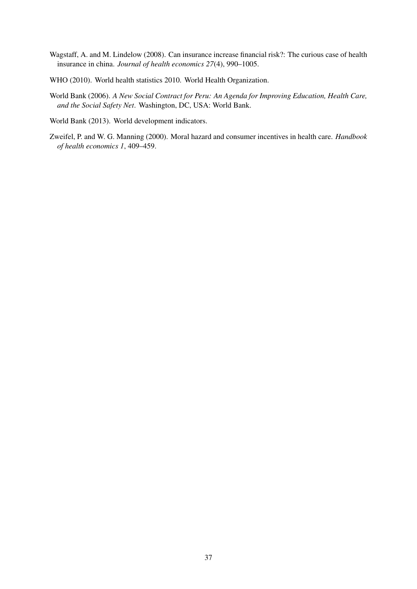- <span id="page-38-3"></span>Wagstaff, A. and M. Lindelow (2008). Can insurance increase financial risk?: The curious case of health insurance in china. *Journal of health economics 27*(4), 990–1005.
- <span id="page-38-0"></span>WHO (2010). World health statistics 2010. World Health Organization.
- <span id="page-38-4"></span>World Bank (2006). *A New Social Contract for Peru: An Agenda for Improving Education, Health Care, and the Social Safety Net*. Washington, DC, USA: World Bank.

<span id="page-38-1"></span>World Bank (2013). World development indicators.

<span id="page-38-2"></span>Zweifel, P. and W. G. Manning (2000). Moral hazard and consumer incentives in health care. *Handbook of health economics 1*, 409–459.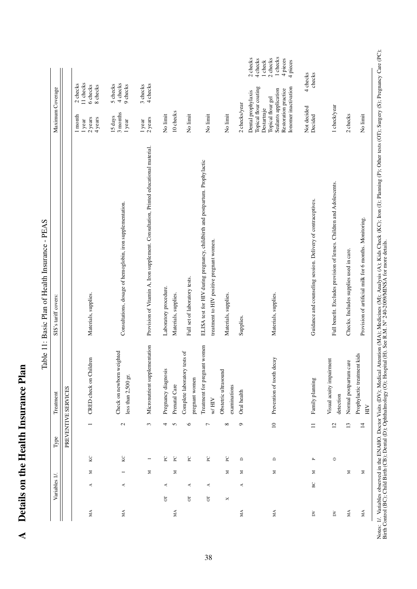<span id="page-39-1"></span><span id="page-39-0"></span>

|        |                |             |                   |                |                                                            |                                                                                                                           | Maximum Coverage                                                                                                                                        |                                                                                 |
|--------|----------------|-------------|-------------------|----------------|------------------------------------------------------------|---------------------------------------------------------------------------------------------------------------------------|---------------------------------------------------------------------------------------------------------------------------------------------------------|---------------------------------------------------------------------------------|
|        |                |             |                   |                | PREVENTIVE SERVICES                                        |                                                                                                                           |                                                                                                                                                         |                                                                                 |
|        |                |             |                   |                |                                                            |                                                                                                                           | 1 month                                                                                                                                                 | 2 checks                                                                        |
|        |                |             |                   |                |                                                            |                                                                                                                           | 1 year                                                                                                                                                  | 11 checks                                                                       |
| МA     |                | ⋖           | KC<br>Σ           | $\overline{ }$ | CRED check on Children                                     | Materials, supplies.                                                                                                      | 2 years                                                                                                                                                 | 6 checks                                                                        |
|        |                |             |                   |                |                                                            |                                                                                                                           | 4 years                                                                                                                                                 | 8 checks                                                                        |
|        |                |             |                   |                |                                                            |                                                                                                                           | 15 days                                                                                                                                                 | 5 checks                                                                        |
|        |                |             |                   |                | Check on newborn weighted                                  |                                                                                                                           | 3 months                                                                                                                                                | 4 checks                                                                        |
| МA     |                | ≺           | KC                | $\mathcal{L}$  | less than 2,500 gr.                                        | Consultations, dosage of hemoglobin, iron supplementation.                                                                | 1 year                                                                                                                                                  | 9 checks                                                                        |
|        |                |             |                   |                |                                                            |                                                                                                                           |                                                                                                                                                         |                                                                                 |
|        |                |             | Σ                 | 3              | Micronutrient supplementation                              | Provision of Vitamin A, Iron supplement. Consultation, Printed educational material.                                      | 2 years<br>1 year                                                                                                                                       | 4 checks<br>3 checks                                                            |
|        | 5              | ⋖           | 55                | 4              | Pregnancy diagnosis                                        | Laboratory procedure.                                                                                                     | No limit                                                                                                                                                |                                                                                 |
| МA     |                |             | R<br>Σ            | 5              | Prenatal Care                                              | Materials, supplies.                                                                                                      | 10 checks                                                                                                                                               |                                                                                 |
|        | 5              | ≺           | R                 | $\circ$        | Complete laboratory tests of<br>pregnant women             | Full set of laboratory tests.                                                                                             | No limit                                                                                                                                                |                                                                                 |
|        | $\overline{5}$ | ⋖           | R                 | $\overline{ }$ | Treatment for pregnant women<br>w/HIV                      | ELISA test for HIV during pregnancy, childbirth and postpartum. Prophylactic<br>treatment to HIV positive pregnant women. | No limit                                                                                                                                                |                                                                                 |
|        |                |             |                   |                | Obstetric ultrasound                                       |                                                                                                                           | No limit                                                                                                                                                |                                                                                 |
|        | ×              |             | R<br>Σ            | ${}^{\circ}$   | examinations                                               | Materials, supplies.                                                                                                      |                                                                                                                                                         |                                                                                 |
| MA     |                | ≺           | $\Box$<br>Σ       | ۰              | Oral health                                                | Supplies.                                                                                                                 | 2 checks/year                                                                                                                                           |                                                                                 |
| МA     |                |             | ≏<br>Σ            | $\Xi$          | Prevention of tooth decay                                  | Materials, supplies.                                                                                                      | Topical flour coating<br>Ionomer inactivation<br>Sealants application<br>Restoration practice<br>Dental prophylaxis<br>Topical flour gel<br>Destartraje | 1 checks<br>2 checks<br>4 checks<br>2 checks<br>4 pieces<br>1 check<br>4 pieces |
| N      |                | $_{\rm BC}$ | $\mathbf{r}$<br>Σ | $\equiv$       | Family planning                                            | Guidance and counseling session. Delivery of contraceptives.                                                              | Not decided<br>Decided                                                                                                                                  | 4 checks<br>checks                                                              |
| $\geq$ |                |             | $\circ$           | 12             | Visual acuity impairment<br>detection                      | Full benefit. Excludes provision of lenses. Children and Adolescents.                                                     | 1 check/year                                                                                                                                            |                                                                                 |
| МA     |                |             | Σ                 | 13             | Normal postpartum care                                     | Checks. Includes supplies used in care.                                                                                   | 2 checks                                                                                                                                                |                                                                                 |
| MA     |                |             | Σ                 | $\overline{1}$ | t kids<br>Prophylactic treatment<br>$\overline{\text{HH}}$ | Provision of artificial milk for 6 months. Monitoring.                                                                    | No limit                                                                                                                                                |                                                                                 |

.

| C<br>C<br>C<br>C<br>- L'H<br>ļ |                          |
|--------------------------------|--------------------------|
|                                |                          |
|                                |                          |
| Î                              |                          |
|                                |                          |
| きつきこう                          | $\frac{1}{2}$            |
|                                |                          |
|                                |                          |
|                                |                          |
|                                |                          |
|                                |                          |
|                                |                          |
|                                | $\overline{\phantom{a}}$ |
|                                |                          |
|                                |                          |
| $Plan$ of $.$                  |                          |
|                                |                          |
|                                |                          |
|                                |                          |
|                                |                          |
|                                |                          |
|                                |                          |
|                                |                          |
| Basic<br>ſ                     |                          |
|                                |                          |
|                                |                          |
|                                |                          |
|                                |                          |
|                                |                          |
|                                |                          |
|                                |                          |
| Table                          |                          |
|                                |                          |

A Details on the Health Insurance Plan

A Details on the Health Insurance Plan

38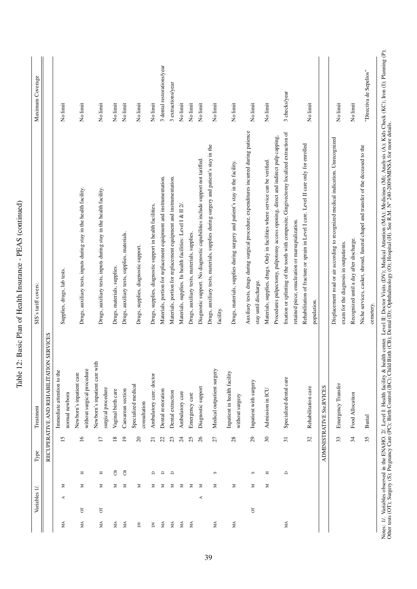<span id="page-40-0"></span>

|                      |          |   |                |                 | SERVICES<br>RECUPERATIVE AND REHABILITATION            |                                                                                                                             |                            |
|----------------------|----------|---|----------------|-----------------|--------------------------------------------------------|-----------------------------------------------------------------------------------------------------------------------------|----------------------------|
| МA                   | ⋖        | z |                | 15              | Immediate attention to the<br>normal newborn           | Supplies, drugs, lab tests.                                                                                                 | No limit                   |
| МA                   | 5        | Σ | $\equiv$       | $\overline{16}$ | without surgical procedure<br>Newborn's inpatient care | Drugs, auxiliary tests, inputs during stay in the health facility.                                                          | No limit                   |
| $\mathbb M\mathbb A$ | $\sigma$ | Σ | $\mathbbmss{}$ | $\overline{17}$ | Newborn's inpatient care with<br>surgical procedure    | Drugs, auxiliary tests, inputs during stay in the health facility.                                                          | No limit                   |
| МA                   |          | Σ | පී             | $\overline{18}$ | Vaginal birth care                                     | Drugs, materials, supplies.                                                                                                 | No limit                   |
| МA                   |          | Σ | පී             | $\overline{19}$ | Caesarean section                                      | Drugs, auxiliary tests, supplies, materials.                                                                                | No limit                   |
| Δ                    |          | Σ |                | $\approx$       | Specialized medical<br>consultation                    | Drugs, supplies, diagnostic support.                                                                                        | No limit                   |
| Δ                    |          | z | ≏              | $\overline{c}$  | Ambulatory care: doctor                                | Drugs, supplies, diagnostic support in health facilities.                                                                   | No limit                   |
| МA                   |          | Σ | $\Box$         | $\mathfrak{L}$  | Dental restoration                                     | Materials, portion for replacement equipment and instrumentation.                                                           | 3 dental restorations/year |
| МA                   |          | Σ | $\Box$         | $\mathfrak{L}$  | Dental extraction                                      | Materials, portion for replacement equipment and instrumentation.                                                           | 3 extractions/year         |
| МA                   |          | Σ |                | $\overline{z}$  | Ambulatory care                                        | Materials, supplies. In health facilities: Level I & II 2/.                                                                 | No limit                   |
| МA                   |          | z |                | 25              | Emergency care                                         | Drugs, auxiliary tests, materials, supplies.                                                                                | No limit                   |
|                      | 4        | z |                | 26              | Diagnostic support                                     | Diagnostic support. No diagnostic capabilities include support not tariffed.                                                | No limit                   |
| МA                   |          | z | S              | 27              | Medical outpatient surgery                             | Drugs, auxiliary tests, materials, supplies during surgery and patient's stay in the<br>facility.                           | No limit                   |
| МA                   |          | Σ |                | 28              | Inpatient in health facility<br>without surgery        | Drugs, materials, supplies during surgery and patient's stay in the facility.                                               | No limit                   |
|                      | 5        | z | S              | $\mathfrak{S}$  | Inpatient with surgery                                 | Auxiliary tests, drugs during surgical procedure, expenditures incurred during patience<br>stay until discharge.            | No limit                   |
|                      |          | z | $\equiv$       | $30\,$          | Admission in ICU                                       | Materials, supplies, drugs. Only in facilities where service can be verified.                                               | No limit                   |
|                      |          |   |                |                 |                                                        | Procedures pulpectomy, pulpotomy access opening, direct and indirect pulp capping,                                          |                            |
| МA                   |          |   | $\Box$         | $\overline{31}$ | Specialized dental care                                | fixation or splinting of the tooth with composite, Gingivectomy localized extraction of                                     | 3 checks/year              |
|                      |          |   |                |                 |                                                        | retained piece, enucleation or marsupialization.                                                                            |                            |
|                      |          |   |                | $\mathfrak{L}$  | Rehabilitation care                                    | Rehabilitation of fracture or sprain in Level I care. Level II care only for enrolled                                       | No limit                   |
|                      |          |   |                |                 |                                                        | population.                                                                                                                 |                            |
|                      |          |   |                |                 | ADMINISTRATIVE Ste.RVICES                              |                                                                                                                             |                            |
|                      |          |   |                | 33              | Emergency Transfer                                     | Displacement road or air according to recognized medical indication. Unrecognized<br>exam for the diagnosis in outpatients. | No limit                   |
|                      |          |   |                | 34              | Food Allocation                                        | Recognized until a day after discharge.                                                                                     | No limit                   |
|                      |          |   |                | 35              | Burial                                                 | Niche services, casket, shroud, funeral chapel and transfer of the deceased to the<br>cemetery.                             | "Directiva de Sepelios"    |

Table 12: Basic Plan of Health Insurance - PEAS (continued) Table 12: Basic Plan of Health Insurance - PEAS (continued)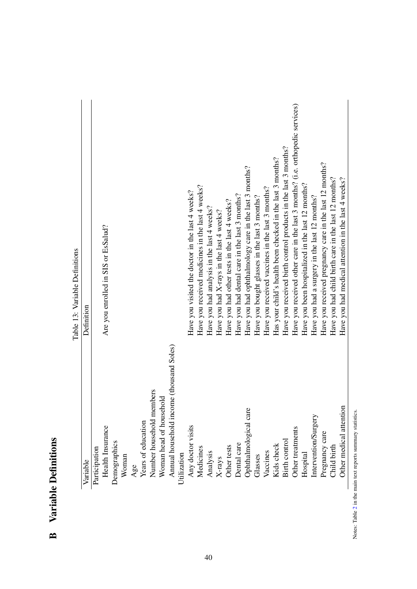| ditions<br><b>Defin</b> |  |
|-------------------------|--|
| ٦<br>إ                  |  |
| ariar                   |  |
| Ξ                       |  |

<span id="page-41-0"></span>

|                                          | Table 13: Variable Definitions                                                |
|------------------------------------------|-------------------------------------------------------------------------------|
| Variable                                 | Definition                                                                    |
| Participation                            |                                                                               |
| Health Insurance                         | Are you enrolled in SIS or EsSalud?                                           |
| Demographics                             |                                                                               |
| Woman                                    |                                                                               |
| Age                                      |                                                                               |
| Years of education                       |                                                                               |
| Number household members                 |                                                                               |
| Woman head of household                  |                                                                               |
| Annual household income (thousand Soles) |                                                                               |
| Utilization                              |                                                                               |
| Any doctor visits                        | Have you visited the doctor in the last 4 weeks?                              |
| Medicines                                | Have you received medicines in the last 4 weeks?                              |
| Analysis                                 | Have you had analysis in the last 4 weeks?                                    |
| $X-rays$                                 | Have you had X-rays in the last $4$ weeks?                                    |
| Other tests                              | Have you had other tests in the last 4 weeks?                                 |
| Dental care                              | Have you had dental care in the last 3 months?                                |
| Ophthalmological care                    | Have you had ophthalmology care in the last 3 months?                         |
| Glasses                                  | Have you bought glasses in the last 3 months?                                 |
| Vaccines                                 | Have you received vaccines in the last 3 months?                              |
| Kids check                               | Has your child's health been checked in the last 3 months?                    |
| Birth control                            | Have you received birth control products in the last 3 months?                |
| Other treatments                         | Have you received other care in the last 3 months? (i.e. orthopedic services) |
| Hospital                                 | Have you been hospitalized in the last 12 months?                             |
| Intervention/Surgery                     | Have you had a surgery in the last 12 months?                                 |
| Pregnancy care                           | Have you received pregnancy care in the last 12 months?                       |
| Child birth                              | Have you had child birth care in the last 12 months?                          |
| Other medical attention                  | Have you had medical attention in the last 4 weeks?                           |

Notes: Table 2 in the main text reports summary statistics. Notes: Table [2](#page-15-0) in the main text reports summary statistics.

 $\overline{1}$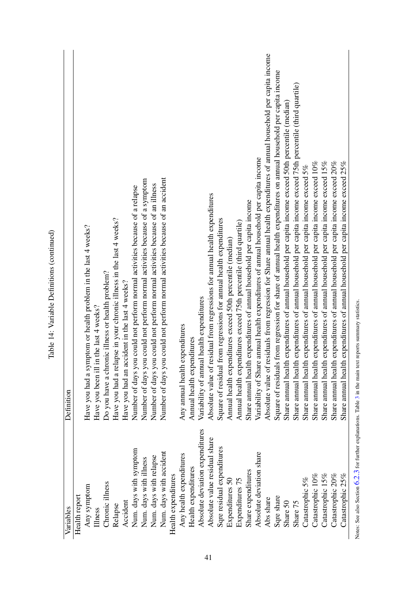<span id="page-42-0"></span>

| Variables                                                                   | Definition                                                                                                             |
|-----------------------------------------------------------------------------|------------------------------------------------------------------------------------------------------------------------|
| Health report                                                               |                                                                                                                        |
| Any symptom                                                                 | Have you had a symptom or health problem in the last 4 weeks?                                                          |
| <b>Illness</b>                                                              | Have you been ill in the last 4 weeks?                                                                                 |
| Chronic illness                                                             | Do you have a chronic illness or health problem?                                                                       |
| Relapse                                                                     | Have you had a relapse in your chronic illness in the last 4 weeks?                                                    |
| Accident                                                                    | Have you had an accident in the last 4 weeks?                                                                          |
| Num. days with symptom                                                      | Number of days you could not perform normal activities because of a relapse                                            |
| Num. days with illness                                                      | Number of days you could not perform normal activities because of a symptom                                            |
| Num. days with relapse                                                      | Number of days you could not perform normal activities because of an illness                                           |
| Num. days with accident                                                     | Number of days you could not perform normal activities because of an accident                                          |
| Health expenditures                                                         |                                                                                                                        |
| Any health expenditures                                                     | Any annual health expenditures                                                                                         |
| Health expenditures                                                         | Annual health expenditures                                                                                             |
| Absolute deviation expenditures                                             | Variability of annual health expenditures                                                                              |
| Absolute value residual share                                               | Absolute value of residual from regressions for annual health expenditures                                             |
| Sqre residual expenditures                                                  | from regressions for annual health expenditures<br>Square of residual                                                  |
| Expenditures 50                                                             | Annual health expenditures exceed 50th percentile (median)                                                             |
| Expenditures 75                                                             | Annual health expenditures exceed 75th percentile (third quartile)                                                     |
| Share expenditures                                                          | Share annual health expenditures of annual household per capita income                                                 |
| Absolute deviation share                                                    | Variability of Share annual health expenditures of annual household per capita income                                  |
| Abs share                                                                   | Absolute value of residuals from regression for Share annual health expenditures of annual household per capita income |
| Sqre share                                                                  | Square of residuals from regression for share of annual health expenditures on annual household per capita income      |
| Share 50                                                                    | Share annual health expenditures of annual household per capita income exceed 50th percentile (median)                 |
| Share 75                                                                    | Share annual health expenditures of annual household per capita income exceed 75th percentile (third quartile)         |
| Catastrophic 5%                                                             | Share annual health expenditures of annual household per capita income exceed 5%                                       |
| Catastrophic 10%                                                            | Share annual health expenditures of annual household per capita income exceed 10%                                      |
| Catastrophic 15%                                                            | Share annual health expenditures of annual household per capita income exceed 15%                                      |
| Catastrophic 20%                                                            | Share annual health expenditures of annual household per capita income exceed 20%                                      |
| Catastrophic 25%                                                            | Share annual health expenditures of annual household per capita income exceed 25%                                      |
| Note: Cas also Castian $6.2$ for further evaluations. Take 2 in the main to | et ronorte europaraeu etotietion                                                                                       |

Table 14: Variable Definitions (continued) Table 14: Variable Definitions (continued)

Notes: See also Section  $6.2.3$  for further explanations. Table 3 in the main text reports summary statistics. Notes: See also Section  $6.2.3$  for further explanations. Table [3](#page-16-0) in the main text reports summary statistics.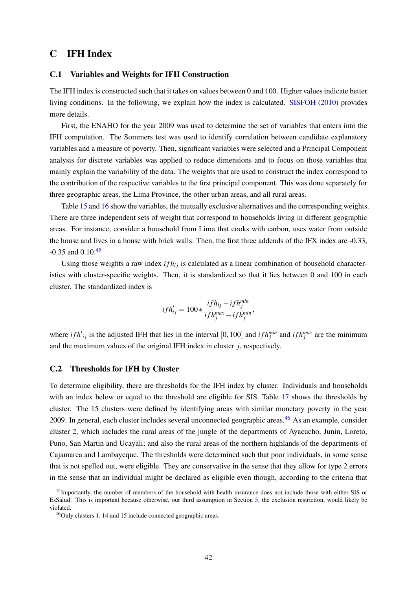## <span id="page-43-0"></span>C IFH Index

#### C.1 Variables and Weights for IFH Construction

The IFH index is constructed such that it takes on values between 0 and 100. Higher values indicate better living conditions. In the following, we explain how the index is calculated. [SISFOH](#page-37-15) [\(2010\)](#page-37-15) provides more details.

First, the ENAHO for the year 2009 was used to determine the set of variables that enters into the IFH computation. The Sommers test was used to identify correlation between candidate explanatory variables and a measure of poverty. Then, significant variables were selected and a Principal Component analysis for discrete variables was applied to reduce dimensions and to focus on those variables that mainly explain the variability of the data. The weights that are used to construct the index correspond to the contribution of the respective variables to the first principal component. This was done separately for three geographic areas, the Lima Province, the other urban areas, and all rural areas.

Table [15](#page-44-0) and [16](#page-45-0) show the variables, the mutually exclusive alternatives and the corresponding weights. There are three independent sets of weight that correspond to households living in different geographic areas. For instance, consider a household from Lima that cooks with carbon, uses water from outside the house and lives in a house with brick walls. Then, the first three addends of the IFX index are -0.33,  $-0.35$  and  $0.10^{45}$  $0.10^{45}$  $0.10^{45}$ 

Using those weights a raw index  $if h_{ij}$  is calculated as a linear combination of household characteristics with cluster-specific weights. Then, it is standardized so that it lies between 0 and 100 in each cluster. The standardized index is

$$
ifh'_{ij} = 100 * \frac{ifh_{ij} - ifh_j^{min}}{ifh_j^{max} - ifh_j^{min}},
$$

where *if h'<sub>ij</sub>* is the adjusted IFH that lies in the interval [0, 100] and *if h'<sub>j</sub>*<sup>*in*</sup> and *if h'<sub>j</sub><sup><i>nax*</sup></sub> are the minimum and the maximum values of the original IFH index in cluster *j*, respectively.

#### C.2 Thresholds for IFH by Cluster

To determine eligibility, there are thresholds for the IFH index by cluster. Individuals and households with an index below or equal to the threshold are eligible for SIS. Table [17](#page-46-0) shows the thresholds by cluster. The 15 clusters were defined by identifying areas with similar monetary poverty in the year 2009. In general, each cluster includes several unconnected geographic areas.<sup>[46](#page-43-2)</sup> As an example, consider cluster 2, which includes the rural areas of the jungle of the departments of Ayacucho, Junin, Loreto, Puno, San Martin and Ucayali; and also the rural areas of the northern highlands of the departments of Cajamarca and Lambayeque. The thresholds were determined such that poor individuals, in some sense that is not spelled out, were eligible. They are conservative in the sense that they allow for type 2 errors in the sense that an individual might be declared as eligible even though, according to the criteria that

<span id="page-43-1"></span><sup>&</sup>lt;sup>45</sup>Importantly, the number of members of the household with health insurance does not include those with either SIS or EsSalud. This is important because otherwise, our third assumption in Section [5,](#page-14-0) the exclusion restriction, would likely be violated.

<span id="page-43-2"></span><sup>&</sup>lt;sup>46</sup>Only clusters 1, 14 and 15 include connected geographic areas.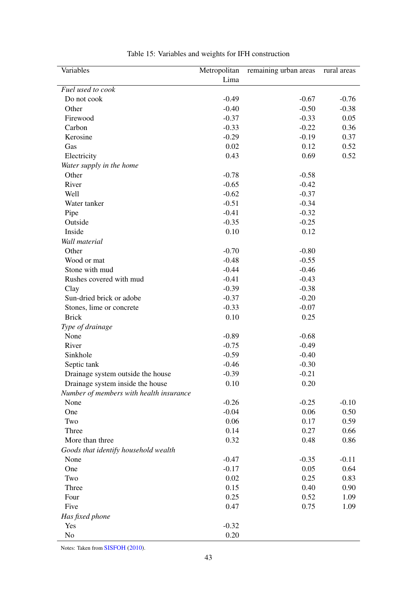<span id="page-44-0"></span>

| Variables                               | Metropolitan | remaining urban areas | rural areas |
|-----------------------------------------|--------------|-----------------------|-------------|
|                                         | Lima         |                       |             |
| Fuel used to cook                       |              |                       |             |
| Do not cook                             | $-0.49$      | $-0.67$               | $-0.76$     |
| Other                                   | $-0.40$      | $-0.50$               | $-0.38$     |
| Firewood                                | $-0.37$      | $-0.33$               | 0.05        |
| Carbon                                  | $-0.33$      | $-0.22$               | 0.36        |
| Kerosine                                | $-0.29$      | $-0.19$               | 0.37        |
| Gas                                     | 0.02         | 0.12                  | 0.52        |
| Electricity                             | 0.43         | 0.69                  | 0.52        |
| Water supply in the home                |              |                       |             |
| Other                                   | $-0.78$      | $-0.58$               |             |
| River                                   | $-0.65$      | $-0.42$               |             |
| Well                                    | $-0.62$      | $-0.37$               |             |
| Water tanker                            | $-0.51$      | $-0.34$               |             |
| Pipe                                    | $-0.41$      | $-0.32$               |             |
| Outside                                 | $-0.35$      | $-0.25$               |             |
| Inside                                  | 0.10         | 0.12                  |             |
| Wall material                           |              |                       |             |
| Other                                   | $-0.70$      | $-0.80$               |             |
| Wood or mat                             | $-0.48$      | $-0.55$               |             |
| Stone with mud                          | $-0.44$      | $-0.46$               |             |
| Rushes covered with mud                 | $-0.41$      | $-0.43$               |             |
| Clay                                    | $-0.39$      | $-0.38$               |             |
| Sun-dried brick or adobe                | $-0.37$      | $-0.20$               |             |
| Stones, lime or concrete                | $-0.33$      | $-0.07$               |             |
| <b>Brick</b>                            | 0.10         | 0.25                  |             |
| Type of drainage                        |              |                       |             |
| None                                    | $-0.89$      | $-0.68$               |             |
| River                                   | $-0.75$      | $-0.49$               |             |
| Sinkhole                                | $-0.59$      | $-0.40$               |             |
| Septic tank                             | $-0.46$      | $-0.30$               |             |
| Drainage system outside the house       | $-0.39$      | $-0.21$               |             |
| Drainage system inside the house        | 0.10         | 0.20                  |             |
| Number of members with health insurance |              |                       |             |
| None                                    | $-0.26$      | $-0.25$               | $-0.10$     |
| One                                     | $-0.04$      | 0.06                  | 0.50        |
| Two                                     | 0.06         | 0.17                  | 0.59        |
| Three                                   | 0.14         | 0.27                  | 0.66        |
| More than three                         | 0.32         | 0.48                  | 0.86        |
| Goods that identify household wealth    |              |                       |             |
| None                                    | $-0.47$      | $-0.35$               | $-0.11$     |
| One                                     | $-0.17$      | 0.05                  | 0.64        |
| Two                                     | 0.02         | 0.25                  | 0.83        |
| Three                                   | 0.15         | 0.40                  | 0.90        |
| Four                                    | 0.25         | 0.52                  | 1.09        |
| Five                                    | 0.47         | 0.75                  | 1.09        |
| Has fixed phone                         |              |                       |             |
| Yes                                     | $-0.32$      |                       |             |
| No                                      | 0.20         |                       |             |

|  |  |  |  |  |  | Table 15: Variables and weights for IFH construction |
|--|--|--|--|--|--|------------------------------------------------------|
|--|--|--|--|--|--|------------------------------------------------------|

Notes: Taken from [SISFOH](#page-37-15) [\(2010\)](#page-37-15).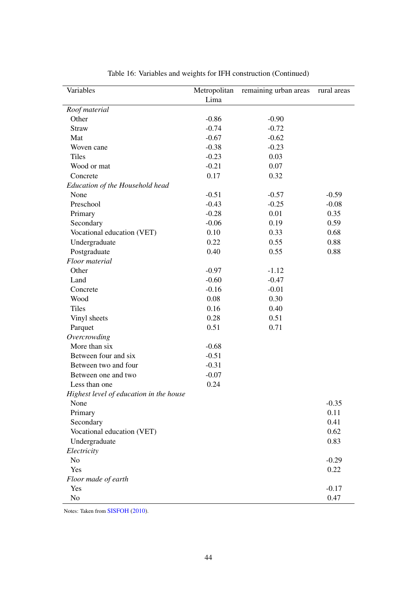<span id="page-45-0"></span>

| Variables                               | Metropolitan | remaining urban areas | rural areas |
|-----------------------------------------|--------------|-----------------------|-------------|
|                                         | Lima         |                       |             |
| Roof material                           |              |                       |             |
| Other                                   | $-0.86$      | $-0.90$               |             |
| <b>Straw</b>                            | $-0.74$      | $-0.72$               |             |
| Mat                                     | $-0.67$      | $-0.62$               |             |
| Woven cane                              | $-0.38$      | $-0.23$               |             |
| <b>Tiles</b>                            | $-0.23$      | 0.03                  |             |
| Wood or mat                             | $-0.21$      | 0.07                  |             |
| Concrete                                | 0.17         | 0.32                  |             |
| Education of the Household head         |              |                       |             |
| None                                    | $-0.51$      | $-0.57$               | $-0.59$     |
| Preschool                               | $-0.43$      | $-0.25$               | $-0.08$     |
| Primary                                 | $-0.28$      | 0.01                  | 0.35        |
| Secondary                               | $-0.06$      | 0.19                  | 0.59        |
| Vocational education (VET)              | 0.10         | 0.33                  | 0.68        |
| Undergraduate                           | 0.22         | 0.55                  | 0.88        |
| Postgraduate                            | 0.40         | 0.55                  | 0.88        |
| Floor material                          |              |                       |             |
| Other                                   | $-0.97$      | $-1.12$               |             |
| Land                                    | $-0.60$      | $-0.47$               |             |
| Concrete                                | $-0.16$      | $-0.01$               |             |
| Wood                                    | 0.08         | 0.30                  |             |
| <b>Tiles</b>                            | 0.16         | 0.40                  |             |
| Vinyl sheets                            | 0.28         | 0.51                  |             |
| Parquet                                 | 0.51         | 0.71                  |             |
| Overcrowding                            |              |                       |             |
| More than six                           | $-0.68$      |                       |             |
| Between four and six                    | $-0.51$      |                       |             |
| Between two and four                    | $-0.31$      |                       |             |
| Between one and two                     | $-0.07$      |                       |             |
| Less than one                           | 0.24         |                       |             |
| Highest level of education in the house |              |                       |             |
| None                                    |              |                       | $-0.35$     |
| Primary                                 |              |                       | 0.11        |
| Secondary                               |              |                       | 0.41        |
| Vocational education (VET)              |              |                       | 0.62        |
| Undergraduate                           |              |                       | 0.83        |
| Electricity                             |              |                       |             |
| N <sub>o</sub>                          |              |                       | $-0.29$     |
| Yes                                     |              |                       | 0.22        |
| Floor made of earth                     |              |                       |             |
| Yes                                     |              |                       | $-0.17$     |
| No                                      |              |                       | 0.47        |

Table 16: Variables and weights for IFH construction (Continued)

Notes: Taken from [SISFOH](#page-37-15) [\(2010\)](#page-37-15).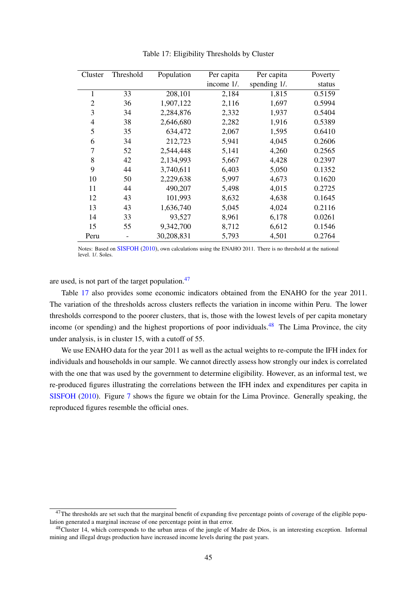<span id="page-46-0"></span>

| Cluster        | Threshold | Population | Per capita | Per capita   | Poverty |
|----------------|-----------|------------|------------|--------------|---------|
|                |           |            | income 1/. | spending 1/. | status  |
| 1              | 33        | 208,101    | 2,184      | 1,815        | 0.5159  |
| $\overline{2}$ | 36        | 1,907,122  | 2,116      | 1,697        | 0.5994  |
| 3              | 34        | 2,284,876  | 2,332      | 1,937        | 0.5404  |
| $\overline{4}$ | 38        | 2,646,680  | 2,282      | 1,916        | 0.5389  |
| 5              | 35        | 634,472    | 2,067      | 1,595        | 0.6410  |
| 6              | 34        | 212,723    | 5,941      | 4,045        | 0.2606  |
| 7              | 52        | 2,544,448  | 5,141      | 4,260        | 0.2565  |
| 8              | 42        | 2,134,993  | 5,667      | 4,428        | 0.2397  |
| 9              | 44        | 3,740,611  | 6,403      | 5,050        | 0.1352  |
| 10             | 50        | 2,229,638  | 5,997      | 4,673        | 0.1620  |
| 11             | 44        | 490,207    | 5,498      | 4,015        | 0.2725  |
| 12             | 43        | 101,993    | 8,632      | 4,638        | 0.1645  |
| 13             | 43        | 1,636,740  | 5,045      | 4,024        | 0.2116  |
| 14             | 33        | 93,527     | 8,961      | 6,178        | 0.0261  |
| 15             | 55        | 9,342,700  | 8,712      | 6,612        | 0.1546  |
| Peru           |           | 30,208,831 | 5,793      | 4,501        | 0.2764  |

Table 17: Eligibility Thresholds by Cluster

Notes: Based on [SISFOH](#page-37-15) [\(2010\)](#page-37-15), own calculations using the ENAHO 2011. There is no threshold at the national level. 1/. Soles.

are used, is not part of the target population. $47$ 

Table [17](#page-46-0) also provides some economic indicators obtained from the ENAHO for the year 2011. The variation of the thresholds across clusters reflects the variation in income within Peru. The lower thresholds correspond to the poorer clusters, that is, those with the lowest levels of per capita monetary income (or spending) and the highest proportions of poor individuals.<sup>[48](#page-46-2)</sup> The Lima Province, the city under analysis, is in cluster 15, with a cutoff of 55.

We use ENAHO data for the year 2011 as well as the actual weights to re-compute the IFH index for individuals and households in our sample. We cannot directly assess how strongly our index is correlated with the one that was used by the government to determine eligibility. However, as an informal test, we re-produced figures illustrating the correlations between the IFH index and expenditures per capita in [SISFOH](#page-37-15) [\(2010\)](#page-37-15). Figure [7](#page-47-0) shows the figure we obtain for the Lima Province. Generally speaking, the reproduced figures resemble the official ones.

<span id="page-46-1"></span><sup>&</sup>lt;sup>47</sup>The thresholds are set such that the marginal benefit of expanding five percentage points of coverage of the eligible population generated a marginal increase of one percentage point in that error.

<span id="page-46-2"></span><sup>&</sup>lt;sup>48</sup>Cluster 14, which corresponds to the urban areas of the jungle of Madre de Dios, is an interesting exception. Informal mining and illegal drugs production have increased income levels during the past years.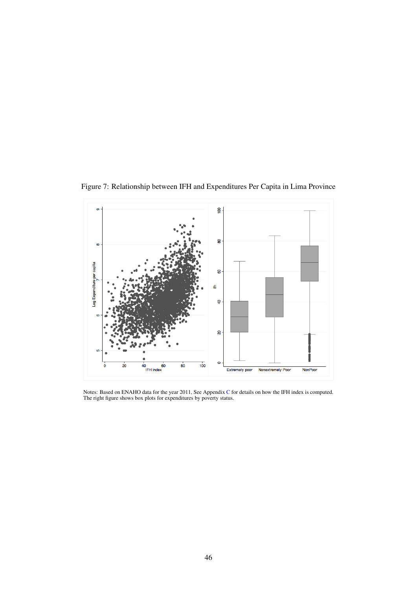Figure 7: Relationship between IFH and Expenditures Per Capita in Lima Province

<span id="page-47-0"></span>

Notes: Based on ENAHO data for the year 2011, See Appendix [C](#page-43-0) for details on how the IFH index is computed. The right figure shows box plots for expenditures by poverty status.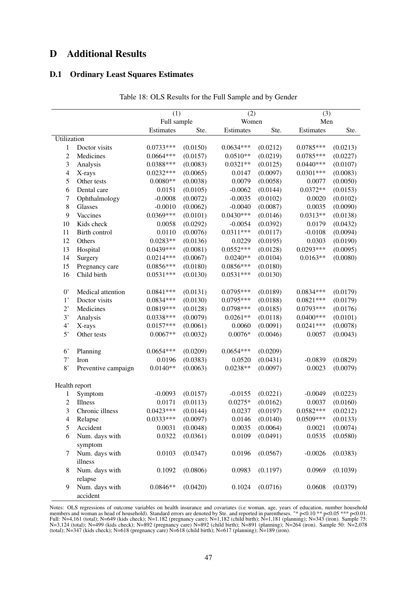## <span id="page-48-2"></span>D Additional Results

## <span id="page-48-1"></span>D.1 Ordinary Least Squares Estimates

<span id="page-48-0"></span>

|                |                     | (1)         |          | (2)         |          | (3)         |          |
|----------------|---------------------|-------------|----------|-------------|----------|-------------|----------|
|                |                     | Full sample |          | Women       |          | Men         |          |
|                |                     | Estimates   | Ste.     | Estimates   | Ste.     | Estimates   | Ste.     |
| Utilization    |                     |             |          |             |          |             |          |
| 1              | Doctor visits       | $0.0733***$ | (0.0150) | $0.0634***$ | (0.0212) | $0.0785***$ | (0.0213) |
| $\overline{c}$ | Medicines           | $0.0664***$ | (0.0157) | $0.0510**$  | (0.0219) | $0.0785***$ | (0.0227) |
| 3              | Analysis            | $0.0388***$ | (0.0083) | $0.0321**$  | (0.0125) | $0.0440***$ | (0.0107) |
| $\overline{4}$ | X-rays              | $0.0232***$ | (0.0065) | 0.0147      | (0.0097) | $0.0301***$ | (0.0083) |
| 5              | Other tests         | $0.0080**$  | (0.0038) | 0.0079      | (0.0058) | 0.0077      | (0.0050) |
| 6              | Dental care         | 0.0151      | (0.0105) | $-0.0062$   | (0.0144) | $0.0372**$  | (0.0153) |
| $\overline{7}$ | Ophthalmology       | $-0.0008$   | (0.0072) | $-0.0035$   | (0.0102) | 0.0020      | (0.0102) |
| $\,8\,$        | Glasses             | $-0.0010$   | (0.0062) | $-0.0040$   | (0.0087) | 0.0035      | (0.0090) |
| 9              | Vaccines            | $0.0369***$ | (0.0101) | $0.0430***$ | (0.0146) | $0.0313**$  | (0.0138) |
| 10             | Kids check          | 0.0058      | (0.0292) | $-0.0054$   | (0.0392) | 0.0179      | (0.0432) |
| 11             | Birth control       | 0.0110      | (0.0076) | $0.0311***$ | (0.0117) | $-0.0108$   | (0.0094) |
| 12             | Others              | $0.0283**$  | (0.0136) | 0.0229      | (0.0195) | 0.0303      | (0.0190) |
| 13             | Hospital            | $0.0439***$ | (0.0081) | $0.0552***$ | (0.0128) | $0.0293***$ | (0.0095) |
| 14             | Surgery             | $0.0214***$ | (0.0067) | $0.0240**$  | (0.0104) | $0.0163**$  | (0.0080) |
| 15             | Pregnancy care      | $0.0856***$ | (0.0180) | $0.0856***$ | (0.0180) |             |          |
| 16             | Child birth         | $0.0531***$ | (0.0130) | $0.0531***$ | (0.0130) |             |          |
|                |                     |             |          |             |          |             |          |
| $0^{\prime}$   | Medical attention   | $0.0841***$ | (0.0131) | $0.0795***$ | (0.0189) | 0.0834 ***  | (0.0179) |
| 1'             | Doctor visits       | $0.0834***$ | (0.0130) | $0.0795***$ | (0.0188) | $0.0821***$ | (0.0179) |
| 2              | Medicines           | 0.0819***   | (0.0128) | $0.0798***$ | (0.0185) | $0.0793***$ | (0.0176) |
| 3'             | Analysis            | $0.0338***$ | (0.0079) | $0.0261**$  | (0.0118) | $0.0400***$ | (0.0101) |
| 4'             | X-rays              | $0.0157***$ | (0.0061) | 0.0060      | (0.0091) | $0.0241***$ | (0.0078) |
| 5'             | Other tests         | $0.0067**$  | (0.0032) | $0.0076*$   | (0.0046) | 0.0057      | (0.0043) |
|                |                     |             |          |             |          |             |          |
| 6 <sup>o</sup> | Planning            | $0.0654***$ | (0.0209) | $0.0654***$ | (0.0209) |             |          |
| 7'             | Iron                | 0.0196      | (0.0383) | 0.0520      | (0.0431) | $-0.0839$   | (0.0829) |
| 8'             | Preventive campaign | $0.0140**$  | (0.0063) | $0.0238**$  | (0.0097) | 0.0023      | (0.0079) |
|                |                     |             |          |             |          |             |          |
|                | Health report       |             |          |             |          |             |          |
| 1              | Symptom             | $-0.0093$   | (0.0157) | $-0.0155$   | (0.0221) | $-0.0049$   | (0.0223) |
| $\overline{c}$ | Illness             | 0.0171      | (0.0113) | $0.0275*$   | (0.0162) | 0.0037      | (0.0160) |
| 3              | Chronic illness     | $0.0423***$ | (0.0144) | 0.0237      | (0.0197) | $0.0582***$ | (0.0212) |
| $\overline{4}$ | Relapse             | $0.0333***$ | (0.0097) | 0.0146      | (0.0140) | $0.0509***$ | (0.0133) |
| 5              | Accident            | 0.0031      | (0.0048) | 0.0035      | (0.0064) | 0.0021      | (0.0074) |
| 6              | Num. days with      | 0.0322      | (0.0361) | 0.0109      | (0.0491) | 0.0535      | (0.0580) |
|                | symptom             |             |          |             |          |             |          |
| 7              | Num. days with      | 0.0103      | (0.0347) | 0.0196      | (0.0567) | $-0.0026$   | (0.0383) |
|                | illness             |             |          |             |          |             |          |
| 8              | Num. days with      | 0.1092      | (0.0806) | 0.0983      | (0.1197) | 0.0969      | (0.1039) |
|                | relapse             |             |          |             |          |             |          |
| 9              | Num. days with      | $0.0846**$  | (0.0420) | 0.1024      | (0.0716) | 0.0608      | (0.0379) |
|                | accident            |             |          |             |          |             |          |

Table 18: OLS Results for the Full Sample and by Gender

Notes: OLS regressions of outcome variables on health insurance and covariates (i.e woman, age, years of education, number household members and woman as head of household). Standard errors are denoted by Ste. and reported in parentheses. "\* p<0.10 \*\* p<0.05 \*\*\* p<0.01. Full: N=4,161 (total); N=649 (kids check); N=1.182 (pregnancy care); N=1,182 (child birth); N=1,181 (planning); N=343 (iron). Sample 75: N=3,124 (total); N=499 (kids check); N=892 (pregnancy care) N=892 (child birth); N=891 (planning); N=264 (iron). Sample 50: N=2,078 (total); N=347 (kids check); N=618 (pregnancy care) N=618 (child birth); N=617 (planning); N=189 (iron).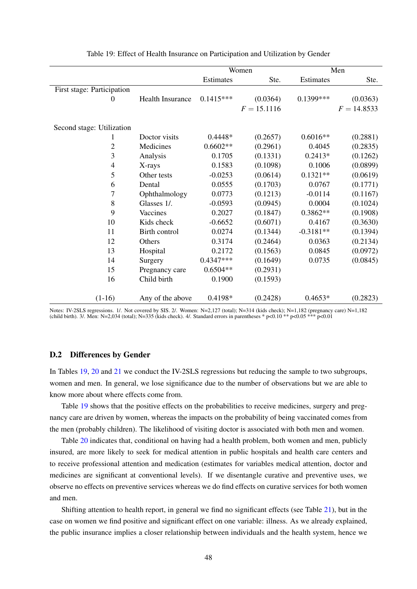<span id="page-49-0"></span>

|                            |                         |             | Women         |             | Men           |
|----------------------------|-------------------------|-------------|---------------|-------------|---------------|
|                            |                         | Estimates   | Ste.          | Estimates   | Ste.          |
| First stage: Participation |                         |             |               |             |               |
| 0                          | <b>Health Insurance</b> | $0.1415***$ | (0.0364)      | $0.1399***$ | (0.0363)      |
|                            |                         |             | $F = 15.1116$ |             | $F = 14.8533$ |
|                            |                         |             |               |             |               |
| Second stage: Utilization  |                         |             |               |             |               |
| 1                          | Doctor visits           | $0.4448*$   | (0.2657)      | $0.6016**$  | (0.2881)      |
| $\overline{2}$             | Medicines               | $0.6602**$  | (0.2961)      | 0.4045      | (0.2835)      |
| 3                          | Analysis                | 0.1705      | (0.1331)      | $0.2413*$   | (0.1262)      |
| $\overline{4}$             | X-rays                  | 0.1583      | (0.1098)      | 0.1006      | (0.0899)      |
| 5                          | Other tests             | $-0.0253$   | (0.0614)      | $0.1321**$  | (0.0619)      |
| 6                          | Dental                  | 0.0555      | (0.1703)      | 0.0767      | (0.1771)      |
| 7                          | Ophthalmology           | 0.0773      | (0.1213)      | $-0.0114$   | (0.1167)      |
| $\,8\,$                    | Glasses 1/.             | $-0.0593$   | (0.0945)      | 0.0004      | (0.1024)      |
| 9                          | Vaccines                | 0.2027      | (0.1847)      | $0.3862**$  | (0.1908)      |
| 10                         | Kids check              | $-0.6652$   | (0.6071)      | 0.4167      | (0.3630)      |
| 11                         | Birth control           | 0.0274      | (0.1344)      | $-0.3181**$ | (0.1394)      |
| 12                         | Others                  | 0.3174      | (0.2464)      | 0.0363      | (0.2134)      |
| 13                         | Hospital                | 0.2172      | (0.1563)      | 0.0845      | (0.0972)      |
| 14                         | Surgery                 | $0.4347***$ | (0.1649)      | 0.0735      | (0.0845)      |
| 15                         | Pregnancy care          | $0.6504**$  | (0.2931)      |             |               |
| 16                         | Child birth             | 0.1900      | (0.1593)      |             |               |
|                            |                         |             |               |             |               |
| $(1-16)$                   | Any of the above        | 0.4198*     | (0.2428)      | $0.4653*$   | (0.2823)      |

Table 19: Effect of Health Insurance on Participation and Utilization by Gender

Notes: IV-2SLS regressions. 1/. Not covered by SIS. 2/. Women: N=2,127 (total); N=314 (kids check); N=1,182 (pregnancy care) N=1,182 (child birth). 3/. Men: N=2,034 (total); N=335 (kids check). 4/. Standard errors in parentheses \* p<0.10 \*\* p<0.05 \*\*\* p<0.01

### D.2 Differences by Gender

In Tables [19,](#page-49-0) [20](#page-50-0) and [21](#page-50-1) we conduct the IV-2SLS regressions but reducing the sample to two subgroups, women and men. In general, we lose significance due to the number of observations but we are able to know more about where effects come from.

Table [19](#page-49-0) shows that the positive effects on the probabilities to receive medicines, surgery and pregnancy care are driven by women, whereas the impacts on the probability of being vaccinated comes from the men (probably children). The likelihood of visiting doctor is associated with both men and women.

Table [20](#page-50-0) indicates that, conditional on having had a health problem, both women and men, publicly insured, are more likely to seek for medical attention in public hospitals and health care centers and to receive professional attention and medication (estimates for variables medical attention, doctor and medicines are significant at conventional levels). If we disentangle curative and preventive uses, we observe no effects on preventive services whereas we do find effects on curative services for both women and men.

Shifting attention to health report, in general we find no significant effects (see Table [21\)](#page-50-1), but in the case on women we find positive and significant effect on one variable: illness. As we already explained, the public insurance implies a closer relationship between individuals and the health system, hence we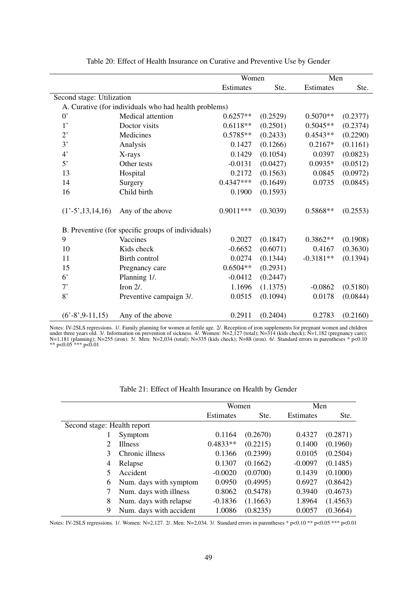<span id="page-50-0"></span>

|                                         |                                                       | Women       |          | Men         |          |
|-----------------------------------------|-------------------------------------------------------|-------------|----------|-------------|----------|
|                                         |                                                       | Estimates   | Ste.     | Estimates   | Ste.     |
| Second stage: Utilization               |                                                       |             |          |             |          |
|                                         | A. Curative (for individuals who had health problems) |             |          |             |          |
| $0^{\prime}$                            | Medical attention                                     | $0.6257**$  | (0.2529) | $0.5070**$  | (0.2377) |
| 1,                                      | Doctor visits                                         | $0.6118**$  | (0.2501) | $0.5045**$  | (0.2374) |
| 2'                                      | Medicines                                             | $0.5785**$  | (0.2433) | $0.4543**$  | (0.2290) |
| 3'                                      | Analysis                                              | 0.1427      | (0.1266) | $0.2167*$   | (0.1161) |
| 4 <sup>2</sup>                          | X-rays                                                | 0.1429      | (0.1054) | 0.0397      | (0.0823) |
| 5'                                      | Other tests                                           | $-0.0131$   | (0.0427) | $0.0935*$   | (0.0512) |
| 13                                      | Hospital                                              | 0.2172      | (0.1563) | 0.0845      | (0.0972) |
| 14                                      | Surgery                                               | $0.4347***$ | (0.1649) | 0.0735      | (0.0845) |
| 16                                      | Child birth                                           | 0.1900      | (0.1593) |             |          |
| $(1^{\prime} - 5^{\prime}, 13, 14, 16)$ | Any of the above                                      | $0.9011***$ | (0.3039) | $0.5868**$  | (0.2553) |
|                                         | B. Preventive (for specific groups of individuals)    |             |          |             |          |
| 9                                       | Vaccines                                              | 0.2027      | (0.1847) | $0.3862**$  | (0.1908) |
| 10                                      | Kids check                                            | $-0.6652$   | (0.6071) | 0.4167      | (0.3630) |
| 11                                      | Birth control                                         | 0.0274      | (0.1344) | $-0.3181**$ | (0.1394) |
| 15                                      | Pregnancy care                                        | $0.6504**$  | (0.2931) |             |          |
| 6 <sup>o</sup>                          | Planning 1/.                                          | $-0.0412$   | (0.2447) |             |          |
| 7'                                      | Iron $2/$ .                                           | 1.1696      | (1.1375) | $-0.0862$   | (0.5180) |
| 8'                                      | Preventive campaign 3/.                               | 0.0515      | (0.1094) | 0.0178      | (0.0844) |
| $(6' - 8', 9 - 11, 15)$                 | Any of the above                                      | 0.2911      | (0.2404) | 0.2783      | (0.2160) |

Table 20: Effect of Health Insurance on Curative and Preventive Use by Gender

Notes: IV-2SLS regressions. 1/. Family planning for women at fertile age. 2/. Reception of iron supplements for pregnant women and children under three years old. 3/. Information on prevention of sickness. 4/. Women: N=2,127 (total); N=314 (kids check); N=1,182 (pregnancy care); N=1,181 (planning); N=255 (iron). 5/. Men: N=2,034 (total); N=335 (kids check); N=88 (iron). 6/. Standard errors in parentheses \* p<0.10 \*\* p<0.05 \*\*\* p<0.01

|  | Table 21: Effect of Health Insurance on Health by Gender |  |  |  |
|--|----------------------------------------------------------|--|--|--|
|--|----------------------------------------------------------|--|--|--|

<span id="page-50-1"></span>

|                             |                         | Women            |          | Men       |          |
|-----------------------------|-------------------------|------------------|----------|-----------|----------|
|                             |                         | <b>Estimates</b> | Ste.     | Estimates | Ste.     |
| Second stage: Health report |                         |                  |          |           |          |
|                             | Symptom                 | 0.1164           | (0.2670) | 0.4327    | (0.2871) |
| 2                           | <b>Illness</b>          | $0.4833**$       | (0.2215) | 0.1400    | (0.1960) |
| $\mathcal{F}$               | Chronic illness         | 0.1366           | (0.2399) | 0.0105    | (0.2504) |
| 4                           | Relapse                 | 0.1307           | (0.1662) | $-0.0097$ | (0.1485) |
| 5                           | Accident                | $-0.0020$        | (0.0700) | 0.1439    | (0.1000) |
| 6                           | Num. days with symptom  | 0.0950           | (0.4995) | 0.6927    | (0.8642) |
|                             | Num. days with illness  | 0.8062           | (0.5478) | 0.3940    | (0.4673) |
| 8                           | Num. days with relapse  | $-0.1836$        | (1.1663) | 1.8964    | (1.4563) |
| 9                           | Num. days with accident | 1.0086           | (0.8235) | 0.0057    | (0.3664) |

Notes: IV-2SLS regressions. 1/. Women: N=2,127. 2/. Men: N=2,034. 3/. Standard errors in parentheses \* p<0.10 \*\* p<0.05 \*\*\* p<0.01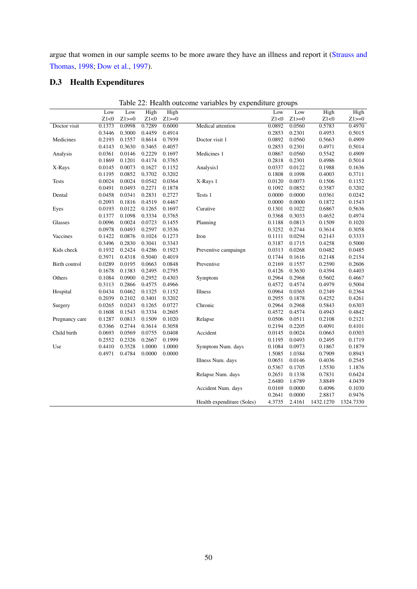argue that women in our sample seems to be more aware they have an illness and report it [\(Strauss and](#page-37-11) [Thomas,](#page-37-11) [1998;](#page-37-11) [Dow et al.,](#page-35-17) [1997\)](#page-35-17).

## <span id="page-51-0"></span>D.3 Health Expenditures

|                | Low    | Low     | High   | High    |                            | Low    | Low     | High      | High      |
|----------------|--------|---------|--------|---------|----------------------------|--------|---------|-----------|-----------|
|                | Z1<0   | $Z1>=0$ | Z1<0   | $Z1>=0$ |                            | Z1<0   | $Z1>=0$ | Z1<0      | $Z1>=0$   |
| Doctor visit   | 0.1373 | 0.0998  | 0.7289 | 0.6000  | Medical attention          | 0.0892 | 0.0560  | 0.5783    | 0.4970    |
|                | 0.3446 | 0.3000  | 0.4459 | 0.4914  |                            | 0.2853 | 0.2301  | 0.4953    | 0.5015    |
| Medicines      | 0.2193 | 0.1557  | 0.8614 | 0.7939  | Doctor visit 1             | 0.0892 | 0.0560  | 0.5663    | 0.4909    |
|                | 0.4143 | 0.3630  | 0.3465 | 0.4057  |                            | 0.2853 | 0.2301  | 0.4971    | 0.5014    |
| Analysis       | 0.0361 | 0.0146  | 0.2229 | 0.1697  | Medicines 1                | 0.0867 | 0.0560  | 0.5542    | 0.4909    |
|                | 0.1869 | 0.1201  | 0.4174 | 0.3765  |                            | 0.2818 | 0.2301  | 0.4986    | 0.5014    |
| X-Rays         | 0.0145 | 0.0073  | 0.1627 | 0.1152  | Analysis1                  | 0.0337 | 0.0122  | 0.1988    | 0.1636    |
|                | 0.1195 | 0.0852  | 0.3702 | 0.3202  |                            | 0.1808 | 0.1098  | 0.4003    | 0.3711    |
| <b>Tests</b>   | 0.0024 | 0.0024  | 0.0542 | 0.0364  | X-Rays 1                   | 0.0120 | 0.0073  | 0.1506    | 0.1152    |
|                | 0.0491 | 0.0493  | 0.2271 | 0.1878  |                            | 0.1092 | 0.0852  | 0.3587    | 0.3202    |
| Dental         | 0.0458 | 0.0341  | 0.2831 | 0.2727  | Tests 1                    | 0.0000 | 0.0000  | 0.0361    | 0.0242    |
|                | 0.2093 | 0.1816  | 0.4519 | 0.4467  |                            | 0.0000 | 0.0000  | 0.1872    | 0.1543    |
| Eyes           | 0.0193 | 0.0122  | 0.1265 | 0.1697  | Curative                   | 0.1301 | 0.1022  | 0.6867    | 0.5636    |
|                | 0.1377 | 0.1098  | 0.3334 | 0.3765  |                            | 0.3368 | 0.3033  | 0.4652    | 0.4974    |
| Glasses        | 0.0096 | 0.0024  | 0.0723 | 0.1455  | Planning                   | 0.1188 | 0.0813  | 0.1509    | 0.1020    |
|                | 0.0978 | 0.0493  | 0.2597 | 0.3536  |                            | 0.3252 | 0.2744  | 0.3614    | 0.3058    |
| Vaccines       | 0.1422 | 0.0876  | 0.1024 | 0.1273  | Iron                       | 0.1111 | 0.0294  | 0.2143    | 0.3333    |
|                | 0.3496 | 0.2830  | 0.3041 | 0.3343  |                            | 0.3187 | 0.1715  | 0.4258    | 0.5000    |
| Kids check     | 0.1932 | 0.2424  | 0.4286 | 0.1923  | Preventive campaingn       | 0.0313 | 0.0268  | 0.0482    | 0.0485    |
|                | 0.3971 | 0.4318  | 0.5040 | 0.4019  |                            | 0.1744 | 0.1616  | 0.2148    | 0.2154    |
| Birth control  | 0.0289 | 0.0195  | 0.0663 | 0.0848  | Preventive                 | 0.2169 | 0.1557  | 0.2590    | 0.2606    |
|                | 0.1678 | 0.1383  | 0.2495 | 0.2795  |                            | 0.4126 | 0.3630  | 0.4394    | 0.4403    |
| Others         | 0.1084 | 0.0900  | 0.2952 | 0.4303  | Symptom                    | 0.2964 | 0.2968  | 0.5602    | 0.4667    |
|                | 0.3113 | 0.2866  | 0.4575 | 0.4966  |                            | 0.4572 | 0.4574  | 0.4979    | 0.5004    |
| Hospital       | 0.0434 | 0.0462  | 0.1325 | 0.1152  | Illness                    | 0.0964 | 0.0365  | 0.2349    | 0.2364    |
|                | 0.2039 | 0.2102  | 0.3401 | 0.3202  |                            | 0.2955 | 0.1878  | 0.4252    | 0.4261    |
| Surgery        | 0.0265 | 0.0243  | 0.1265 | 0.0727  | Chronic                    | 0.2964 | 0.2968  | 0.5843    | 0.6303    |
|                | 0.1608 | 0.1543  | 0.3334 | 0.2605  |                            | 0.4572 | 0.4574  | 0.4943    | 0.4842    |
| Pregnancy care | 0.1287 | 0.0813  | 0.1509 | 0.1020  | Relapse                    | 0.0506 | 0.0511  | 0.2108    | 0.2121    |
|                | 0.3366 | 0.2744  | 0.3614 | 0.3058  |                            | 0.2194 | 0.2205  | 0.4091    | 0.4101    |
| Child birth    | 0.0693 | 0.0569  | 0.0755 | 0.0408  | Accident                   | 0.0145 | 0.0024  | 0.0663    | 0.0303    |
|                | 0.2552 | 0.2326  | 0.2667 | 0.1999  |                            | 0.1195 | 0.0493  | 0.2495    | 0.1719    |
| Use            | 0.4410 | 0.3528  | 1.0000 | 1.0000  | Symptom Num. days          | 0.1084 | 0.0973  | 0.1867    | 0.1879    |
|                | 0.4971 | 0.4784  | 0.0000 | 0.0000  |                            | 1.5085 | 1.0384  | 0.7909    | 0.8943    |
|                |        |         |        |         | Illness Num. days          | 0.0651 | 0.0146  | 0.4036    | 0.2545    |
|                |        |         |        |         |                            | 0.5367 | 0.1705  | 1.5530    | 1.1876    |
|                |        |         |        |         | Relapse Num. days          | 0.2651 | 0.1338  | 0.7831    | 0.6424    |
|                |        |         |        |         |                            | 2.6480 | 1.6789  | 3.8849    | 4.0439    |
|                |        |         |        |         | Accident Num. days         | 0.0169 | 0.0000  | 0.4096    | 0.1030    |
|                |        |         |        |         |                            | 0.2641 | 0.0000  | 2.8817    | 0.9476    |
|                |        |         |        |         | Health expenditure (Soles) | 4.3735 | 2.4161  | 1432.1270 | 1324.7330 |

Table 22: Health outcome variables by expenditure groups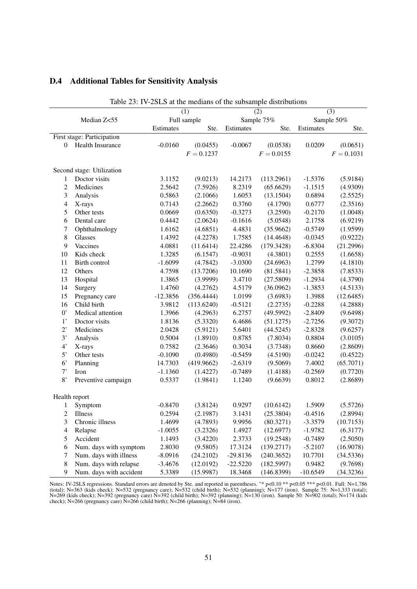| Table 23: IV-2SLS at the medians of the subsample distributions |                            |            |              |                         |              |            |              |  |  |
|-----------------------------------------------------------------|----------------------------|------------|--------------|-------------------------|--------------|------------|--------------|--|--|
|                                                                 |                            |            | (1)          | $\overline{(3)}$<br>(2) |              |            |              |  |  |
|                                                                 | Median Z<55                |            | Full sample  |                         | Sample 75%   | Sample 50% |              |  |  |
|                                                                 |                            | Estimates  | Ste.         | Estimates               | Ste.         | Estimates  | Ste.         |  |  |
|                                                                 | First stage: Participation |            |              |                         |              |            |              |  |  |
| $\theta$                                                        | Health Insurance           | $-0.0160$  | (0.0455)     | $-0.0067$               | (0.0538)     | 0.0209     | (0.0651)     |  |  |
|                                                                 |                            |            | $F = 0.1237$ |                         | $F = 0.0155$ |            | $F = 0.1031$ |  |  |
|                                                                 | Second stage: Utilization  |            |              |                         |              |            |              |  |  |
| 1                                                               | Doctor visits              | 3.1152     | (9.0213)     | 14.2173                 | (113.2961)   | $-1.5376$  | (5.9184)     |  |  |
| $\overline{c}$                                                  | Medicines                  | 2.5642     | (7.5926)     | 8.2319                  | (65.6629)    | $-1.1515$  | (4.9309)     |  |  |
| 3                                                               | Analysis                   | 0.5863     | (2.1066)     | 1.6053                  | (13.1504)    | 0.6894     | (2.5525)     |  |  |
| $\overline{\mathcal{A}}$                                        | X-rays                     | 0.7143     | (2.2662)     | 0.3760                  | (4.1790)     | 0.6777     | (2.3516)     |  |  |
| 5                                                               | Other tests                | 0.0669     | (0.6350)     | $-0.3273$               | (3.2590)     | $-0.2170$  | (1.0048)     |  |  |
| 6                                                               | Dental care                | 0.4442     | (2.0624)     | $-0.1616$               | (5.0548)     | 2.1758     | (6.9219)     |  |  |
| 7                                                               | Ophthalmology              | 1.6162     | (4.6851)     | 4.4831                  | (35.9662)    | $-0.5749$  | (1.9599)     |  |  |
| 8                                                               | Glasses                    | 1.4392     | (4.2278)     | 1.7585                  | (14.4648)    | $-0.0345$  | (0.9222)     |  |  |
| 9                                                               | Vaccines                   | 4.0881     | (11.6414)    | 22.4286                 | (179.3428)   | $-6.8304$  | (21.2996)    |  |  |
| 10                                                              | Kids check                 | 1.3285     | (6.1547)     | $-0.9031$               | (4.3801)     | 0.2555     | (1.6658)     |  |  |
| 11                                                              | Birth control              | $-1.6099$  | (4.7842)     | $-3.0300$               | (24.6963)    | 1.2799     | (4.1810)     |  |  |
| 12                                                              | Others                     | 4.7598     | (13.7206)    | 10.1690                 | (81.5841)    | $-2.3858$  | (7.8533)     |  |  |
| 13                                                              | Hospital                   | 1.3865     | (3.9999)     | 3.4710                  | (27.5809)    | $-1.2934$  | (4.3790)     |  |  |
| 14                                                              | Surgery                    | 1.4760     | (4.2762)     | 4.5179                  | (36.0962)    | $-1.3853$  | (4.5133)     |  |  |
| 15                                                              | Pregnancy care             | $-12.3856$ | (356.4444)   | 1.0199                  | (3.6983)     | 1.3988     | (12.6485)    |  |  |
| 16                                                              | Child birth                | 3.9812     | (113.6240)   | $-0.5121$               | (2.2735)     | $-0.2288$  | (4.2888)     |  |  |
| 0,                                                              | Medical attention          | 1.3966     | (4.2963)     | 6.2757                  | (49.5992)    | $-2.8409$  | (9.6498)     |  |  |
| 1'                                                              | Doctor visits              | 1.8136     | (5.3320)     | 6.4686                  | (51.1275)    | $-2.7256$  | (9.3072)     |  |  |
| 2,                                                              | Medicines                  | 2.0428     | (5.9121)     | 5.6401                  | (44.5245)    | $-2.8328$  | (9.6257)     |  |  |
| 3'                                                              | Analysis                   | 0.5004     | (1.8910)     | 0.8785                  | (7.8034)     | 0.8804     | (3.0105)     |  |  |
| $4^{\circ}$                                                     | X-rays                     | 0.7582     | (2.3646)     | 0.3034                  | (3.7348)     | 0.8660     | (2.8609)     |  |  |
| 5'                                                              | Other tests                | $-0.1090$  | (0.4980)     | $-0.5459$               | (4.5190)     | $-0.0242$  | (0.4522)     |  |  |
| $6^{\circ}$                                                     | Planning                   | 14.7303    | (419.9662)   | $-2.6319$               | (9.5069)     | 7.4002     | (65.7071)    |  |  |
| $7^{\circ}$                                                     | Iron                       | $-1.1360$  | (1.4227)     | $-0.7489$               | (1.4188)     | $-0.2569$  | (0.7720)     |  |  |
| 8'                                                              | Preventive campaign        | 0.5337     | (1.9841)     | 1.1240                  | (9.6639)     | 0.8012     | (2.8689)     |  |  |
|                                                                 | Health report              |            |              |                         |              |            |              |  |  |
| 1                                                               | Symptom                    | $-0.8470$  | (3.8124)     | 0.9297                  | (10.6142)    | 1.5909     | (5.5726)     |  |  |
| 2                                                               | Illness                    | 0.2594     | (2.1987)     | 3.1431                  | (25.3804)    | $-0.4516$  | (2.8994)     |  |  |
| 3                                                               | Chronic illness            | 1.4699     | (4.7893)     | 9.9956                  | (80.3271)    | $-3.3579$  | (10.7153)    |  |  |
| 4                                                               | Relapse                    | $-1.0055$  | (3.2326)     | 1.4927                  | (12.6977)    | $-1.9782$  | (6.3177)     |  |  |
| 5                                                               | Accident                   | 1.1493     | (3.4220)     | 2.3733                  | (19.2548)    | $-0.7489$  | (2.5050)     |  |  |
| 6                                                               | Num. days with symptom     | 2.8030     | (9.5805)     | 17.3124                 | (139.2717)   | $-5.2107$  | (16.9078)    |  |  |
| 7                                                               | Num. days with illness     | $-8.0916$  | (24.2102)    | $-29.8136$              | (240.3652)   | 10.7701    | (34.5336)    |  |  |
| 8                                                               | Num. days with relapse     | $-3.4676$  | (12.0192)    | $-22.5220$              | (182.5997)   | 0.9482     | (9.7698)     |  |  |
| 9                                                               | Num. days with accident    | 5.3389     | (15.9987)    | 18.3468                 | (146.8399)   | $-10.6549$ | (34.3236)    |  |  |

## <span id="page-52-0"></span>D.4 Additional Tables for Sensitivity Analysis

Notes: IV-2SLS regressions. Standard errors are denoted by Ste. and reported in parentheses. "\* p<0.10 \*\* p<0.05 \*\*\* p<0.01. Full: N=1,786 (total); N=363 (kids check); N=532 (pregnancy care); N=532 (child birth); N=532 (planning); N=177 (iron). Sample 75: N=1,333 (total); N=269 (kids check); N=392 (pregnancy care) N=392 (child birth); N=392 (planning); N=130 (iron). Sample 50: N=902 (total); N=174 (kids check); N=266 (pregnancy care) N=266 (child birth); N=266 (planning); N=84 (iron).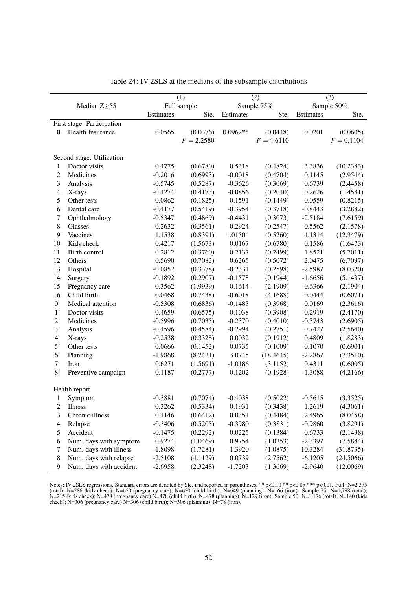<span id="page-53-0"></span>

|                     | (1)                                              |                        | (2)          |                     | (3)          |                         |                        |  |
|---------------------|--------------------------------------------------|------------------------|--------------|---------------------|--------------|-------------------------|------------------------|--|
|                     | Median $Z \geq 55$                               |                        | Full sample  |                     | Sample 75%   | Sample 50%              |                        |  |
|                     |                                                  | Estimates              | Ste.         | Estimates           | Ste.         | Estimates               | Ste.                   |  |
|                     | First stage: Participation                       |                        |              |                     |              |                         |                        |  |
| 0                   | Health Insurance                                 | 0.0565                 | (0.0376)     | $0.0962**$          | (0.0448)     | 0.0201                  | (0.0605)               |  |
|                     |                                                  |                        | $F = 2.2580$ |                     | $F = 4.6110$ |                         | $F = 0.1104$           |  |
|                     |                                                  |                        |              |                     |              |                         |                        |  |
|                     | Second stage: Utilization                        |                        |              |                     |              |                         |                        |  |
| 1                   | Doctor visits                                    | 0.4775                 | (0.6780)     | 0.5318              | (0.4824)     | 3.3836                  | (10.2383)              |  |
| $\boldsymbol{2}$    | Medicines                                        | $-0.2016$              | (0.6993)     | $-0.0018$           | (0.4704)     | 0.1145                  | (2.9544)               |  |
| 3                   | Analysis                                         | $-0.5745$              | (0.5287)     | $-0.3626$           | (0.3069)     | 0.6739                  | (2.4458)               |  |
| $\overline{4}$      | X-rays                                           | $-0.4274$              | (0.4173)     | $-0.0856$           | (0.2040)     | 0.2626                  | (1.4581)               |  |
| 5                   | Other tests                                      | 0.0862                 | (0.1825)     | 0.1591              | (0.1449)     | 0.0559                  | (0.8215)               |  |
| 6                   | Dental care                                      | $-0.4177$              | (0.5419)     | $-0.3954$           | (0.3718)     | $-0.8443$               | (3.2882)               |  |
| 7                   | Ophthalmology                                    | $-0.5347$              | (0.4869)     | $-0.4431$           | (0.3073)     | $-2.5184$               | (7.6159)               |  |
| $\,8\,$             | Glasses                                          | $-0.2632$              | (0.3561)     | $-0.2924$           | (0.2547)     | $-0.5562$               | (2.1578)               |  |
| 9                   | Vaccines                                         | 1.1538                 | (0.8391)     | 1.0150*             | (0.5260)     | 4.1314                  | (12.3479)              |  |
| 10                  | Kids check                                       | 0.4217                 | (1.5673)     | 0.0167              | (0.6780)     | 0.1586                  | (1.6473)               |  |
| 11                  | Birth control                                    | 0.2812                 | (0.3760)     | 0.2137              | (0.2499)     | 1.8521                  | (5.7011)               |  |
| 12                  | Others                                           | 0.5690                 | (0.7082)     | 0.6265              | (0.5072)     | 2.0475                  | (6.7097)               |  |
| 13                  | Hospital                                         | $-0.0852$              | (0.3378)     | $-0.2331$           | (0.2598)     | $-2.5987$               | (8.0320)               |  |
| 14                  | Surgery                                          | $-0.1892$              | (0.2907)     | $-0.1578$           | (0.1944)     | $-1.6656$               | (5.1437)               |  |
| 15                  | Pregnancy care                                   | $-0.3562$              | (1.9939)     | 0.1614              | (2.1909)     | $-0.6366$               | (2.1904)               |  |
| 16                  | Child birth                                      | 0.0468                 | (0.7438)     | $-0.6018$           | (4.1688)     | 0.0444                  | (0.6071)               |  |
| $0^{\prime}$        | Medical attention                                | $-0.5308$              | (0.6836)     | $-0.1483$           | (0.3968)     | 0.0169                  | (2.3616)               |  |
| 1'                  | Doctor visits                                    | $-0.4659$              | (0.6575)     | $-0.1038$           | (0.3908)     | 0.2919                  | (2.4170)               |  |
| $2^{\circ}$         | Medicines                                        | $-0.5996$              | (0.7035)     | $-0.2370$           | (0.4010)     | $-0.3743$               | (2.6905)               |  |
| 3'                  | Analysis                                         | $-0.4596$              | (0.4584)     | $-0.2994$           | (0.2751)     | 0.7427                  | (2.5640)               |  |
| $4^{\circ}$         | X-rays                                           | $-0.2538$              | (0.3328)     | 0.0032              | (0.1912)     | 0.4809                  | (1.8283)               |  |
| 5'                  | Other tests                                      | 0.0666                 | (0.1452)     | 0.0735              | (0.1009)     | 0.1070                  | (0.6901)               |  |
| 6 <sup>o</sup>      | Planning                                         | $-1.9868$              | (8.2431)     | 3.0745              | (18.4645)    | $-2.2867$               | (7.3510)               |  |
| $7^{\circ}$         | Iron                                             | 0.6271                 | (1.5691)     | $-1.0186$           | (3.1152)     | 0.4311                  | (0.6005)               |  |
| 8'                  | Preventive campaign                              | 0.1187                 | (0.2777)     | 0.1202              | (0.1928)     | $-1.3088$               | (4.2166)               |  |
|                     |                                                  |                        |              |                     |              |                         |                        |  |
| 1                   | Health report<br>Symptom                         | $-0.3881$              | (0.7074)     | $-0.4038$           | (0.5022)     | $-0.5615$               | (3.3525)               |  |
|                     |                                                  | 0.3262                 | (0.5334)     | 0.1931              | (0.3438)     | 1.2619                  | (4.3061)               |  |
| $\overline{2}$<br>3 | Illness<br>Chronic illness                       | 0.1146                 | (0.6412)     | 0.0351              | (0.4484)     | 2.4965                  | (8.0458)               |  |
| $\overline{4}$      | Relapse                                          | $-0.3406$              |              | $-0.3980$           | (0.3831)     | $-0.9860$               |                        |  |
|                     |                                                  |                        | (0.5205)     |                     |              |                         | (3.8291)               |  |
| 5                   | Accident                                         | $-0.1475$              | (0.2292)     | 0.0225              | (0.1384)     | 0.6733                  | (2.1438)               |  |
| 6<br>7              | Num. days with symptom<br>Num. days with illness | 0.9274                 | (1.0469)     | 0.9754              | (1.0353)     | $-2.3397$               | (7.5884)               |  |
| $\,8\,$             | Num. days with relapse                           | $-1.8098$<br>$-2.5108$ | (1.7281)     | $-1.3920$<br>0.0739 | (1.0875)     | $-10.3284$<br>$-6.1205$ | (31.8735)<br>(24.5066) |  |
|                     |                                                  |                        | (4.1129)     |                     | (2.7562)     |                         |                        |  |
| 9                   | Num. days with accident                          | $-2.6958$              | (2.3248)     | $-1.7203$           | (1.3669)     | $-2.9640$               | (12.0069)              |  |

Table 24: IV-2SLS at the medians of the subsample distributions

Notes: IV-2SLS regressions. Standard errors are denoted by Ste. and reported in parentheses. "\* p<0.10 \*\* p<0.05 \*\*\* p<0.01. Full: N=2,375 (total); N=286 (kids check); N=650 (pregnancy care); N=650 (child birth); N=649 (planning); N=166 (iron). Sample 75: N=1,788 (total); N=215 (kids check); N=478 (pregnancy care) N=478 (child birth); N=478 (planning); N=129 (iron). Sample 50: N=1,176 (total); N=140 (kids check); N=306 (pregnancy care) N=306 (child birth); N=306 (planning); N=78 (iron).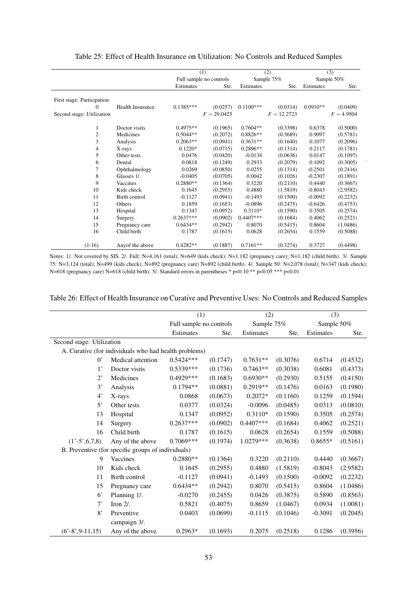<span id="page-54-0"></span>

|                            |                         | (1)         |                         |             | (2)           | (3)        |              |  |
|----------------------------|-------------------------|-------------|-------------------------|-------------|---------------|------------|--------------|--|
|                            |                         |             | Full sample no controls |             | Sample 75%    | Sample 50% |              |  |
|                            |                         | Estimates   | Ste.                    | Estimates   | Ste.          |            | Ste.         |  |
|                            |                         |             |                         |             |               |            |              |  |
| First stage: Participation |                         |             |                         |             |               |            |              |  |
| $\Omega$                   | <b>Health Insurance</b> | $0.1385***$ | (0.0257)                | $0.1100***$ | (0.0314)      | $0.0910**$ | (0.0409)     |  |
| Second stage: Utilization  |                         |             | $F = 29.0425$           |             | $F = 12.2723$ |            | $F = 4.9504$ |  |
|                            |                         |             |                         |             |               |            |              |  |
| 1                          | Doctor visits           | $0.4975**$  | (0.1965)                | $0.7604**$  | (0.3398)      | 0.6378     | (0.5000)     |  |
| 2                          | Medicines               | $0.5044**$  | (0.2072)                | $0.8826**$  | (0.3689)      | 0.9097     | (0.5781)     |  |
| 3                          | Analysis                | $0.2063**$  | (0.0941)                | $0.3631**$  | (0.1640)      | 0.1077     | (0.2096)     |  |
| 4                          | X-rays                  | $0.1220*$   | (0.0715)                | 0.2896**    | (0.1314)      | 0.2117     | (0.1781)     |  |
| 5                          | Other tests             | 0.0476      | (0.0420)                | $-0.0134$   | (0.0636)      | 0.0147     | (0.1097)     |  |
| 6                          | Dental                  | 0.0818      | (0.1249)                | 0.2933      | (0.2079)      | 0.1092     | (0.3005)     |  |
| 7                          | Ophthalmology           | 0.0269      | (0.0850)                | 0.0255      | (0.1314)      | $-0.2501$  | (0.2416)     |  |
| 8                          | Glasses 1/.             | $-0.0405$   | (0.0705)                | 0.0042      | (0.1026)      | $-0.2307$  | (0.1891)     |  |
| 9                          | Vaccines                | 0.2880**    | (0.1364)                | 0.3220      | (0.2110)      | 0.4440     | (0.3667)     |  |
| 10                         | Kids check              | 0.1645      | (0.2955)                | 0.4880      | (1.5819)      | $-0.8043$  | (2.9582)     |  |
| 11                         | Birth control           | $-0.1127$   | (0.0941)                | $-0.1493$   | (0.1500)      | $-0.0092$  | (0.2232)     |  |
| 12                         | Others                  | 0.1859      | (0.1653)                | $-0.0896$   | (0.2475)      | $-0.6426$  | (0.4753)     |  |
| 13                         | Hospital                | 0.1347      | (0.0952)                | $0.3110*$   | (0.1590)      | 0.3505     | (0.2574)     |  |
| 14                         | Surgery                 | $0.2637***$ | (0.0902)                | $0.4407***$ | (0.1684)      | 0.4062     | (0.2521)     |  |
| 15                         | Pregnancy care          | $0.6434**$  | (0.2942)                | 0.8070      | (0.5415)      | 0.8604     | (1.0486)     |  |
| 16                         | Child birth             | 0.1787      | (0.1615)                | 0.0628      | (0.2654)      | 0.1559     | (0.5088)     |  |
|                            |                         |             |                         |             |               |            |              |  |
| $(1-16)$                   | Anyof the above         | $0.4282**$  | (0.1887)                | $0.7161**$  | (0.3274)      | 0.3727     | (0.4498)     |  |

. .

## Table 25: Effect of Health Insurance on Utilization: No Controls and Reduced Samples

Notes: 1/. Not covered by SIS. 2/. Full: N=4,161 (total); N=649 (kids check); N=1.182 (pregnancy care); N=1,182 (child birth). 3/. Sample 75: N=3,124 (total); N=499 (kids check); N=892 (pregnancy care) N=892 (child birth). 4/. Sample 50: N=2,078 (total); N=347 (kids check); N=618 (pregnancy care) N=618 (child birth). 5/. Standard errors in parentheses \* p<0.10 \*\* p<0.05 \*\*\* p<0.01

|                             |                                                       | (1)                     |          | (2)         |            | (3)       |            |  |  |
|-----------------------------|-------------------------------------------------------|-------------------------|----------|-------------|------------|-----------|------------|--|--|
|                             |                                                       | Full sample no controls |          |             | Sample 75% |           | Sample 50% |  |  |
|                             |                                                       | Estimates               | Ste.     | Estimates   | Ste.       | Estimates | Ste.       |  |  |
| Second stage: Utilization   |                                                       |                         |          |             |            |           |            |  |  |
|                             | A. Curative (for individuals who had health problems) |                         |          |             |            |           |            |  |  |
| $0^{\circ}$                 | Medical attention                                     | $0.5424***$             | (0.1747) | $0.7631**$  | (0.3076)   | 0.6714    | (0.4532)   |  |  |
| $1^{\circ}$                 | Doctor visits                                         | 0.5339***               | (0.1736) | $0.7463**$  | (0.3038)   | 0.6081    | (0.4373)   |  |  |
| $2^{\circ}$                 | Medicines                                             | 0.4929***               | (0.1683) | $0.6930**$  | (0.2930)   | 0.5155    | (0.4150)   |  |  |
| 3'                          | Analysis                                              | $0.1794**$              | (0.0881) | $0.2919**$  | (0.1476)   | 0.0163    | (0.1980)   |  |  |
| $4^{\circ}$                 | X-rays                                                | 0.0868                  | (0.0673) | $0.2072*$   | (0.1160)   | 0.1259    | (0.1594)   |  |  |
| 5'                          | Other tests                                           | 0.0377                  | (0.0324) | $-0.0096$   | (0.0485)   | 0.0313    | (0.0810)   |  |  |
| 13                          | Hospital                                              | 0.1347                  | (0.0952) | $0.3110*$   | (0.1590)   | 0.3505    | (0.2574)   |  |  |
| 14                          | Surgery                                               | $0.2637***$             | (0.0902) | $0.4407***$ | (0.1684)   | 0.4062    | (0.2521)   |  |  |
| 16                          | Child birth                                           | 0.1787                  | (0.1615) | 0.0628      | (0.2654)   | 0.1559    | (0.5088)   |  |  |
| $(1^{\prime}$ -5', 6, 7, 8) | Any of the above                                      | $0.7069***$             | (0.1974) | 1.0279***   | (0.3638)   | $0.8655*$ | (0.5161)   |  |  |
|                             | B. Preventive (for specific groups of individuals)    |                         |          |             |            |           |            |  |  |
| 9                           | Vaccines                                              | $0.2880**$              | (0.1364) | 0.3220      | (0.2110)   | 0.4440    | (0.3667)   |  |  |
| 10                          | Kids check                                            | 0.1645                  | (0.2955) | 0.4880      | (1.5819)   | $-0.8043$ | (2.9582)   |  |  |
| 11                          | Birth control                                         | $-0.1127$               | (0.0941) | $-0.1493$   | (0.1500)   | $-0.0092$ | (0.2232)   |  |  |
| 15                          | Pregnancy care                                        | $0.6434**$              | (0.2942) | 0.8070      | (0.5415)   | 0.8604    | (1.0486)   |  |  |
| $6^{\circ}$                 | Planning 1/.                                          | $-0.0270$               | (0.2455) | 0.0426      | (0.3875)   | 0.5890    | (0.8563)   |  |  |
| $7^{\circ}$                 | Iron $2/$ .                                           | 0.5821                  | (0.4075) | 0.8659      | (1.0467)   | 0.0934    | (1.0081)   |  |  |
| 8'                          | Preventive                                            | 0.0403                  | (0.0699) | $-0.1115$   | (0.1046)   | $-0.3091$ | (0.2045)   |  |  |
|                             | campaign 3/.                                          |                         |          |             |            |           |            |  |  |
| $(6' - 8', 9 - 11, 15)$     | Any of the above                                      | $0.2963*$               | (0.1693) | 0.2075      | (0.2518)   | 0.1286    | (0.3956)   |  |  |

### <span id="page-54-1"></span>Table 26: Effect of Health Insurance on Curative and Preventive Uses: No Controls and Reduced Samples